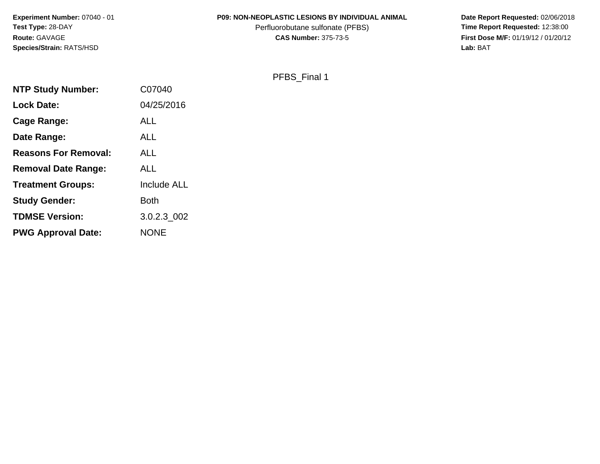# **P09: NON-NEOPLASTIC LESIONS BY INDIVIDUAL ANIMAL**

Perfluorobutane sulfonate (PFBS)<br>**CAS Number:** 375-73-5

 **Date Report Requested:** 02/06/2018 **First Dose M/F:** 01/19/12 / 01/20/12<br>Lab: BAT **Lab:** BAT

# PFBS\_Final 1

| <b>NTP Study Number:</b>    | C07040      |
|-----------------------------|-------------|
| <b>Lock Date:</b>           | 04/25/2016  |
| <b>Cage Range:</b>          | ALL         |
| Date Range:                 | <b>ALL</b>  |
| <b>Reasons For Removal:</b> | ALL         |
| <b>Removal Date Range:</b>  | <b>ALL</b>  |
| <b>Treatment Groups:</b>    | Include ALL |
| <b>Study Gender:</b>        | <b>Both</b> |
| <b>TDMSE Version:</b>       | 3.0.2.3 002 |
| <b>PWG Approval Date:</b>   | <b>NONE</b> |
|                             |             |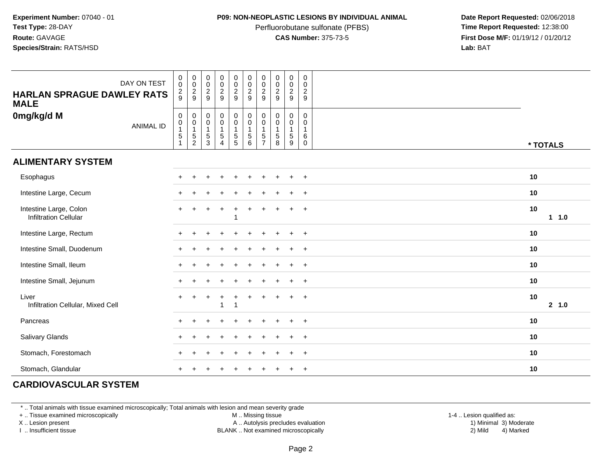### **P09: NON-NEOPLASTIC LESIONS BY INDIVIDUAL ANIMAL**

Perfluorobutane sulfonate (PFBS)<br>**CAS Number:** 375-73-5

 **Date Report Requested:** 02/06/2018 **First Dose M/F:** 01/19/12 / 01/20/12<br>**Lab:** BAT **Lab:** BAT

| DAY ON TEST<br><b>HARLAN SPRAGUE DAWLEY RATS</b><br><b>MALE</b> | $_{\rm 0}^{\rm 0}$<br>$\frac{2}{9}$       | $\begin{matrix} 0 \\ 0 \\ 2 \\ 9 \end{matrix}$                      | $\begin{smallmatrix} 0\\0\\2 \end{smallmatrix}$<br>9      | $\begin{smallmatrix} 0\\0 \end{smallmatrix}$<br>$rac{2}{9}$       | $\begin{array}{c} 0 \\ 0 \\ 2 \\ 9 \end{array}$            | $\begin{smallmatrix} 0\\0\\2 \end{smallmatrix}$<br>9 | $\pmb{0}$<br>$\mathbf 0$<br>$\overline{2}$<br>9         | $\begin{smallmatrix} 0\\0 \end{smallmatrix}$<br>$\overline{2}$<br>9 | $\pmb{0}$<br>$\pmb{0}$<br>$\overline{2}$<br>$9\,$                               | $\mathbf 0$<br>$\mathbf 0$<br>$\overline{c}$<br>9 |               |
|-----------------------------------------------------------------|-------------------------------------------|---------------------------------------------------------------------|-----------------------------------------------------------|-------------------------------------------------------------------|------------------------------------------------------------|------------------------------------------------------|---------------------------------------------------------|---------------------------------------------------------------------|---------------------------------------------------------------------------------|---------------------------------------------------|---------------|
| 0mg/kg/d M<br><b>ANIMAL ID</b>                                  | $\,0\,$<br>$\pmb{0}$<br>$\mathbf{1}$<br>5 | $\boldsymbol{0}$<br>$\begin{array}{c} 0 \\ 1 \\ 5 \\ 2 \end{array}$ | $\pmb{0}$<br>$\mathsf 0$<br>$\mathbf{1}$<br>$\frac{5}{3}$ | $\begin{smallmatrix}0\0\0\end{smallmatrix}$<br>1<br>$\frac{5}{4}$ | $\begin{matrix} 0 \\ 0 \\ 1 \end{matrix}$<br>$\frac{5}{5}$ | $_{\rm 0}^{\rm 0}$<br>$\mathbf{1}$<br>$\frac{5}{6}$  | 0<br>0<br>$\mathbf{1}$<br>$\,$ 5 $\,$<br>$\overline{7}$ | $\boldsymbol{0}$<br>$\mathsf 0$<br>$\mathbf{1}$<br>$\sqrt{5}$<br>8  | $\begin{smallmatrix}0\0\0\end{smallmatrix}$<br>$\mathbf{1}$<br>$\,$ 5 $\,$<br>9 | $\mathbf 0$<br>0<br>$\mathbf{1}$<br>6<br>0        | * TOTALS      |
| <b>ALIMENTARY SYSTEM</b>                                        |                                           |                                                                     |                                                           |                                                                   |                                                            |                                                      |                                                         |                                                                     |                                                                                 |                                                   |               |
| Esophagus                                                       |                                           |                                                                     |                                                           |                                                                   |                                                            |                                                      |                                                         |                                                                     |                                                                                 | $\overline{ }$                                    | 10            |
| Intestine Large, Cecum                                          |                                           |                                                                     |                                                           |                                                                   |                                                            |                                                      |                                                         |                                                                     |                                                                                 | $\pm$                                             | 10            |
| Intestine Large, Colon<br><b>Infiltration Cellular</b>          | $\div$                                    |                                                                     |                                                           | $\ddot{}$                                                         |                                                            |                                                      |                                                         |                                                                     |                                                                                 | $\overline{ }$                                    | 10<br>$1 1.0$ |
| Intestine Large, Rectum                                         |                                           |                                                                     |                                                           |                                                                   |                                                            |                                                      |                                                         |                                                                     |                                                                                 |                                                   | 10            |
| Intestine Small, Duodenum                                       |                                           |                                                                     |                                                           |                                                                   |                                                            |                                                      |                                                         |                                                                     |                                                                                 | $\overline{1}$                                    | 10            |
| Intestine Small, Ileum                                          |                                           |                                                                     |                                                           |                                                                   |                                                            |                                                      |                                                         |                                                                     |                                                                                 | $\overline{1}$                                    | 10            |
| Intestine Small, Jejunum                                        |                                           |                                                                     |                                                           |                                                                   |                                                            |                                                      |                                                         |                                                                     |                                                                                 |                                                   | 10            |
| Liver<br>Infiltration Cellular, Mixed Cell                      |                                           |                                                                     |                                                           |                                                                   |                                                            |                                                      |                                                         |                                                                     |                                                                                 | $\overline{ }$                                    | 10<br>2 1.0   |
| Pancreas                                                        |                                           |                                                                     |                                                           |                                                                   |                                                            |                                                      |                                                         |                                                                     |                                                                                 |                                                   | 10            |
| Salivary Glands                                                 |                                           |                                                                     |                                                           |                                                                   |                                                            |                                                      |                                                         |                                                                     |                                                                                 |                                                   | 10            |
| Stomach, Forestomach                                            |                                           |                                                                     |                                                           |                                                                   |                                                            |                                                      |                                                         |                                                                     |                                                                                 |                                                   | 10            |
| Stomach, Glandular                                              |                                           |                                                                     |                                                           |                                                                   |                                                            |                                                      |                                                         |                                                                     |                                                                                 | $\overline{ }$                                    | 10            |

# **CARDIOVASCULAR SYSTEM**

\* .. Total animals with tissue examined microscopically; Total animals with lesion and mean severity grade

+ .. Tissue examined microscopically

X .. Lesion present

I .. Insufficient tissue

M .. Missing tissue

A .. Autolysis precludes evaluation

 1-4 .. Lesion qualified as: BLANK .. Not examined microscopically 2) Mild 4) Marked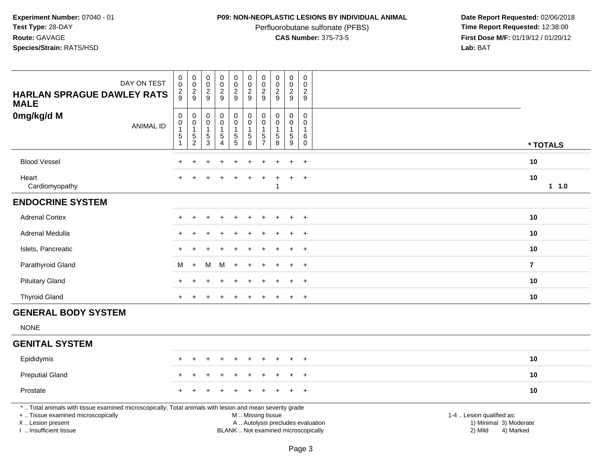# **P09: NON-NEOPLASTIC LESIONS BY INDIVIDUAL ANIMAL**

Perfluorobutane sulfonate (PFBS)<br>**CAS Number:** 375-73-5

| DAY ON TEST<br><b>HARLAN SPRAGUE DAWLEY RATS</b><br><b>MALE</b>                                                                                                                               | $\pmb{0}$<br>$\mathbf 0$<br>$\overline{c}$<br>9 | $\pmb{0}$<br>$\frac{0}{2}$                                                 | $\pmb{0}$<br>$\mathbf 0$<br>$\frac{2}{9}$                 | $\pmb{0}$<br>$\pmb{0}$<br>$\frac{2}{9}$               | $\pmb{0}$<br>$\mathsf{O}\xspace$<br>$\frac{2}{9}$       | $\mathsf 0$<br>$\mathsf{O}\xspace$<br>$\overline{2}$<br>9    | $\pmb{0}$<br>0<br>$\overline{c}$<br>9                          | $\mathsf 0$<br>$\frac{0}{2}$<br>$\boldsymbol{9}$               | $\pmb{0}$<br>$\mathbf 0$<br>$\frac{2}{9}$                                   | $\pmb{0}$<br>$\mathbf 0$<br>$\overline{2}$<br>9                    |                                                                                                                  |
|-----------------------------------------------------------------------------------------------------------------------------------------------------------------------------------------------|-------------------------------------------------|----------------------------------------------------------------------------|-----------------------------------------------------------|-------------------------------------------------------|---------------------------------------------------------|--------------------------------------------------------------|----------------------------------------------------------------|----------------------------------------------------------------|-----------------------------------------------------------------------------|--------------------------------------------------------------------|------------------------------------------------------------------------------------------------------------------|
| 0mg/kg/d M<br><b>ANIMAL ID</b>                                                                                                                                                                | $\pmb{0}$<br>$\mathbf 0$<br>1<br>5              | $\boldsymbol{0}$<br>$\ddot{\mathbf{0}}$<br>$\overline{1}$<br>$\frac{5}{2}$ | $\pmb{0}$<br>$\pmb{0}$<br>$\mathbf{1}$<br>$\sqrt{5}$<br>3 | 0<br>$\pmb{0}$<br>$\mathbf{1}$<br>5<br>$\overline{4}$ | $\pmb{0}$<br>$\pmb{0}$<br>$\mathbf{1}$<br>$\frac{5}{5}$ | $\pmb{0}$<br>$\mathsf 0$<br>$\mathbf{1}$<br>$\,$ 5 $\,$<br>6 | $\pmb{0}$<br>$\mathbf 0$<br>-1<br>$\sqrt{5}$<br>$\overline{7}$ | $\mathbf 0$<br>$\mathbf 0$<br>$\mathbf{1}$<br>$\,$ 5 $\,$<br>8 | $\mathbf 0$<br>$\mathbf 0$<br>$\mathbf{1}$<br>$\,$ 5 $\,$<br>$\overline{9}$ | $\pmb{0}$<br>$\mathbf 0$<br>$\mathbf{1}$<br>$\,6\,$<br>$\mathbf 0$ | * TOTALS                                                                                                         |
| <b>Blood Vessel</b>                                                                                                                                                                           | $\ddot{}$                                       | $\ddot{}$                                                                  | $\ddot{}$                                                 | $\ddot{}$                                             | $\ddot{}$                                               | $\ddot{}$                                                    | $\ddot{}$                                                      | $\overline{1}$                                                 | $\ddot{}$                                                                   | $+$                                                                | 10                                                                                                               |
| Heart<br>Cardiomyopathy                                                                                                                                                                       |                                                 |                                                                            |                                                           |                                                       |                                                         |                                                              |                                                                |                                                                | ÷                                                                           | $+$                                                                | 10<br>11.0                                                                                                       |
| <b>ENDOCRINE SYSTEM</b>                                                                                                                                                                       |                                                 |                                                                            |                                                           |                                                       |                                                         |                                                              |                                                                |                                                                |                                                                             |                                                                    |                                                                                                                  |
| <b>Adrenal Cortex</b>                                                                                                                                                                         |                                                 |                                                                            |                                                           |                                                       |                                                         |                                                              |                                                                |                                                                |                                                                             |                                                                    | 10                                                                                                               |
| Adrenal Medulla                                                                                                                                                                               |                                                 |                                                                            |                                                           |                                                       |                                                         |                                                              |                                                                |                                                                |                                                                             | $\ddot{}$                                                          | 10                                                                                                               |
| Islets, Pancreatic                                                                                                                                                                            |                                                 |                                                                            |                                                           |                                                       |                                                         |                                                              |                                                                |                                                                | $\ddot{}$                                                                   | $+$                                                                | 10                                                                                                               |
| Parathyroid Gland                                                                                                                                                                             | M                                               | $+$                                                                        | м                                                         | M                                                     | $\ddot{}$                                               |                                                              |                                                                |                                                                |                                                                             | $+$                                                                | $\overline{7}$                                                                                                   |
| <b>Pituitary Gland</b>                                                                                                                                                                        |                                                 |                                                                            |                                                           |                                                       |                                                         |                                                              |                                                                |                                                                |                                                                             | $\ddot{}$                                                          | 10                                                                                                               |
| <b>Thyroid Gland</b>                                                                                                                                                                          | $\ddot{}$                                       |                                                                            |                                                           |                                                       |                                                         |                                                              |                                                                |                                                                | $\pm$                                                                       | $+$                                                                | 10                                                                                                               |
| <b>GENERAL BODY SYSTEM</b>                                                                                                                                                                    |                                                 |                                                                            |                                                           |                                                       |                                                         |                                                              |                                                                |                                                                |                                                                             |                                                                    |                                                                                                                  |
| <b>NONE</b>                                                                                                                                                                                   |                                                 |                                                                            |                                                           |                                                       |                                                         |                                                              |                                                                |                                                                |                                                                             |                                                                    |                                                                                                                  |
| <b>GENITAL SYSTEM</b>                                                                                                                                                                         |                                                 |                                                                            |                                                           |                                                       |                                                         |                                                              |                                                                |                                                                |                                                                             |                                                                    |                                                                                                                  |
| Epididymis                                                                                                                                                                                    |                                                 |                                                                            |                                                           |                                                       |                                                         |                                                              |                                                                |                                                                |                                                                             |                                                                    | 10                                                                                                               |
| <b>Preputial Gland</b>                                                                                                                                                                        |                                                 |                                                                            |                                                           |                                                       |                                                         |                                                              |                                                                |                                                                |                                                                             | $\ddot{}$                                                          | 10                                                                                                               |
| Prostate                                                                                                                                                                                      |                                                 |                                                                            |                                                           |                                                       |                                                         |                                                              |                                                                |                                                                | $\pm$                                                                       | $^{+}$                                                             | 10                                                                                                               |
| *  Total animals with tissue examined microscopically; Total animals with lesion and mean severity grade<br>+  Tissue examined microscopically<br>X  Lesion present<br>I. Insufficient tissue |                                                 |                                                                            |                                                           |                                                       |                                                         | M. Missing tissue<br>BLANK  Not examined microscopically     |                                                                |                                                                |                                                                             |                                                                    | 1-4  Lesion qualified as:<br>1) Minimal 3) Moderate<br>A  Autolysis precludes evaluation<br>2) Mild<br>4) Marked |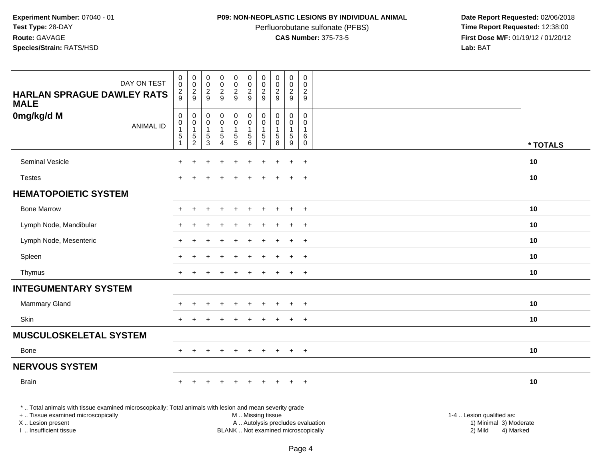## **P09: NON-NEOPLASTIC LESIONS BY INDIVIDUAL ANIMAL**

Perfluorobutane sulfonate (PFBS)<br>**CAS Number:** 375-73-5

 **Date Report Requested:** 02/06/2018 **First Dose M/F:** 01/19/12 / 01/20/12<br>**Lab:** BAT **Lab:** BAT

| <b>HARLAN SPRAGUE DAWLEY RATS</b>                                                                        | DAY ON TEST      | $\boldsymbol{0}$<br>0<br>$\overline{c}$ | $\mathbf 0$<br>$\mathbf 0$<br>$\overline{2}$ | $\pmb{0}$<br>$\mathsf{O}\xspace$<br>$\frac{2}{9}$ | $\begin{smallmatrix}0\0\0\end{smallmatrix}$<br>$\overline{c}$ | $\mathbf 0$<br>$\overline{0}$<br>$\overline{a}$ | $\mathbf 0$<br>$\mathsf{O}\xspace$<br>$\boldsymbol{2}$ | $\mathbf 0$<br>0<br>$\overline{c}$ | $\mathsf{O}\xspace$<br>$\mathbf 0$<br>$\overline{c}$ | $\pmb{0}$<br>0<br>$\overline{c}$ | 0<br>$\mathbf 0$<br>$\overline{c}$ |                                                                                          |          |
|----------------------------------------------------------------------------------------------------------|------------------|-----------------------------------------|----------------------------------------------|---------------------------------------------------|---------------------------------------------------------------|-------------------------------------------------|--------------------------------------------------------|------------------------------------|------------------------------------------------------|----------------------------------|------------------------------------|------------------------------------------------------------------------------------------|----------|
| <b>MALE</b>                                                                                              |                  | 9                                       | 9                                            |                                                   | 9                                                             | 9                                               | $\overline{9}$                                         | 9                                  | 9                                                    | 9                                | 9                                  |                                                                                          |          |
| 0mg/kg/d M                                                                                               |                  | $\mathbf 0$<br>$\boldsymbol{0}$         | 0<br>$\mathbf 0$                             | $\pmb{0}$<br>$\mathbf 0$                          | 0<br>$\mathsf{O}$                                             | 0<br>$\overline{0}$                             | $\mathbf 0$<br>$\mathbf 0$                             | $\mathbf 0$<br>$\mathbf 0$         | $\mathbf 0$<br>$\Omega$                              | 0<br>0                           | $\mathbf 0$<br>$\mathbf{0}$        |                                                                                          |          |
|                                                                                                          | <b>ANIMAL ID</b> | $\mathbf{1}$<br>$\sqrt{5}$              | $\mathbf{1}$<br>$\,$ 5 $\,$                  | $\mathbf{1}$<br>$\,$ 5 $\,$                       | $\mathbf{1}$<br>$\sqrt{5}$                                    |                                                 | $\overline{1}$                                         | 5                                  | $\mathbf{1}$<br>$\sqrt{5}$                           | $\mathbf{1}$<br>$\,$ 5 $\,$      | 1<br>$\,6$                         |                                                                                          |          |
|                                                                                                          |                  | $\mathbf{1}$                            | $\overline{c}$                               | $\mathbf{3}$                                      | $\boldsymbol{\Lambda}$                                        | $\begin{array}{c} 5 \\ 5 \end{array}$           | $\begin{array}{c} 5 \\ 6 \end{array}$                  | $\overline{7}$                     | 8                                                    | 9                                | 0                                  |                                                                                          | * TOTALS |
| <b>Seminal Vesicle</b>                                                                                   |                  |                                         |                                              |                                                   |                                                               |                                                 |                                                        |                                    |                                                      |                                  | $\ddot{}$                          | 10                                                                                       |          |
| <b>Testes</b>                                                                                            |                  | $\pm$                                   | $\div$                                       |                                                   | $\overline{ }$                                                | $\ddot{}$                                       | $+$                                                    | $\pm$                              | $\div$                                               | $+$                              | $+$                                | 10                                                                                       |          |
| <b>HEMATOPOIETIC SYSTEM</b>                                                                              |                  |                                         |                                              |                                                   |                                                               |                                                 |                                                        |                                    |                                                      |                                  |                                    |                                                                                          |          |
| <b>Bone Marrow</b>                                                                                       |                  |                                         |                                              |                                                   |                                                               |                                                 |                                                        |                                    |                                                      |                                  | $\ddot{}$                          | 10                                                                                       |          |
| Lymph Node, Mandibular                                                                                   |                  |                                         |                                              |                                                   |                                                               |                                                 |                                                        |                                    |                                                      |                                  | $\overline{+}$                     | 10                                                                                       |          |
| Lymph Node, Mesenteric                                                                                   |                  |                                         |                                              |                                                   |                                                               |                                                 |                                                        |                                    |                                                      | $\div$                           | $\div$                             | 10                                                                                       |          |
| Spleen                                                                                                   |                  |                                         |                                              |                                                   |                                                               |                                                 |                                                        |                                    |                                                      |                                  | $\ddot{}$                          | 10                                                                                       |          |
| Thymus                                                                                                   |                  | $+$                                     | $\ddot{}$                                    |                                                   | $\overline{+}$                                                | $\ddot{}$                                       | $\pm$                                                  | $\pm$                              | $\pm$                                                | $+$                              | $+$                                | 10                                                                                       |          |
| <b>INTEGUMENTARY SYSTEM</b>                                                                              |                  |                                         |                                              |                                                   |                                                               |                                                 |                                                        |                                    |                                                      |                                  |                                    |                                                                                          |          |
| <b>Mammary Gland</b>                                                                                     |                  |                                         |                                              |                                                   |                                                               |                                                 |                                                        |                                    |                                                      |                                  | $\overline{ }$                     | 10                                                                                       |          |
| Skin                                                                                                     |                  |                                         |                                              |                                                   |                                                               | ÷                                               |                                                        |                                    |                                                      | $\ddot{}$                        | $+$                                | 10                                                                                       |          |
| <b>MUSCULOSKELETAL SYSTEM</b>                                                                            |                  |                                         |                                              |                                                   |                                                               |                                                 |                                                        |                                    |                                                      |                                  |                                    |                                                                                          |          |
| Bone                                                                                                     |                  |                                         |                                              |                                                   | $+$                                                           | $\pm$                                           | $\div$                                                 | $\pm$                              | $\div$                                               | $\pm$                            | $+$                                | 10                                                                                       |          |
| <b>NERVOUS SYSTEM</b>                                                                                    |                  |                                         |                                              |                                                   |                                                               |                                                 |                                                        |                                    |                                                      |                                  |                                    |                                                                                          |          |
| <b>Brain</b>                                                                                             |                  |                                         |                                              |                                                   |                                                               |                                                 |                                                        |                                    |                                                      | $\ddot{}$                        | $+$                                | 10                                                                                       |          |
| *  Total animals with tissue examined microscopically; Total animals with lesion and mean severity grade |                  |                                         |                                              |                                                   |                                                               |                                                 |                                                        |                                    |                                                      |                                  |                                    |                                                                                          |          |
| +  Tissue examined microscopically<br>X  Lesion present                                                  |                  |                                         |                                              |                                                   |                                                               |                                                 | M  Missing tissue                                      |                                    |                                                      |                                  |                                    | 1-4  Lesion qualified as:<br>A  Autolysis precludes evaluation<br>1) Minimal 3) Moderate |          |

I .. Insufficient tissue

BLANK .. Not examined microscopically 2) Mild 4) Marked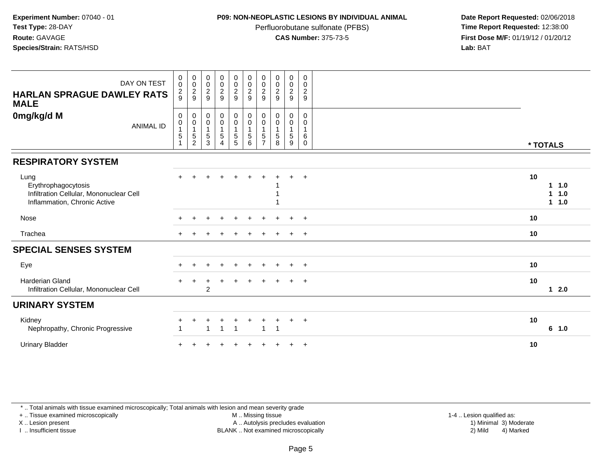### **P09: NON-NEOPLASTIC LESIONS BY INDIVIDUAL ANIMAL**

Perfluorobutane sulfonate (PFBS)<br>**CAS Number:** 375-73-5

 **Date Report Requested:** 02/06/2018 **First Dose M/F:** 01/19/12 / 01/20/12<br>**Lab:** BAT **Lab:** BAT

| DAY ON TEST<br><b>HARLAN SPRAGUE DAWLEY RATS</b><br><b>MALE</b>                                        | $\pmb{0}$<br>$\mathbf 0$<br>$\frac{2}{9}$      | $\begin{smallmatrix}0\\0\end{smallmatrix}$<br>$\frac{2}{9}$             | 00029                                                                  | $\begin{array}{c} 0 \\ 0 \\ 2 \\ 9 \end{array}$                               | $\begin{array}{c} 0 \\ 0 \\ 2 \\ 9 \end{array}$ | $\begin{array}{c} 0 \\ 0 \\ 2 \\ 9 \end{array}$              | $\begin{smallmatrix} 0\\0\\2 \end{smallmatrix}$<br>9        | $\begin{smallmatrix} 0\\0 \end{smallmatrix}$<br>$\boldsymbol{2}$<br>9 | $\begin{smallmatrix} 0\\0\\2 \end{smallmatrix}$<br>9 | $\mathbf 0$<br>0<br>$\overline{c}$<br>9              |                                          |  |
|--------------------------------------------------------------------------------------------------------|------------------------------------------------|-------------------------------------------------------------------------|------------------------------------------------------------------------|-------------------------------------------------------------------------------|-------------------------------------------------|--------------------------------------------------------------|-------------------------------------------------------------|-----------------------------------------------------------------------|------------------------------------------------------|------------------------------------------------------|------------------------------------------|--|
| 0mg/kg/d M<br><b>ANIMAL ID</b>                                                                         | $\mathbf 0$<br>$\pmb{0}$<br>$\frac{1}{5}$<br>1 | $\pmb{0}$<br>$\pmb{0}$<br>$\mathbf{1}$<br>$\mathbf 5$<br>$\overline{c}$ | $\boldsymbol{0}$<br>$\pmb{0}$<br>$\overline{1}$<br>$\overline{5}$<br>3 | $\begin{matrix} 0 \\ 0 \\ 1 \end{matrix}$<br>$\overline{5}$<br>$\overline{4}$ | 0<br>$\mathsf{O}\xspace$<br>1<br>$\frac{5}{5}$  | $\pmb{0}$<br>$\pmb{0}$<br>$\overline{1}$<br>$\,$ 5 $\,$<br>6 | 0<br>0<br>$\mathbf{1}$<br>$5\phantom{.0}$<br>$\overline{7}$ | $\boldsymbol{0}$<br>$\pmb{0}$<br>1<br>$\mathbf 5$<br>8                | $\mathbf 0$<br>$\mathbf 0$<br>5<br>9                 | $\mathbf 0$<br>0<br>$\mathbf{1}$<br>6<br>$\mathbf 0$ | * TOTALS                                 |  |
| <b>RESPIRATORY SYSTEM</b>                                                                              |                                                |                                                                         |                                                                        |                                                                               |                                                 |                                                              |                                                             |                                                                       |                                                      |                                                      |                                          |  |
| Lung<br>Erythrophagocytosis<br>Infiltration Cellular, Mononuclear Cell<br>Inflammation, Chronic Active |                                                |                                                                         |                                                                        |                                                                               |                                                 |                                                              |                                                             |                                                                       | $\div$                                               | $+$                                                  | 10<br>11.0<br>$\mathbf{1}$<br>1.0<br>1.0 |  |
| Nose                                                                                                   |                                                |                                                                         |                                                                        |                                                                               |                                                 |                                                              |                                                             |                                                                       |                                                      | $+$                                                  | 10                                       |  |
| Trachea                                                                                                |                                                |                                                                         |                                                                        |                                                                               |                                                 |                                                              |                                                             |                                                                       | $\ddot{}$                                            | $+$                                                  | 10                                       |  |
| <b>SPECIAL SENSES SYSTEM</b>                                                                           |                                                |                                                                         |                                                                        |                                                                               |                                                 |                                                              |                                                             |                                                                       |                                                      |                                                      |                                          |  |
| Eye                                                                                                    |                                                |                                                                         |                                                                        | ÷                                                                             |                                                 |                                                              |                                                             |                                                                       |                                                      | $+$                                                  | 10                                       |  |
| <b>Harderian Gland</b><br>Infiltration Cellular, Mononuclear Cell                                      |                                                |                                                                         | 2                                                                      |                                                                               |                                                 |                                                              |                                                             |                                                                       | $+$                                                  | $+$                                                  | 10<br>$12.0$                             |  |
| <b>URINARY SYSTEM</b>                                                                                  |                                                |                                                                         |                                                                        |                                                                               |                                                 |                                                              |                                                             |                                                                       |                                                      |                                                      |                                          |  |
| Kidney<br>Nephropathy, Chronic Progressive                                                             |                                                |                                                                         | -1                                                                     | -1                                                                            |                                                 |                                                              | $\overline{1}$                                              | $\overline{\phantom{a}}$                                              |                                                      | $+$                                                  | 10<br>6 1.0                              |  |
| <b>Urinary Bladder</b>                                                                                 |                                                |                                                                         |                                                                        |                                                                               |                                                 |                                                              |                                                             |                                                                       |                                                      | $+$                                                  | 10                                       |  |

\* .. Total animals with tissue examined microscopically; Total animals with lesion and mean severity grade

+ .. Tissue examined microscopically

X .. Lesion present

I .. Insufficient tissue

M .. Missing tissue

 Lesion present A .. Autolysis precludes evaluation 1) Minimal 3) ModerateBLANK .. Not examined microscopically 2) Mild 4) Marked

1-4 .. Lesion qualified as:<br>1) Minimal 3) Moderate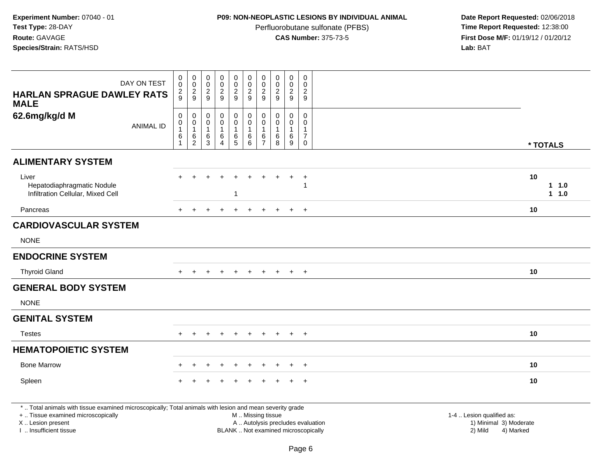# **P09: NON-NEOPLASTIC LESIONS BY INDIVIDUAL ANIMAL**

Perfluorobutane sulfonate (PFBS)<br>**CAS Number:** 375-73-5

| <b>HARLAN SPRAGUE DAWLEY RATS</b>                                                                                                                                                             | DAY ON TEST      | $\pmb{0}$<br>$\mathbf 0$<br>$\frac{2}{9}$                       | $\mathbf 0$<br>$\mathbf 0$<br>$\frac{2}{9}$                             | $\pmb{0}$<br>$\mathsf{O}\xspace$<br>$\frac{2}{9}$                  | $\pmb{0}$<br>$\pmb{0}$<br>$\overline{a}$<br>9            | $\mathsf 0$<br>$\mathsf{O}\xspace$<br>$\frac{2}{9}$      | $\pmb{0}$<br>$\mathbf 0$<br>$\boldsymbol{2}$<br>$\boldsymbol{9}$                              | $\pmb{0}$<br>$\mathbf 0$<br>$\overline{2}$<br>9         | $\pmb{0}$<br>$\pmb{0}$<br>$\overline{2}$<br>9        | $\mathbf 0$<br>$\mathbf 0$<br>$\overline{a}$<br>$\boldsymbol{9}$ | $\mathsf 0$<br>$\Omega$<br>$\overline{2}$<br>9                |                                                                             |
|-----------------------------------------------------------------------------------------------------------------------------------------------------------------------------------------------|------------------|-----------------------------------------------------------------|-------------------------------------------------------------------------|--------------------------------------------------------------------|----------------------------------------------------------|----------------------------------------------------------|-----------------------------------------------------------------------------------------------|---------------------------------------------------------|------------------------------------------------------|------------------------------------------------------------------|---------------------------------------------------------------|-----------------------------------------------------------------------------|
| <b>MALE</b><br>62.6mg/kg/d M                                                                                                                                                                  | <b>ANIMAL ID</b> | $\pmb{0}$<br>$\pmb{0}$<br>$\mathbf{1}$<br>$\,6$<br>$\mathbf{1}$ | $\mathbf 0$<br>$\mathbf 0$<br>$\mathbf{1}$<br>$\,6\,$<br>$\overline{2}$ | $\boldsymbol{0}$<br>$\pmb{0}$<br>$\mathbf{1}$<br>6<br>$\mathbf{3}$ | $\pmb{0}$<br>$\mathbf 0$<br>1<br>$\,6$<br>$\overline{4}$ | $\mathbf 0$<br>$\mathbf 0$<br>$\mathbf{1}$<br>$6\over 5$ | $\mathsf 0$<br>$\mathbf 0$<br>$\mathbf{1}$<br>$\,6\,$<br>$\,6\,$                              | $\mathbf 0$<br>$\mathbf 0$<br>-1<br>6<br>$\overline{7}$ | $\mathbf 0$<br>$\mathbf 0$<br>$\mathbf{1}$<br>6<br>8 | 0<br>$\mathbf 0$<br>$\mathbf{1}$<br>$\,6\,$<br>9                 | $\mathbf 0$<br>$\Omega$<br>1<br>$\overline{7}$<br>$\mathbf 0$ | * TOTALS                                                                    |
| <b>ALIMENTARY SYSTEM</b>                                                                                                                                                                      |                  |                                                                 |                                                                         |                                                                    |                                                          |                                                          |                                                                                               |                                                         |                                                      |                                                                  |                                                               |                                                                             |
| Liver<br>Hepatodiaphragmatic Nodule<br>Infiltration Cellular, Mixed Cell                                                                                                                      |                  |                                                                 |                                                                         |                                                                    |                                                          |                                                          |                                                                                               |                                                         |                                                      | $\ddot{}$                                                        | $\ddot{}$                                                     | 10<br>$1 1.0$<br>$1 1.0$                                                    |
| Pancreas                                                                                                                                                                                      |                  | $+$                                                             | $+$                                                                     | $+$                                                                | $\ddot{+}$                                               | $+$                                                      | $+$                                                                                           | ÷                                                       |                                                      | $+$                                                              | $+$                                                           | 10                                                                          |
| <b>CARDIOVASCULAR SYSTEM</b>                                                                                                                                                                  |                  |                                                                 |                                                                         |                                                                    |                                                          |                                                          |                                                                                               |                                                         |                                                      |                                                                  |                                                               |                                                                             |
| <b>NONE</b>                                                                                                                                                                                   |                  |                                                                 |                                                                         |                                                                    |                                                          |                                                          |                                                                                               |                                                         |                                                      |                                                                  |                                                               |                                                                             |
| <b>ENDOCRINE SYSTEM</b>                                                                                                                                                                       |                  |                                                                 |                                                                         |                                                                    |                                                          |                                                          |                                                                                               |                                                         |                                                      |                                                                  |                                                               |                                                                             |
| <b>Thyroid Gland</b>                                                                                                                                                                          |                  |                                                                 |                                                                         |                                                                    |                                                          |                                                          |                                                                                               |                                                         |                                                      | $\ddot{}$                                                        | $+$                                                           | 10                                                                          |
| <b>GENERAL BODY SYSTEM</b>                                                                                                                                                                    |                  |                                                                 |                                                                         |                                                                    |                                                          |                                                          |                                                                                               |                                                         |                                                      |                                                                  |                                                               |                                                                             |
| <b>NONE</b>                                                                                                                                                                                   |                  |                                                                 |                                                                         |                                                                    |                                                          |                                                          |                                                                                               |                                                         |                                                      |                                                                  |                                                               |                                                                             |
| <b>GENITAL SYSTEM</b>                                                                                                                                                                         |                  |                                                                 |                                                                         |                                                                    |                                                          |                                                          |                                                                                               |                                                         |                                                      |                                                                  |                                                               |                                                                             |
| <b>Testes</b>                                                                                                                                                                                 |                  |                                                                 |                                                                         |                                                                    |                                                          |                                                          |                                                                                               |                                                         |                                                      |                                                                  | $\ddot{}$                                                     | 10                                                                          |
| <b>HEMATOPOIETIC SYSTEM</b>                                                                                                                                                                   |                  |                                                                 |                                                                         |                                                                    |                                                          |                                                          |                                                                                               |                                                         |                                                      |                                                                  |                                                               |                                                                             |
| <b>Bone Marrow</b>                                                                                                                                                                            |                  |                                                                 |                                                                         |                                                                    |                                                          |                                                          |                                                                                               |                                                         |                                                      |                                                                  | $+$                                                           | 10                                                                          |
| Spleen                                                                                                                                                                                        |                  |                                                                 |                                                                         |                                                                    |                                                          |                                                          |                                                                                               |                                                         |                                                      |                                                                  | $+$                                                           | 10                                                                          |
| *  Total animals with tissue examined microscopically; Total animals with lesion and mean severity grade<br>+  Tissue examined microscopically<br>X  Lesion present<br>I  Insufficient tissue |                  |                                                                 |                                                                         |                                                                    |                                                          |                                                          | M  Missing tissue<br>A  Autolysis precludes evaluation<br>BLANK  Not examined microscopically |                                                         |                                                      |                                                                  |                                                               | 1-4  Lesion qualified as:<br>1) Minimal 3) Moderate<br>2) Mild<br>4) Marked |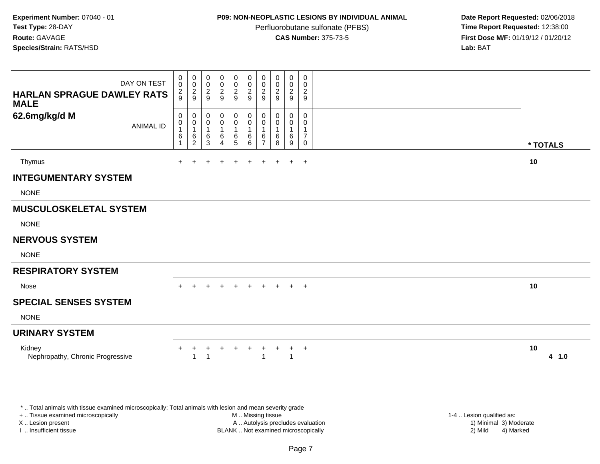### **P09: NON-NEOPLASTIC LESIONS BY INDIVIDUAL ANIMAL**

Perfluorobutane sulfonate (PFBS)<br>**CAS Number:** 375-73-5

 **Date Report Requested:** 02/06/2018 **First Dose M/F:** 01/19/12 / 01/20/12<br>**Lab:** BAT **Lab:** BAT

| DAY ON TEST<br><b>HARLAN SPRAGUE DAWLEY RATS</b><br><b>MALE</b> | 0<br>$\pmb{0}$<br>$\frac{2}{9}$ | 0<br>$\mathsf{O}\xspace$<br>$\frac{2}{9}$ | 0<br>0<br>$\overline{c}$<br>9    | $\pmb{0}$<br>$\pmb{0}$<br>$\frac{2}{9}$               | 0<br>$\mathbf 0$<br>$\overline{2}$<br>9 | $\pmb{0}$<br>$\mathbf 0$<br>$\sqrt{2}$<br>$\overline{9}$ | 0<br>$\mathbf 0$<br>2<br>9 | 0<br>0<br>$\overline{\mathbf{c}}$<br>9 | 0<br>$\mathbf 0$<br>$\overline{c}$<br>9 | 0<br>0<br>$\overline{a}$<br>9                 |          |       |
|-----------------------------------------------------------------|---------------------------------|-------------------------------------------|----------------------------------|-------------------------------------------------------|-----------------------------------------|----------------------------------------------------------|----------------------------|----------------------------------------|-----------------------------------------|-----------------------------------------------|----------|-------|
| 62.6mg/kg/d M<br><b>ANIMAL ID</b>                               | 0<br>0<br>$\overline{1}$<br>6   | 0<br>$\pmb{0}$<br>$\mathbf{1}$<br>$^6_2$  | 0<br>0<br>$\mathbf{1}$<br>6<br>3 | 0<br>$\pmb{0}$<br>$\mathbf{1}$<br>6<br>$\overline{4}$ | 0<br>0<br>$\mathbf{1}$<br>6<br>5        | 0<br>$\pmb{0}$<br>$\mathbf{1}$<br>6<br>6                 | 0<br>0<br>6<br>7           | 0<br>0<br>1<br>6<br>8                  | 0<br>0<br>$\mathbf{1}$<br>6<br>9        | 0<br>0<br>$\mathbf{1}$<br>$\overline{7}$<br>0 | * TOTALS |       |
| Thymus                                                          |                                 |                                           |                                  |                                                       | $\ddot{}$                               | $\ddot{}$                                                | $\ddot{}$                  |                                        | $+$                                     | $+$                                           | 10       |       |
| <b>INTEGUMENTARY SYSTEM</b>                                     |                                 |                                           |                                  |                                                       |                                         |                                                          |                            |                                        |                                         |                                               |          |       |
| <b>NONE</b>                                                     |                                 |                                           |                                  |                                                       |                                         |                                                          |                            |                                        |                                         |                                               |          |       |
| <b>MUSCULOSKELETAL SYSTEM</b>                                   |                                 |                                           |                                  |                                                       |                                         |                                                          |                            |                                        |                                         |                                               |          |       |
| <b>NONE</b>                                                     |                                 |                                           |                                  |                                                       |                                         |                                                          |                            |                                        |                                         |                                               |          |       |
| <b>NERVOUS SYSTEM</b>                                           |                                 |                                           |                                  |                                                       |                                         |                                                          |                            |                                        |                                         |                                               |          |       |
| <b>NONE</b>                                                     |                                 |                                           |                                  |                                                       |                                         |                                                          |                            |                                        |                                         |                                               |          |       |
| <b>RESPIRATORY SYSTEM</b>                                       |                                 |                                           |                                  |                                                       |                                         |                                                          |                            |                                        |                                         |                                               |          |       |
| Nose                                                            | $+$                             | $+$                                       | $\ddot{}$                        | $\ddot{}$                                             | $+$                                     | $+$                                                      |                            |                                        | $+$ $+$ $+$ $+$                         |                                               | 10       |       |
| <b>SPECIAL SENSES SYSTEM</b>                                    |                                 |                                           |                                  |                                                       |                                         |                                                          |                            |                                        |                                         |                                               |          |       |
| <b>NONE</b>                                                     |                                 |                                           |                                  |                                                       |                                         |                                                          |                            |                                        |                                         |                                               |          |       |
| <b>URINARY SYSTEM</b>                                           |                                 |                                           |                                  |                                                       |                                         |                                                          |                            |                                        |                                         |                                               |          |       |
| Kidney<br>Nephropathy, Chronic Progressive                      | +                               | +<br>$\overline{A}$                       | +                                | $\ddot{}$                                             | +                                       | $\ddot{}$                                                | +                          | +                                      | $\ddot{}$<br>$\overline{1}$             | $+$                                           | 10       | 4 1.0 |

\* .. Total animals with tissue examined microscopically; Total animals with lesion and mean severity grade

+ .. Tissue examined microscopically

X .. Lesion present

I .. Insufficient tissue

 M .. Missing tissueA .. Autolysis precludes evaluation

1-4 .. Lesion qualified as:<br>1) Minimal 3) Moderate BLANK .. Not examined microscopically 2) Mild 4) Marked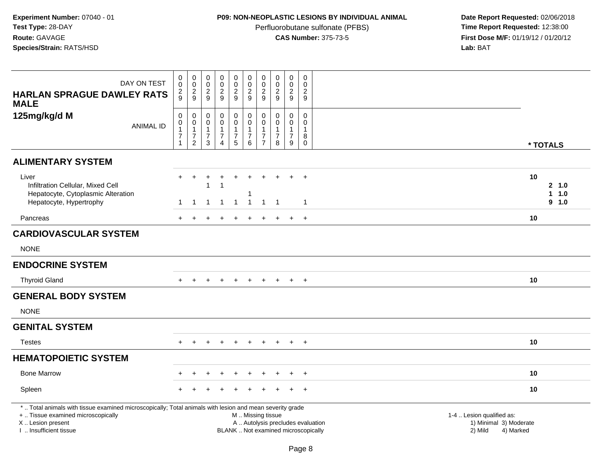# **P09: NON-NEOPLASTIC LESIONS BY INDIVIDUAL ANIMAL**

Perfluorobutane sulfonate (PFBS)<br>**CAS Number:** 375-73-5

| DAY ON TEST<br><b>HARLAN SPRAGUE DAWLEY RATS</b>                                                                                                                                              | $\mathbf 0$<br>$\mathbf 0$<br>$\overline{a}$<br>9                  | $\pmb{0}$<br>$\mathsf{O}\xspace$<br>$\frac{2}{9}$                  | $\pmb{0}$<br>0<br>$\overline{c}$<br>9                              | $\pmb{0}$<br>$\pmb{0}$<br>$\overline{c}$<br>$\overline{9}$       | $\mathsf 0$<br>$\mathbf 0$<br>$\overline{c}$<br>9                   | $\pmb{0}$<br>$\mathbf 0$<br>$\boldsymbol{2}$<br>9                                             | $\pmb{0}$<br>$\mathbf 0$<br>$\overline{2}$<br>9                                | $\pmb{0}$<br>$\mathbf 0$<br>$\overline{2}$<br>9                   | $\pmb{0}$<br>$\mathbf 0$<br>$\overline{2}$<br>$\overline{9}$ | $\mathbf 0$<br>$\mathbf 0$<br>$\overline{c}$<br>9    |                                                                             |
|-----------------------------------------------------------------------------------------------------------------------------------------------------------------------------------------------|--------------------------------------------------------------------|--------------------------------------------------------------------|--------------------------------------------------------------------|------------------------------------------------------------------|---------------------------------------------------------------------|-----------------------------------------------------------------------------------------------|--------------------------------------------------------------------------------|-------------------------------------------------------------------|--------------------------------------------------------------|------------------------------------------------------|-----------------------------------------------------------------------------|
| <b>MALE</b><br>125mg/kg/d M<br><b>ANIMAL ID</b>                                                                                                                                               | $\mathsf 0$<br>0<br>$\mathbf{1}$<br>$\overline{7}$<br>$\mathbf{1}$ | 0<br>$\pmb{0}$<br>$\mathbf{1}$<br>$\overline{7}$<br>$\overline{2}$ | $\mathbf 0$<br>0<br>$\mathbf{1}$<br>$\overline{7}$<br>$\mathbf{3}$ | $\mathbf 0$<br>$\mathbf 0$<br>$\mathbf 1$<br>$\overline{7}$<br>4 | $\mathbf 0$<br>$\mathbf 0$<br>$\mathbf{1}$<br>$\boldsymbol{7}$<br>5 | $\pmb{0}$<br>$\pmb{0}$<br>$\mathbf{1}$<br>$\overline{7}$<br>6                                 | $\mathbf 0$<br>$\mathbf 0$<br>$\mathbf{1}$<br>$\overline{7}$<br>$\overline{7}$ | $\mathbf 0$<br>$\mathbf 0$<br>$\mathbf{1}$<br>$\overline{7}$<br>8 | 0<br>0<br>$\mathbf{1}$<br>$\overline{7}$<br>9                | 0<br>$\mathbf 0$<br>$\mathbf{1}$<br>8<br>$\mathbf 0$ | * TOTALS                                                                    |
| <b>ALIMENTARY SYSTEM</b>                                                                                                                                                                      |                                                                    |                                                                    |                                                                    |                                                                  |                                                                     |                                                                                               |                                                                                |                                                                   |                                                              |                                                      |                                                                             |
| Liver<br>Infiltration Cellular, Mixed Cell<br>Hepatocyte, Cytoplasmic Alteration<br>Hepatocyte, Hypertrophy                                                                                   | $\mathbf 1$                                                        | $\ddot{}$<br>$\overline{1}$                                        | $\ddot{}$<br>1<br>$\mathbf{1}$                                     | $\ddot{}$<br>$\overline{1}$                                      | $\ddot{}$<br>$\overline{1}$                                         | $\ddot{}$<br>-1<br>$\overline{1}$                                                             | $\mathbf{1}$                                                                   | $\overline{1}$                                                    | $\div$                                                       | $+$<br>$\overline{1}$                                | 10<br>2, 1.0<br>$1 1.0$<br>$9 - 1.0$                                        |
| Pancreas                                                                                                                                                                                      |                                                                    |                                                                    |                                                                    |                                                                  |                                                                     |                                                                                               |                                                                                |                                                                   | $\ddot{}$                                                    | $+$                                                  | 10                                                                          |
| <b>CARDIOVASCULAR SYSTEM</b>                                                                                                                                                                  |                                                                    |                                                                    |                                                                    |                                                                  |                                                                     |                                                                                               |                                                                                |                                                                   |                                                              |                                                      |                                                                             |
| <b>NONE</b>                                                                                                                                                                                   |                                                                    |                                                                    |                                                                    |                                                                  |                                                                     |                                                                                               |                                                                                |                                                                   |                                                              |                                                      |                                                                             |
| <b>ENDOCRINE SYSTEM</b>                                                                                                                                                                       |                                                                    |                                                                    |                                                                    |                                                                  |                                                                     |                                                                                               |                                                                                |                                                                   |                                                              |                                                      |                                                                             |
| <b>Thyroid Gland</b>                                                                                                                                                                          |                                                                    |                                                                    |                                                                    |                                                                  |                                                                     |                                                                                               |                                                                                |                                                                   | $\ddot{}$                                                    | $+$                                                  | 10                                                                          |
| <b>GENERAL BODY SYSTEM</b>                                                                                                                                                                    |                                                                    |                                                                    |                                                                    |                                                                  |                                                                     |                                                                                               |                                                                                |                                                                   |                                                              |                                                      |                                                                             |
| <b>NONE</b>                                                                                                                                                                                   |                                                                    |                                                                    |                                                                    |                                                                  |                                                                     |                                                                                               |                                                                                |                                                                   |                                                              |                                                      |                                                                             |
| <b>GENITAL SYSTEM</b>                                                                                                                                                                         |                                                                    |                                                                    |                                                                    |                                                                  |                                                                     |                                                                                               |                                                                                |                                                                   |                                                              |                                                      |                                                                             |
| <b>Testes</b>                                                                                                                                                                                 |                                                                    | $\ddot{}$                                                          | $\div$                                                             | $\div$                                                           | $\ddot{}$                                                           | $+$                                                                                           | $\pm$                                                                          | $\ddot{}$                                                         | $+$                                                          | $+$                                                  | 10                                                                          |
| <b>HEMATOPOIETIC SYSTEM</b>                                                                                                                                                                   |                                                                    |                                                                    |                                                                    |                                                                  |                                                                     |                                                                                               |                                                                                |                                                                   |                                                              |                                                      |                                                                             |
| <b>Bone Marrow</b>                                                                                                                                                                            |                                                                    |                                                                    |                                                                    |                                                                  |                                                                     |                                                                                               |                                                                                |                                                                   |                                                              | $\overline{ }$                                       | 10                                                                          |
| Spleen                                                                                                                                                                                        |                                                                    |                                                                    |                                                                    |                                                                  |                                                                     |                                                                                               |                                                                                |                                                                   |                                                              | $\overline{+}$                                       | 10                                                                          |
| *  Total animals with tissue examined microscopically; Total animals with lesion and mean severity grade<br>+  Tissue examined microscopically<br>X  Lesion present<br>I  Insufficient tissue |                                                                    |                                                                    |                                                                    |                                                                  |                                                                     | M  Missing tissue<br>A  Autolysis precludes evaluation<br>BLANK  Not examined microscopically |                                                                                |                                                                   |                                                              |                                                      | 1-4  Lesion qualified as:<br>1) Minimal 3) Moderate<br>2) Mild<br>4) Marked |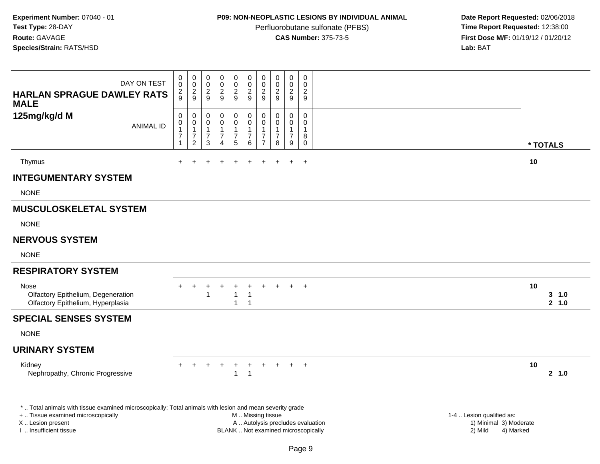# **P09: NON-NEOPLASTIC LESIONS BY INDIVIDUAL ANIMAL**

Perfluorobutane sulfonate (PFBS)<br>**CAS Number:** 375-73-5

| DAY ON TEST<br><b>HARLAN SPRAGUE DAWLEY RATS</b><br><b>MALE</b>                                                                                | $\pmb{0}$<br>$\pmb{0}$<br>$\frac{2}{9}$                                  | $\pmb{0}$<br>$\frac{0}{2}$                                             | $\boldsymbol{0}$<br>$\mathbf 0$<br>$\frac{2}{9}$                       | $\pmb{0}$<br>$\mathbf 0$<br>$\sqrt{2}$<br>9               | $\pmb{0}$<br>$\mathbf 0$<br>$\frac{2}{9}$                         | $\pmb{0}$<br>$\mathsf 0$<br>$\overline{2}$<br>9                          | $\pmb{0}$<br>$\pmb{0}$<br>$\overline{c}$<br>9                       | $\pmb{0}$<br>$\mathbf 0$<br>$\overline{2}$<br>9 | $\pmb{0}$<br>$\pmb{0}$<br>$\overline{c}$<br>9           | $\mathbf 0$<br>$\mathbf 0$<br>$\boldsymbol{2}$<br>9            |                                                |    |                |
|------------------------------------------------------------------------------------------------------------------------------------------------|--------------------------------------------------------------------------|------------------------------------------------------------------------|------------------------------------------------------------------------|-----------------------------------------------------------|-------------------------------------------------------------------|--------------------------------------------------------------------------|---------------------------------------------------------------------|-------------------------------------------------|---------------------------------------------------------|----------------------------------------------------------------|------------------------------------------------|----|----------------|
| 125mg/kg/d M<br><b>ANIMAL ID</b>                                                                                                               | $\pmb{0}$<br>$\pmb{0}$<br>$\mathbf{1}$<br>$\overline{7}$<br>$\mathbf{1}$ | $\mathbf 0$<br>0<br>$\mathbf{1}$<br>$\boldsymbol{7}$<br>$\overline{c}$ | $\mathbf 0$<br>0<br>$\overline{1}$<br>$\boldsymbol{7}$<br>$\mathbf{3}$ | $\mathbf 0$<br>0<br>$\overline{1}$<br>$\overline{7}$<br>4 | $\pmb{0}$<br>$\mathbf 0$<br>$\mathbf{1}$<br>$\boldsymbol{7}$<br>5 | $\mathbf 0$<br>0<br>$\mathbf{1}$<br>$\boldsymbol{7}$<br>6                | $\mathbf 0$<br>$\mathbf 0$<br>1<br>$\overline{7}$<br>$\overline{7}$ | 0<br>0<br>$\mathbf{1}$<br>$\overline{7}$<br>8   | $\mathbf 0$<br>0<br>$\mathbf{1}$<br>$\overline{7}$<br>9 | $\mathbf 0$<br>$\mathbf 0$<br>$\mathbf{1}$<br>8<br>$\mathbf 0$ |                                                |    | * TOTALS       |
| Thymus                                                                                                                                         | $\ddot{}$                                                                |                                                                        |                                                                        |                                                           | $\ddot{}$                                                         |                                                                          |                                                                     |                                                 | $\ddot{}$                                               | $+$                                                            |                                                | 10 |                |
| <b>INTEGUMENTARY SYSTEM</b><br><b>NONE</b>                                                                                                     |                                                                          |                                                                        |                                                                        |                                                           |                                                                   |                                                                          |                                                                     |                                                 |                                                         |                                                                |                                                |    |                |
| <b>MUSCULOSKELETAL SYSTEM</b><br><b>NONE</b>                                                                                                   |                                                                          |                                                                        |                                                                        |                                                           |                                                                   |                                                                          |                                                                     |                                                 |                                                         |                                                                |                                                |    |                |
| <b>NERVOUS SYSTEM</b><br><b>NONE</b>                                                                                                           |                                                                          |                                                                        |                                                                        |                                                           |                                                                   |                                                                          |                                                                     |                                                 |                                                         |                                                                |                                                |    |                |
| <b>RESPIRATORY SYSTEM</b>                                                                                                                      |                                                                          |                                                                        |                                                                        |                                                           |                                                                   |                                                                          |                                                                     |                                                 |                                                         |                                                                |                                                |    |                |
| Nose<br>Olfactory Epithelium, Degeneration<br>Olfactory Epithelium, Hyperplasia                                                                |                                                                          |                                                                        | 1                                                                      |                                                           | $\mathbf{1}$<br>$\mathbf{1}$                                      | -1<br>$\overline{1}$                                                     |                                                                     |                                                 |                                                         | $+$                                                            |                                                | 10 | 3 1.0<br>2 1.0 |
| <b>SPECIAL SENSES SYSTEM</b>                                                                                                                   |                                                                          |                                                                        |                                                                        |                                                           |                                                                   |                                                                          |                                                                     |                                                 |                                                         |                                                                |                                                |    |                |
| <b>NONE</b>                                                                                                                                    |                                                                          |                                                                        |                                                                        |                                                           |                                                                   |                                                                          |                                                                     |                                                 |                                                         |                                                                |                                                |    |                |
| <b>URINARY SYSTEM</b>                                                                                                                          |                                                                          |                                                                        |                                                                        |                                                           |                                                                   |                                                                          |                                                                     |                                                 |                                                         |                                                                |                                                |    |                |
| Kidney<br>Nephropathy, Chronic Progressive                                                                                                     |                                                                          |                                                                        |                                                                        |                                                           | $\ddot{}$<br>1                                                    | $\overline{1}$                                                           |                                                                     |                                                 | $+$                                                     | $+$                                                            |                                                | 10 | 2, 1.0         |
| *  Total animals with tissue examined microscopically; Total animals with lesion and mean severity grade<br>+  Tissue examined microscopically |                                                                          |                                                                        |                                                                        |                                                           |                                                                   | M  Missing tissue                                                        |                                                                     |                                                 |                                                         |                                                                | 1-4  Lesion qualified as:                      |    |                |
| X  Lesion present<br>I  Insufficient tissue                                                                                                    |                                                                          |                                                                        |                                                                        |                                                           |                                                                   | A  Autolysis precludes evaluation<br>BLANK  Not examined microscopically |                                                                     |                                                 |                                                         |                                                                | 1) Minimal 3) Moderate<br>2) Mild<br>4) Marked |    |                |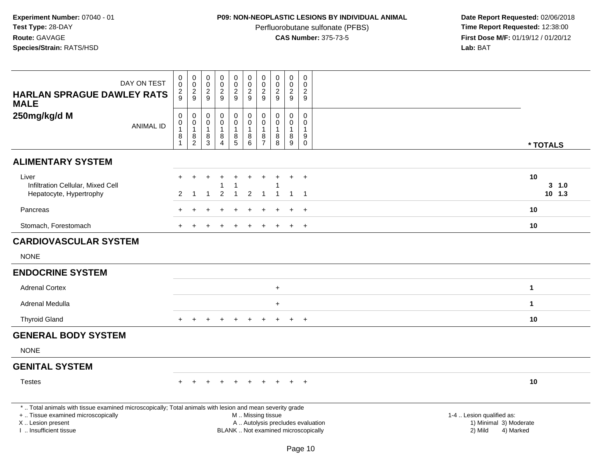# **P09: NON-NEOPLASTIC LESIONS BY INDIVIDUAL ANIMAL**

Perfluorobutane sulfonate (PFBS)<br>**CAS Number:** 375-73-5

| <b>HARLAN SPRAGUE DAWLEY RATS</b><br><b>MALE</b>                                                                                                                                             | DAY ON TEST      | $\pmb{0}$<br>0<br>$\overline{2}$<br>9 | $\begin{smallmatrix} 0\\0 \end{smallmatrix}$<br>$\overline{2}$<br>$\overline{9}$                                 | $\pmb{0}$<br>0<br>$\overline{2}$<br>9           | $\mathbf 0$<br>$\mathbf 0$<br>$\overline{2}$<br>9               | $\pmb{0}$<br>$\mathbf 0$<br>$\overline{2}$<br>9 | $\begin{smallmatrix}0\\0\end{smallmatrix}$<br>$\overline{2}$<br>9                             | $\mathbf 0$<br>$\mathbf 0$<br>$\overline{2}$<br>9                 | $\pmb{0}$<br>0<br>$\overline{c}$<br>9        | $\pmb{0}$<br>$\ddot{\mathbf{0}}$<br>$\overline{2}$<br>9     | $\mathbf 0$<br>$\mathbf{0}$<br>$\overline{2}$<br>9              |                                                                             |
|----------------------------------------------------------------------------------------------------------------------------------------------------------------------------------------------|------------------|---------------------------------------|------------------------------------------------------------------------------------------------------------------|-------------------------------------------------|-----------------------------------------------------------------|-------------------------------------------------|-----------------------------------------------------------------------------------------------|-------------------------------------------------------------------|----------------------------------------------|-------------------------------------------------------------|-----------------------------------------------------------------|-----------------------------------------------------------------------------|
| 250mg/kg/d M                                                                                                                                                                                 | <b>ANIMAL ID</b> | $\pmb{0}$<br>0<br>1<br>$\bf 8$        | $\begin{smallmatrix} 0\\0 \end{smallmatrix}$<br>$\overline{1}$<br>$\begin{smallmatrix} 8 \\ 2 \end{smallmatrix}$ | 0<br>0<br>$\overline{1}$<br>8<br>$\overline{3}$ | $\pmb{0}$<br>$\mathbf 0$<br>$\mathbf{1}$<br>8<br>$\overline{4}$ | 0<br>$\mathbf 0$<br>1<br>$\frac{8}{5}$          | $_{\rm 0}^{\rm 0}$<br>$\mathbf{1}$<br>$\begin{array}{c} 8 \\ 6 \end{array}$                   | $\mathbf 0$<br>$\mathbf 0$<br>$\mathbf{1}$<br>8<br>$\overline{7}$ | 0<br>$\mathbf 0$<br>$\mathbf{1}$<br>$_{8}^8$ | $\pmb{0}$<br>0<br>$\mathbf{1}$<br>$\bf 8$<br>$\overline{9}$ | $\mathbf 0$<br>$\mathbf{0}$<br>$\mathbf{1}$<br>9<br>$\mathbf 0$ | * TOTALS                                                                    |
| <b>ALIMENTARY SYSTEM</b>                                                                                                                                                                     |                  |                                       |                                                                                                                  |                                                 |                                                                 |                                                 |                                                                                               |                                                                   |                                              |                                                             |                                                                 |                                                                             |
| Liver<br>Infiltration Cellular, Mixed Cell<br>Hepatocyte, Hypertrophy                                                                                                                        |                  | $+$<br>2                              | $\pm$<br>-1                                                                                                      | $\ddot{}$<br>$\overline{1}$                     | $\div$<br>$\overline{2}$                                        | $\ddot{}$<br>1                                  | $\ddot{}$<br>2                                                                                | $\ddot{}$<br>$\mathbf 1$                                          |                                              | $+$<br>-1                                                   | $+$<br>$\overline{1}$                                           | 10<br>3, 1.0<br>$10$ 1.3                                                    |
| Pancreas                                                                                                                                                                                     |                  |                                       |                                                                                                                  |                                                 |                                                                 |                                                 |                                                                                               |                                                                   |                                              |                                                             | $\ddot{}$                                                       | 10                                                                          |
| Stomach, Forestomach                                                                                                                                                                         |                  |                                       |                                                                                                                  |                                                 |                                                                 |                                                 |                                                                                               |                                                                   |                                              | $\ddot{}$                                                   | $+$                                                             | 10                                                                          |
| <b>CARDIOVASCULAR SYSTEM</b>                                                                                                                                                                 |                  |                                       |                                                                                                                  |                                                 |                                                                 |                                                 |                                                                                               |                                                                   |                                              |                                                             |                                                                 |                                                                             |
| <b>NONE</b>                                                                                                                                                                                  |                  |                                       |                                                                                                                  |                                                 |                                                                 |                                                 |                                                                                               |                                                                   |                                              |                                                             |                                                                 |                                                                             |
| <b>ENDOCRINE SYSTEM</b>                                                                                                                                                                      |                  |                                       |                                                                                                                  |                                                 |                                                                 |                                                 |                                                                                               |                                                                   |                                              |                                                             |                                                                 |                                                                             |
| <b>Adrenal Cortex</b>                                                                                                                                                                        |                  |                                       |                                                                                                                  |                                                 |                                                                 |                                                 |                                                                                               |                                                                   | $+$                                          |                                                             |                                                                 | $\mathbf 1$                                                                 |
| Adrenal Medulla                                                                                                                                                                              |                  |                                       |                                                                                                                  |                                                 |                                                                 |                                                 |                                                                                               |                                                                   | $+$                                          |                                                             |                                                                 | $\mathbf{1}$                                                                |
| <b>Thyroid Gland</b>                                                                                                                                                                         |                  |                                       |                                                                                                                  |                                                 |                                                                 |                                                 |                                                                                               |                                                                   | $\pm$                                        | $\pm$                                                       | $+$                                                             | 10                                                                          |
| <b>GENERAL BODY SYSTEM</b>                                                                                                                                                                   |                  |                                       |                                                                                                                  |                                                 |                                                                 |                                                 |                                                                                               |                                                                   |                                              |                                                             |                                                                 |                                                                             |
| <b>NONE</b>                                                                                                                                                                                  |                  |                                       |                                                                                                                  |                                                 |                                                                 |                                                 |                                                                                               |                                                                   |                                              |                                                             |                                                                 |                                                                             |
| <b>GENITAL SYSTEM</b>                                                                                                                                                                        |                  |                                       |                                                                                                                  |                                                 |                                                                 |                                                 |                                                                                               |                                                                   |                                              |                                                             |                                                                 |                                                                             |
| <b>Testes</b>                                                                                                                                                                                |                  |                                       |                                                                                                                  |                                                 |                                                                 | $+$                                             | $+$                                                                                           | $+$                                                               | $+$                                          | $+$ $+$                                                     |                                                                 | 10                                                                          |
| *  Total animals with tissue examined microscopically; Total animals with lesion and mean severity grade<br>+  Tissue examined microscopically<br>X Lesion present<br>I  Insufficient tissue |                  |                                       |                                                                                                                  |                                                 |                                                                 |                                                 | M  Missing tissue<br>A  Autolysis precludes evaluation<br>BLANK  Not examined microscopically |                                                                   |                                              |                                                             |                                                                 | 1-4  Lesion qualified as:<br>1) Minimal 3) Moderate<br>2) Mild<br>4) Marked |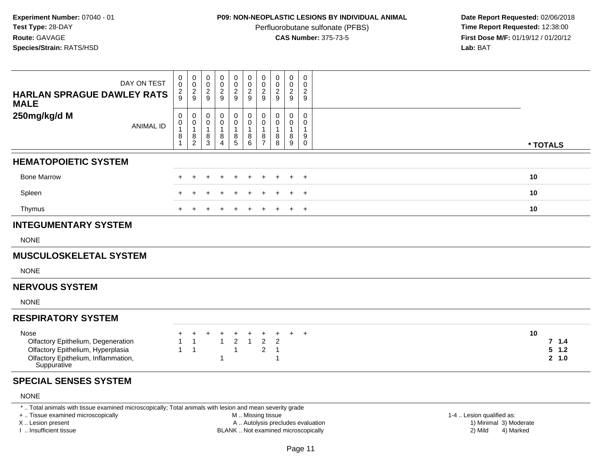### **P09: NON-NEOPLASTIC LESIONS BY INDIVIDUAL ANIMAL**

Perfluorobutane sulfonate (PFBS)<br>**CAS Number:** 375-73-5

 **Date Report Requested:** 02/06/2018 **First Dose M/F:** 01/19/12 / 01/20/12<br>**Lab:** BAT **Lab:** BAT

| DAY ON TEST<br><b>HARLAN SPRAGUE DAWLEY RATS</b><br><b>MALE</b>                                                                       | 0<br>$\ddot{\mathbf{0}}$<br>$\frac{2}{9}$   | 0<br>$\ddot{\mathbf{0}}$<br>$\frac{2}{9}$             | 0<br>0<br>$\frac{2}{9}$            | $\begin{smallmatrix} 0\\0 \end{smallmatrix}$<br>$\frac{2}{9}$ | 0<br>$\mathsf{O}\xspace$<br>$\frac{2}{9}$    | 0<br>$\pmb{0}$<br>$\overline{2}$<br>$\overline{9}$ | 0<br>$\mathbf 0$<br>$\overline{c}$<br>9       | 0<br>$\ddot{\mathbf{0}}$<br>$\frac{2}{9}$ | 0<br>$\pmb{0}$<br>$\overline{2}$<br>9      | 0<br>$\mathbf 0$<br>$\overline{c}$<br>9    |                                    |
|---------------------------------------------------------------------------------------------------------------------------------------|---------------------------------------------|-------------------------------------------------------|------------------------------------|---------------------------------------------------------------|----------------------------------------------|----------------------------------------------------|-----------------------------------------------|-------------------------------------------|--------------------------------------------|--------------------------------------------|------------------------------------|
| 250mg/kg/d M<br><b>ANIMAL ID</b>                                                                                                      | $\mathbf 0$<br>0<br>$\mathbf{1}$<br>8<br>-1 | 0<br>$\pmb{0}$<br>$\mathbf{1}$<br>8<br>$\overline{2}$ | $\Omega$<br>0<br>8<br>$\mathbf{3}$ | 0<br>$\pmb{0}$<br>$\mathbf{1}$<br>$\,8\,$<br>$\overline{4}$   | 0<br>$\mathsf 0$<br>1<br>8<br>$\overline{5}$ | $\mathbf 0$<br>$\pmb{0}$<br>$\mathbf{1}$<br>8<br>6 | $\Omega$<br>0<br>8<br>$\overline{7}$          | 0<br>$\mathbf 0$<br>1<br>8<br>8           | 0<br>$\mathbf 0$<br>$\mathbf{1}$<br>8<br>9 | $\mathbf 0$<br>0<br>-1<br>9<br>$\mathbf 0$ | * TOTALS                           |
| <b>HEMATOPOIETIC SYSTEM</b>                                                                                                           |                                             |                                                       |                                    |                                                               |                                              |                                                    |                                               |                                           |                                            |                                            |                                    |
| <b>Bone Marrow</b>                                                                                                                    |                                             |                                                       |                                    |                                                               |                                              |                                                    |                                               |                                           | $\ddot{}$                                  | $\overline{+}$                             | 10                                 |
| Spleen                                                                                                                                |                                             |                                                       |                                    |                                                               |                                              |                                                    |                                               |                                           |                                            | $\overline{+}$                             | 10                                 |
| Thymus                                                                                                                                |                                             |                                                       |                                    |                                                               |                                              |                                                    |                                               |                                           | $+$                                        | $+$                                        | 10                                 |
| <b>INTEGUMENTARY SYSTEM</b>                                                                                                           |                                             |                                                       |                                    |                                                               |                                              |                                                    |                                               |                                           |                                            |                                            |                                    |
| <b>NONE</b>                                                                                                                           |                                             |                                                       |                                    |                                                               |                                              |                                                    |                                               |                                           |                                            |                                            |                                    |
| <b>MUSCULOSKELETAL SYSTEM</b>                                                                                                         |                                             |                                                       |                                    |                                                               |                                              |                                                    |                                               |                                           |                                            |                                            |                                    |
| <b>NONE</b>                                                                                                                           |                                             |                                                       |                                    |                                                               |                                              |                                                    |                                               |                                           |                                            |                                            |                                    |
| <b>NERVOUS SYSTEM</b>                                                                                                                 |                                             |                                                       |                                    |                                                               |                                              |                                                    |                                               |                                           |                                            |                                            |                                    |
| <b>NONE</b>                                                                                                                           |                                             |                                                       |                                    |                                                               |                                              |                                                    |                                               |                                           |                                            |                                            |                                    |
| <b>RESPIRATORY SYSTEM</b>                                                                                                             |                                             |                                                       |                                    |                                                               |                                              |                                                    |                                               |                                           |                                            |                                            |                                    |
| Nose<br>Olfactory Epithelium, Degeneration<br>Olfactory Epithelium, Hyperplasia<br>Olfactory Epithelium, Inflammation,<br>Suppurative | $\mathbf{1}$                                | $\ddot{}$<br>$\mathbf 1$<br>$\overline{1}$            |                                    | $\overline{1}$<br>-1                                          | +<br>$\overline{c}$<br>$\overline{1}$        | $\mathbf{1}$                                       | $\ddot{}$<br>$\overline{2}$<br>$\overline{c}$ | $\overline{2}$<br>$\mathbf{1}$<br>1       | $\ddot{}$                                  | $+$                                        | 10<br>7.1.4<br>$5 \t1.2$<br>2, 1.0 |
| <b>SPECIAL SENSES SYSTEM</b>                                                                                                          |                                             |                                                       |                                    |                                                               |                                              |                                                    |                                               |                                           |                                            |                                            |                                    |
| <b>NONE</b>                                                                                                                           |                                             |                                                       |                                    |                                                               |                                              |                                                    |                                               |                                           |                                            |                                            |                                    |
| *  Total animals with tissue examined microscopically; Total animals with lesion and mean severity grade                              |                                             |                                                       |                                    |                                                               |                                              |                                                    |                                               |                                           |                                            |                                            |                                    |

+ .. Tissue examined microscopically

X .. Lesion present

I .. Insufficient tissue

M .. Missing tissue

BLANK .. Not examined microscopically

1-4 .. Lesion qualified as:<br>1) Minimal 3) Moderate A .. Autolysis precludes evaluation 19 and 10 minimal 3) Moderate 1 and 20 minimal 3) Moderate 19 minimal 3) Moderat<br>19 and 19 and 19 and 19 and 19 and 19 and 19 and 19 and 19 and 19 and 19 and 19 and 19 and 19 and 19 and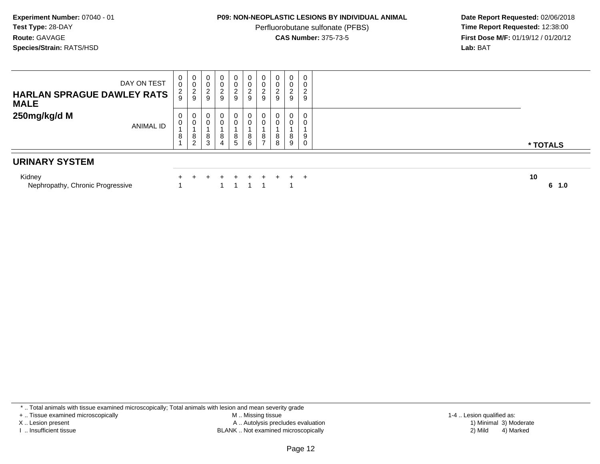## **P09: NON-NEOPLASTIC LESIONS BY INDIVIDUAL ANIMAL**

Perfluorobutane sulfonate (PFBS)<br>**CAS Number:** 375-73-5

 **Date Report Requested:** 02/06/2018 **First Dose M/F:** 01/19/12 / 01/20/12<br>**Lab:** BAT **Lab:** BAT

| DAY ON TEST<br><b>HARLAN SPRAGUE DAWLEY RATS</b><br><b>MALE</b> | $\mathbf{0}$<br>0<br>$\frac{2}{9}$ | $\mathbf 0$<br>$\pmb{0}$<br>$\sqrt{2}$<br>9       | $\mathbf 0$<br>$\sim$<br>∠<br>9 | $\mathbf 0$<br>$\sim$<br>∠ | $\overline{0}$<br>$\pmb{0}$<br>$\frac{2}{9}$ | 0 <sup>1</sup><br>0<br>2<br>9 | $\mathbf{0}$<br>0<br>$\frac{2}{9}$                | 0<br>0<br>C<br>ے<br>9      | $\mathbf 0$<br>$\pmb{0}$<br>$\overline{c}$<br>9 | 0<br>0<br>$\frac{2}{9}$    |            |
|-----------------------------------------------------------------|------------------------------------|---------------------------------------------------|---------------------------------|----------------------------|----------------------------------------------|-------------------------------|---------------------------------------------------|----------------------------|-------------------------------------------------|----------------------------|------------|
| 250mg/kg/d M<br>ANIMAL ID                                       | 0<br>0<br>8                        | $\mathbf 0$<br>$\mathbf 0$<br>8<br>$\overline{2}$ | 0<br>U<br>8<br>3                | $\mathbf 0$<br>8<br>4      | 0<br>0<br>8<br>5                             | 0<br>0<br>8<br>6              | $\mathbf 0$<br>$\mathbf 0$<br>8<br>$\overline{ }$ | 0<br>$\mathbf 0$<br>8<br>8 | 0<br>$\mathsf{O}\xspace$<br>8<br>9              | 0<br>0<br>9<br>$\mathbf 0$ | * TOTALS   |
| <b>URINARY SYSTEM</b>                                           |                                    |                                                   |                                 |                            |                                              |                               |                                                   |                            |                                                 |                            |            |
| Kidney<br>Nephropathy, Chronic Progressive                      |                                    |                                                   |                                 |                            |                                              | ÷.                            |                                                   |                            |                                                 | $+$ $+$                    | 10<br>61.0 |

\* .. Total animals with tissue examined microscopically; Total animals with lesion and mean severity grade

+ .. Tissue examined microscopically

X .. Lesion present

I .. Insufficient tissue

 M .. Missing tissueLesion present A .. Autolysis precludes evaluation 1) Minimal 3) Moderate

BLANK .. Not examined microscopically 2) Mild 4) Marked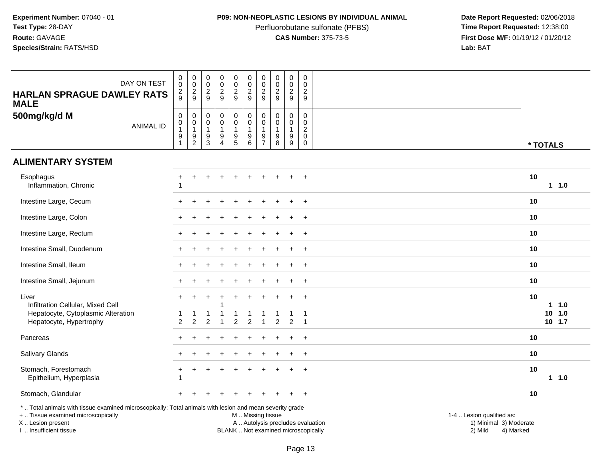# **P09: NON-NEOPLASTIC LESIONS BY INDIVIDUAL ANIMAL**

Perfluorobutane sulfonate (PFBS)<br>**CAS Number:** 375-73-5

 **Date Report Requested:** 02/06/2018 **First Dose M/F:** 01/19/12 / 01/20/12<br>**Lab:** BAT **Lab:** BAT

| DAY ON TEST<br><b>HARLAN SPRAGUE DAWLEY RATS</b><br><b>MALE</b>                                                                                                                               | $\pmb{0}$<br>$\mathbf 0$<br>$\overline{c}$<br>9                 | $\pmb{0}$<br>$\mathsf{O}\xspace$<br>$\overline{2}$<br>$\boldsymbol{9}$ | $\pmb{0}$<br>$\mathbf 0$<br>$\overline{2}$<br>9                                       | $\pmb{0}$<br>$\mathbf 0$<br>$\overline{c}$<br>$\boldsymbol{9}$ | $\pmb{0}$<br>$\mathbf 0$<br>$\overline{2}$<br>$\boldsymbol{9}$                            | $\pmb{0}$<br>$\mathbf 0$<br>$\overline{c}$<br>9                                               | $\pmb{0}$<br>0<br>$\overline{2}$<br>9   | $\pmb{0}$<br>$\mathbf 0$<br>$\sqrt{2}$<br>$9\,$        | $\pmb{0}$<br>0<br>$\overline{2}$<br>9          | $\mathbf 0$<br>$\mathbf 0$<br>$\overline{2}$<br>9                       |                                                                             |
|-----------------------------------------------------------------------------------------------------------------------------------------------------------------------------------------------|-----------------------------------------------------------------|------------------------------------------------------------------------|---------------------------------------------------------------------------------------|----------------------------------------------------------------|-------------------------------------------------------------------------------------------|-----------------------------------------------------------------------------------------------|-----------------------------------------|--------------------------------------------------------|------------------------------------------------|-------------------------------------------------------------------------|-----------------------------------------------------------------------------|
| 500mg/kg/d M<br><b>ANIMAL ID</b>                                                                                                                                                              | $\mathbf 0$<br>$\pmb{0}$<br>$\mathbf{1}$<br>9<br>$\overline{1}$ | 0<br>$\mathbf 0$<br>$\overline{1}$<br>9<br>$\overline{c}$              | $\boldsymbol{0}$<br>$\mathbf 0$<br>$\overline{1}$<br>$\boldsymbol{9}$<br>$\mathbf{3}$ | 0<br>0<br>9<br>4                                               | $\pmb{0}$<br>$\ddot{\mathbf{0}}$<br>$\mathbf{1}$<br>$\begin{array}{c} 9 \\ 5 \end{array}$ | 0<br>$\pmb{0}$<br>$\mathbf{1}$<br>9<br>6                                                      | $\mathbf 0$<br>0<br>9<br>$\overline{7}$ | $\mathbf 0$<br>$\pmb{0}$<br>$\mathbf{1}$<br>$9\,$<br>8 | $\mathbf 0$<br>0<br>1<br>9<br>$\boldsymbol{9}$ | $\mathbf 0$<br>$\mathbf 0$<br>$\overline{c}$<br>$\Omega$<br>$\mathbf 0$ | * TOTALS                                                                    |
| <b>ALIMENTARY SYSTEM</b>                                                                                                                                                                      |                                                                 |                                                                        |                                                                                       |                                                                |                                                                                           |                                                                                               |                                         |                                                        |                                                |                                                                         |                                                                             |
| Esophagus<br>Inflammation, Chronic                                                                                                                                                            |                                                                 |                                                                        |                                                                                       |                                                                |                                                                                           |                                                                                               |                                         |                                                        |                                                |                                                                         | 10<br>$1 1.0$                                                               |
| Intestine Large, Cecum                                                                                                                                                                        |                                                                 |                                                                        |                                                                                       |                                                                |                                                                                           |                                                                                               |                                         |                                                        |                                                | $\div$                                                                  | 10                                                                          |
| Intestine Large, Colon                                                                                                                                                                        |                                                                 |                                                                        |                                                                                       |                                                                |                                                                                           |                                                                                               |                                         |                                                        |                                                | $\ddot{}$                                                               | 10                                                                          |
| Intestine Large, Rectum                                                                                                                                                                       |                                                                 |                                                                        |                                                                                       |                                                                |                                                                                           |                                                                                               |                                         |                                                        |                                                | $\div$                                                                  | 10                                                                          |
| Intestine Small, Duodenum                                                                                                                                                                     |                                                                 |                                                                        |                                                                                       |                                                                |                                                                                           |                                                                                               |                                         |                                                        | $\ddot{}$                                      | $+$                                                                     | 10                                                                          |
| Intestine Small, Ileum                                                                                                                                                                        |                                                                 |                                                                        |                                                                                       |                                                                |                                                                                           |                                                                                               |                                         |                                                        |                                                |                                                                         | 10                                                                          |
| Intestine Small, Jejunum                                                                                                                                                                      |                                                                 |                                                                        |                                                                                       |                                                                |                                                                                           |                                                                                               |                                         |                                                        |                                                |                                                                         | 10                                                                          |
| Liver<br>Infiltration Cellular, Mixed Cell                                                                                                                                                    | $\ddot{}$                                                       |                                                                        |                                                                                       |                                                                |                                                                                           |                                                                                               |                                         |                                                        | $\ddot{}$                                      | $+$                                                                     | 10<br>1 1.0                                                                 |
| Hepatocyte, Cytoplasmic Alteration<br>Hepatocyte, Hypertrophy                                                                                                                                 | 2                                                               | $\overline{c}$                                                         | $\overline{2}$                                                                        |                                                                | 2                                                                                         | $\overline{2}$                                                                                |                                         | 2                                                      | $\overline{c}$                                 | $\overline{1}$                                                          | $10$ 1.0<br>$10$ 1.7                                                        |
| Pancreas                                                                                                                                                                                      |                                                                 |                                                                        |                                                                                       |                                                                |                                                                                           |                                                                                               |                                         |                                                        |                                                |                                                                         | 10                                                                          |
| Salivary Glands                                                                                                                                                                               |                                                                 |                                                                        |                                                                                       |                                                                |                                                                                           |                                                                                               |                                         |                                                        | ÷                                              | $\overline{+}$                                                          | 10                                                                          |
| Stomach, Forestomach<br>Epithelium, Hyperplasia                                                                                                                                               |                                                                 |                                                                        |                                                                                       |                                                                |                                                                                           |                                                                                               |                                         |                                                        |                                                | $\ddot{}$                                                               | 10<br>$1 1.0$                                                               |
| Stomach, Glandular                                                                                                                                                                            |                                                                 |                                                                        |                                                                                       |                                                                |                                                                                           |                                                                                               |                                         |                                                        |                                                | $+$                                                                     | 10                                                                          |
| *  Total animals with tissue examined microscopically; Total animals with lesion and mean severity grade<br>+  Tissue examined microscopically<br>X  Lesion present<br>I  Insufficient tissue |                                                                 |                                                                        |                                                                                       |                                                                |                                                                                           | M  Missing tissue<br>A  Autolysis precludes evaluation<br>BLANK  Not examined microscopically |                                         |                                                        |                                                |                                                                         | 1-4  Lesion qualified as:<br>1) Minimal 3) Moderate<br>2) Mild<br>4) Marked |

I .. Insufficient tissue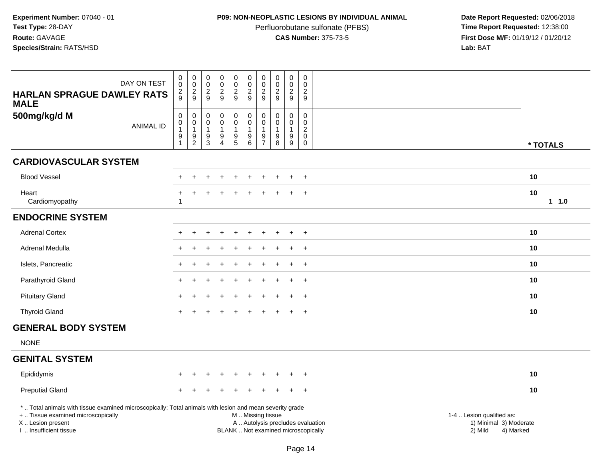# **P09: NON-NEOPLASTIC LESIONS BY INDIVIDUAL ANIMAL**

Perfluorobutane sulfonate (PFBS)<br>**CAS Number:** 375-73-5

|                                                                                                                                                                                               | DAY ON TEST      | $\mathsf{O}\xspace$<br>$\mathsf{O}\xspace$<br>$\overline{c}$                         | $\pmb{0}$<br>$\pmb{0}$                                                | $\begin{smallmatrix} 0\\0 \end{smallmatrix}$<br>$\sqrt{2}$ | $\pmb{0}$<br>$\bar{0}$<br>$\overline{c}$                     | $\pmb{0}$<br>$\ddot{\mathbf{0}}$<br>$\overline{a}$                                   | $\pmb{0}$<br>$\ddot{\mathbf{0}}$<br>$\sqrt{2}$                                | $\pmb{0}$<br>$\mathbf 0$<br>$\sqrt{2}$ | $\pmb{0}$<br>$\pmb{0}$<br>$\sqrt{2}$                             | $\pmb{0}$<br>$\mathbf 0$<br>$\boldsymbol{2}$ | $\pmb{0}$<br>$\mathbf 0$<br>$\overline{c}$                                           |                                                                                                                                                         |      |
|-----------------------------------------------------------------------------------------------------------------------------------------------------------------------------------------------|------------------|--------------------------------------------------------------------------------------|-----------------------------------------------------------------------|------------------------------------------------------------|--------------------------------------------------------------|--------------------------------------------------------------------------------------|-------------------------------------------------------------------------------|----------------------------------------|------------------------------------------------------------------|----------------------------------------------|--------------------------------------------------------------------------------------|---------------------------------------------------------------------------------------------------------------------------------------------------------|------|
| <b>HARLAN SPRAGUE DAWLEY RATS</b><br><b>MALE</b>                                                                                                                                              |                  | 9                                                                                    | $\frac{2}{9}$                                                         | 9                                                          | 9                                                            | $\boldsymbol{9}$                                                                     | 9                                                                             | 9                                      | 9                                                                | 9                                            | 9                                                                                    |                                                                                                                                                         |      |
| 500mg/kg/d M                                                                                                                                                                                  | <b>ANIMAL ID</b> | $\pmb{0}$<br>$\mathsf{O}\xspace$<br>$\mathbf{1}$<br>$\boldsymbol{9}$<br>$\mathbf{1}$ | $\mathbf 0$<br>$\mathbf 0$<br>1<br>$\boldsymbol{9}$<br>$\overline{c}$ | $\pmb{0}$<br>$\mathbf 0$<br>$\mathbf{1}$<br>$\frac{9}{3}$  | 0<br>0<br>$\mathbf{1}$<br>$\boldsymbol{9}$<br>$\overline{4}$ | $\pmb{0}$<br>$\overline{0}$<br>$\mathbf{1}$<br>$\begin{array}{c} 9 \\ 5 \end{array}$ | $_{\rm 0}^{\rm 0}$<br>$\overline{1}$<br>$\begin{array}{c} 9 \\ 6 \end{array}$ | 0<br>$\Omega$<br>9<br>$\overline{7}$   | $\mathbf 0$<br>$\Omega$<br>$\mathbf{1}$<br>$\boldsymbol{9}$<br>8 | 0<br>$\Omega$<br>1<br>9<br>9                 | $\mathbf 0$<br>$\mathsf{O}\xspace$<br>$\boldsymbol{2}$<br>$\mathbf 0$<br>$\mathbf 0$ | * TOTALS                                                                                                                                                |      |
| <b>CARDIOVASCULAR SYSTEM</b>                                                                                                                                                                  |                  |                                                                                      |                                                                       |                                                            |                                                              |                                                                                      |                                                                               |                                        |                                                                  |                                              |                                                                                      |                                                                                                                                                         |      |
| <b>Blood Vessel</b>                                                                                                                                                                           |                  |                                                                                      | ÷                                                                     |                                                            | $\ddot{}$                                                    | $\ddot{}$                                                                            | $\ddot{}$                                                                     |                                        |                                                                  | $\ddot{}$                                    | $^{+}$                                                                               | 10                                                                                                                                                      |      |
| Heart<br>Cardiomyopathy                                                                                                                                                                       |                  | $\div$<br>$\overline{1}$                                                             |                                                                       |                                                            |                                                              |                                                                                      |                                                                               |                                        |                                                                  |                                              | $\overline{+}$                                                                       | 10                                                                                                                                                      | 11.0 |
| <b>ENDOCRINE SYSTEM</b>                                                                                                                                                                       |                  |                                                                                      |                                                                       |                                                            |                                                              |                                                                                      |                                                                               |                                        |                                                                  |                                              |                                                                                      |                                                                                                                                                         |      |
| <b>Adrenal Cortex</b>                                                                                                                                                                         |                  |                                                                                      |                                                                       |                                                            |                                                              |                                                                                      |                                                                               |                                        |                                                                  |                                              |                                                                                      | 10                                                                                                                                                      |      |
| Adrenal Medulla                                                                                                                                                                               |                  |                                                                                      |                                                                       |                                                            |                                                              |                                                                                      |                                                                               |                                        |                                                                  |                                              | $^{+}$                                                                               | 10                                                                                                                                                      |      |
| Islets, Pancreatic                                                                                                                                                                            |                  |                                                                                      |                                                                       |                                                            |                                                              |                                                                                      |                                                                               |                                        |                                                                  |                                              | $+$                                                                                  | 10                                                                                                                                                      |      |
| Parathyroid Gland                                                                                                                                                                             |                  |                                                                                      |                                                                       |                                                            |                                                              |                                                                                      |                                                                               |                                        |                                                                  |                                              | $\ddot{}$                                                                            | 10                                                                                                                                                      |      |
| <b>Pituitary Gland</b>                                                                                                                                                                        |                  |                                                                                      |                                                                       |                                                            |                                                              |                                                                                      |                                                                               |                                        |                                                                  |                                              | $\ddot{}$                                                                            | 10                                                                                                                                                      |      |
| <b>Thyroid Gland</b>                                                                                                                                                                          |                  | $+$                                                                                  |                                                                       |                                                            |                                                              | ÷.                                                                                   |                                                                               |                                        |                                                                  | $\ddot{}$                                    | $^{+}$                                                                               | 10                                                                                                                                                      |      |
| <b>GENERAL BODY SYSTEM</b>                                                                                                                                                                    |                  |                                                                                      |                                                                       |                                                            |                                                              |                                                                                      |                                                                               |                                        |                                                                  |                                              |                                                                                      |                                                                                                                                                         |      |
| <b>NONE</b>                                                                                                                                                                                   |                  |                                                                                      |                                                                       |                                                            |                                                              |                                                                                      |                                                                               |                                        |                                                                  |                                              |                                                                                      |                                                                                                                                                         |      |
| <b>GENITAL SYSTEM</b>                                                                                                                                                                         |                  |                                                                                      |                                                                       |                                                            |                                                              |                                                                                      |                                                                               |                                        |                                                                  |                                              |                                                                                      |                                                                                                                                                         |      |
| Epididymis                                                                                                                                                                                    |                  |                                                                                      |                                                                       |                                                            |                                                              |                                                                                      |                                                                               |                                        |                                                                  |                                              | $\ddot{}$                                                                            | 10                                                                                                                                                      |      |
| <b>Preputial Gland</b>                                                                                                                                                                        |                  |                                                                                      |                                                                       |                                                            |                                                              |                                                                                      |                                                                               |                                        |                                                                  |                                              | $\ddot{}$                                                                            | 10                                                                                                                                                      |      |
| *  Total animals with tissue examined microscopically; Total animals with lesion and mean severity grade<br>+  Tissue examined microscopically<br>X  Lesion present<br>I  Insufficient tissue |                  |                                                                                      |                                                                       |                                                            |                                                              |                                                                                      | M  Missing tissue                                                             |                                        |                                                                  |                                              |                                                                                      | 1-4  Lesion qualified as:<br>A  Autolysis precludes evaluation<br>1) Minimal 3) Moderate<br>BLANK  Not examined microscopically<br>2) Mild<br>4) Marked |      |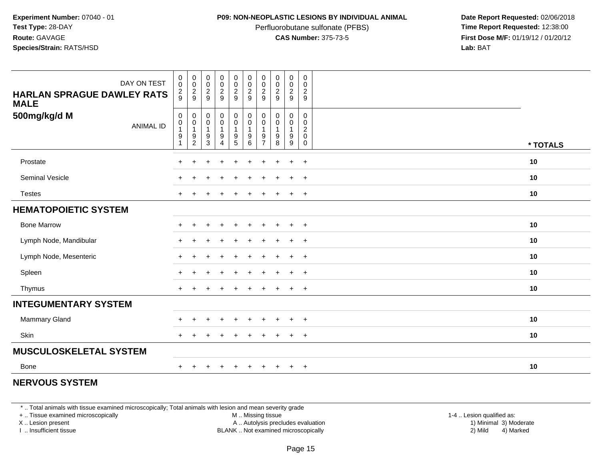### **P09: NON-NEOPLASTIC LESIONS BY INDIVIDUAL ANIMAL**

Perfluorobutane sulfonate (PFBS)<br>**CAS Number:** 375-73-5

 **Date Report Requested:** 02/06/2018 **First Dose M/F:** 01/19/12 / 01/20/12<br>**Lab:** BAT **Lab:** BAT

| DAY ON TEST<br><b>HARLAN SPRAGUE DAWLEY RATS</b><br><b>MALE</b> | $_{\rm 0}^{\rm 0}$<br>$\frac{2}{9}$                               | $_{\rm 0}^{\rm 0}$<br>$\frac{2}{9}$                                              | $\begin{smallmatrix} 0\\0 \end{smallmatrix}$<br>$\overline{c}$<br>9 | $_{\rm 0}^{\rm 0}$<br>$\frac{2}{9}$                                          | $\begin{smallmatrix} 0\\0 \end{smallmatrix}$<br>$\overline{2}$<br>$\boldsymbol{9}$ | $\begin{smallmatrix} 0\\0\\2 \end{smallmatrix}$<br>$\boldsymbol{9}$ | $\mathbf 0$<br>$\mathbf 0$<br>$\sqrt{2}$<br>9           | $\begin{smallmatrix} 0\\0 \end{smallmatrix}$<br>$\sqrt{2}$<br>9   | $\pmb{0}$<br>$\pmb{0}$<br>$\sqrt{2}$<br>9                                | $\mathbf 0$<br>$\mathbf 0$<br>$\boldsymbol{2}$<br>9              |          |
|-----------------------------------------------------------------|-------------------------------------------------------------------|----------------------------------------------------------------------------------|---------------------------------------------------------------------|------------------------------------------------------------------------------|------------------------------------------------------------------------------------|---------------------------------------------------------------------|---------------------------------------------------------|-------------------------------------------------------------------|--------------------------------------------------------------------------|------------------------------------------------------------------|----------|
| 500mg/kg/d M<br><b>ANIMAL ID</b>                                | $\pmb{0}$<br>$\begin{smallmatrix}0\\1\end{smallmatrix}$<br>9<br>1 | $\mathbf 0$<br>$\begin{smallmatrix}0\\1\end{smallmatrix}$<br>9<br>$\overline{c}$ | $\pmb{0}$<br>$\pmb{0}$<br>$\mathbf{1}$<br>$\boldsymbol{9}$<br>3     | $\pmb{0}$<br>$\pmb{0}$<br>$\mathbf{1}$<br>$\boldsymbol{9}$<br>$\overline{4}$ | $\pmb{0}$<br>$\pmb{0}$<br>$\mathbf{1}$<br>$\boldsymbol{9}$<br>$\overline{5}$       | $\pmb{0}$<br>$\pmb{0}$<br>$\mathbf 1$<br>9<br>6                     | 0<br>$\mathbf 0$<br>$\mathbf{1}$<br>9<br>$\overline{7}$ | $\mathbf 0$<br>$\pmb{0}$<br>$\mathbf{1}$<br>$\boldsymbol{9}$<br>8 | 0<br>$\mathbf 0$<br>$\mathbf{1}$<br>$\boldsymbol{9}$<br>$\boldsymbol{9}$ | 0<br>$\mathbf 0$<br>$\overline{c}$<br>$\mathbf 0$<br>$\mathbf 0$ | * TOTALS |
| Prostate                                                        | ÷                                                                 | ÷                                                                                |                                                                     | $\div$                                                                       | $\ddot{}$                                                                          | $\ddot{}$                                                           | ┿                                                       |                                                                   | $\ddot{}$                                                                | $+$                                                              | 10       |
| Seminal Vesicle                                                 |                                                                   |                                                                                  |                                                                     |                                                                              |                                                                                    |                                                                     |                                                         |                                                                   | $\ddot{}$                                                                | $+$                                                              | 10       |
| <b>Testes</b>                                                   |                                                                   |                                                                                  |                                                                     |                                                                              |                                                                                    |                                                                     |                                                         |                                                                   | $\ddot{}$                                                                | $+$                                                              | 10       |
| <b>HEMATOPOIETIC SYSTEM</b>                                     |                                                                   |                                                                                  |                                                                     |                                                                              |                                                                                    |                                                                     |                                                         |                                                                   |                                                                          |                                                                  |          |
| <b>Bone Marrow</b>                                              |                                                                   |                                                                                  |                                                                     |                                                                              |                                                                                    |                                                                     |                                                         |                                                                   | $\ddot{}$                                                                | $\overline{ }$                                                   | 10       |
| Lymph Node, Mandibular                                          | $\ddot{}$                                                         | $\ddot{}$                                                                        |                                                                     |                                                                              |                                                                                    |                                                                     |                                                         |                                                                   | $\ddot{}$                                                                | $+$                                                              | 10       |
| Lymph Node, Mesenteric                                          | $+$                                                               | $+$                                                                              |                                                                     |                                                                              |                                                                                    |                                                                     |                                                         |                                                                   | $\ddot{+}$                                                               | $+$                                                              | 10       |
| Spleen                                                          | $\ddot{}$                                                         |                                                                                  |                                                                     |                                                                              |                                                                                    |                                                                     |                                                         |                                                                   | $\ddot{}$                                                                | $+$                                                              | 10       |
| Thymus                                                          | $\pm$                                                             |                                                                                  |                                                                     |                                                                              |                                                                                    |                                                                     |                                                         |                                                                   | $\pm$                                                                    | $\pm$                                                            | 10       |
| <b>INTEGUMENTARY SYSTEM</b>                                     |                                                                   |                                                                                  |                                                                     |                                                                              |                                                                                    |                                                                     |                                                         |                                                                   |                                                                          |                                                                  |          |
| Mammary Gland                                                   |                                                                   |                                                                                  |                                                                     |                                                                              |                                                                                    |                                                                     |                                                         |                                                                   |                                                                          | $\overline{ }$                                                   | 10       |
| Skin                                                            |                                                                   |                                                                                  |                                                                     |                                                                              |                                                                                    |                                                                     |                                                         |                                                                   |                                                                          | $\overline{ }$                                                   | 10       |
| <b>MUSCULOSKELETAL SYSTEM</b>                                   |                                                                   |                                                                                  |                                                                     |                                                                              |                                                                                    |                                                                     |                                                         |                                                                   |                                                                          |                                                                  |          |
| Bone                                                            | $+$                                                               | $\pm$                                                                            | $\pm$                                                               | $+$                                                                          | $\ddot{}$                                                                          | $+$                                                                 | $+$                                                     | $+$                                                               | $+$                                                                      | $+$                                                              | 10       |

# **NERVOUS SYSTEM**

\* .. Total animals with tissue examined microscopically; Total animals with lesion and mean severity grade

+ .. Tissue examined microscopically

X .. Lesion present

I .. Insufficient tissue

M .. Missing tissue

Lesion present A .. Autolysis precludes evaluation 1) Minimal 3) Moderate

 1-4 .. Lesion qualified as: BLANK .. Not examined microscopically 2) Mild 4) Marked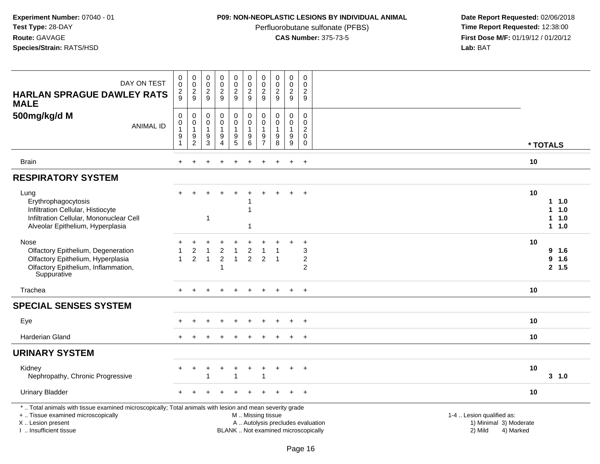# **P09: NON-NEOPLASTIC LESIONS BY INDIVIDUAL ANIMAL**

Perfluorobutane sulfonate (PFBS)<br>**CAS Number:** 375-73-5

| DAY ON TEST<br><b>HARLAN SPRAGUE DAWLEY RATS</b><br><b>MALE</b>                                                                                                                               | $\pmb{0}$<br>$\mathbf 0$<br>$\overline{c}$<br>9                             | $\mathbf 0$<br>$\pmb{0}$<br>$\frac{2}{9}$                     | $\pmb{0}$<br>$\pmb{0}$<br>$\frac{2}{9}$                                            | $\pmb{0}$<br>$\pmb{0}$<br>$\overline{2}$<br>9 | $\pmb{0}$<br>$\mathbf 0$<br>$\sqrt{2}$<br>9                                       | $\pmb{0}$<br>$\pmb{0}$<br>$\overline{c}$<br>9                                                 | $\pmb{0}$<br>0<br>$\sqrt{2}$<br>9                                       | $\mathbf 0$<br>$\mathbf 0$<br>$\overline{2}$<br>9                   | $\pmb{0}$<br>$\pmb{0}$<br>$\frac{2}{9}$                                | $\boldsymbol{0}$<br>$\Omega$<br>$\overline{c}$<br>9                          |                                                                             |                                        |
|-----------------------------------------------------------------------------------------------------------------------------------------------------------------------------------------------|-----------------------------------------------------------------------------|---------------------------------------------------------------|------------------------------------------------------------------------------------|-----------------------------------------------|-----------------------------------------------------------------------------------|-----------------------------------------------------------------------------------------------|-------------------------------------------------------------------------|---------------------------------------------------------------------|------------------------------------------------------------------------|------------------------------------------------------------------------------|-----------------------------------------------------------------------------|----------------------------------------|
| 500mg/kg/d M<br><b>ANIMAL ID</b>                                                                                                                                                              | $\mathbf 0$<br>$\mathsf{O}\xspace$<br>$\mathbf{1}$<br>$\boldsymbol{9}$<br>1 | $\mathbf 0$<br>$\mathbf 0$<br>$\overline{1}$<br>$\frac{9}{2}$ | $\mathbf 0$<br>$\mathbf 0$<br>$\overline{1}$<br>$\boldsymbol{9}$<br>$\overline{3}$ | 0<br>$\pmb{0}$<br>1<br>$\boldsymbol{9}$<br>4  | 0<br>$\mathsf{O}\xspace$<br>$\mathbf{1}$<br>$\begin{array}{c} 9 \\ 5 \end{array}$ | $\mathbf 0$<br>$\pmb{0}$<br>$\mathbf{1}$<br>$\boldsymbol{9}$<br>$\overline{6}$                | $\mathbf 0$<br>$\mathbf 0$<br>$\overline{1}$<br>$9\,$<br>$\overline{7}$ | $\mathbf 0$<br>$\mathbf 0$<br>$\mathbf{1}$<br>$\boldsymbol{9}$<br>8 | 0<br>$\mathbf 0$<br>$\mathbf{1}$<br>$\boldsymbol{9}$<br>$\overline{9}$ | $\mathbf 0$<br>$\Omega$<br>$\overline{c}$<br>0<br>0                          | * TOTALS                                                                    |                                        |
| Brain                                                                                                                                                                                         | $\ddot{}$                                                                   |                                                               |                                                                                    | ÷.                                            |                                                                                   | $\ddot{}$                                                                                     | ÷                                                                       |                                                                     | $+$                                                                    | $+$                                                                          | 10                                                                          |                                        |
| <b>RESPIRATORY SYSTEM</b>                                                                                                                                                                     |                                                                             |                                                               |                                                                                    |                                               |                                                                                   |                                                                                               |                                                                         |                                                                     |                                                                        |                                                                              |                                                                             |                                        |
| Lung<br>Erythrophagocytosis<br>Infiltration Cellular, Histiocyte<br>Infiltration Cellular, Mononuclear Cell<br>Alveolar Epithelium, Hyperplasia                                               |                                                                             |                                                               | 1                                                                                  |                                               |                                                                                   | -1<br>1                                                                                       |                                                                         |                                                                     |                                                                        | $\div$                                                                       | 10                                                                          | $1 \t1.0$<br>1 1.0<br>1 1.0<br>$1 1.0$ |
| Nose<br>Olfactory Epithelium, Degeneration<br>Olfactory Epithelium, Hyperplasia<br>Olfactory Epithelium, Inflammation,<br>Suppurative                                                         | $\overline{1}$                                                              | $\overline{c}$<br>$\overline{c}$                              | 1<br>$\overline{1}$                                                                | $\boldsymbol{2}$<br>$\overline{2}$<br>1       | 1<br>$\mathbf{1}$                                                                 | $\overline{c}$<br>$\overline{2}$                                                              | 2                                                                       | $\overline{1}$                                                      |                                                                        | $\ddot{}$<br>$\ensuremath{\mathsf{3}}$<br>$\boldsymbol{2}$<br>$\overline{2}$ | 10                                                                          | 9 1.6<br>9 1.6<br>2, 1.5               |
| Trachea                                                                                                                                                                                       |                                                                             |                                                               |                                                                                    |                                               |                                                                                   |                                                                                               |                                                                         |                                                                     |                                                                        | $\ddot{}$                                                                    | 10                                                                          |                                        |
| <b>SPECIAL SENSES SYSTEM</b>                                                                                                                                                                  |                                                                             |                                                               |                                                                                    |                                               |                                                                                   |                                                                                               |                                                                         |                                                                     |                                                                        |                                                                              |                                                                             |                                        |
| Eye                                                                                                                                                                                           |                                                                             |                                                               |                                                                                    |                                               |                                                                                   |                                                                                               |                                                                         |                                                                     |                                                                        | $+$                                                                          | 10                                                                          |                                        |
| <b>Harderian Gland</b>                                                                                                                                                                        |                                                                             |                                                               |                                                                                    |                                               |                                                                                   |                                                                                               |                                                                         |                                                                     | $\ddot{}$                                                              | $+$                                                                          | 10                                                                          |                                        |
| <b>URINARY SYSTEM</b>                                                                                                                                                                         |                                                                             |                                                               |                                                                                    |                                               |                                                                                   |                                                                                               |                                                                         |                                                                     |                                                                        |                                                                              |                                                                             |                                        |
| Kidney<br>Nephropathy, Chronic Progressive                                                                                                                                                    |                                                                             | +                                                             |                                                                                    | ÷                                             | $\ddot{}$                                                                         | $\ddot{}$                                                                                     | +                                                                       | ÷                                                                   | $\ddot{}$                                                              | $+$                                                                          | 10                                                                          | 3, 1.0                                 |
| <b>Urinary Bladder</b>                                                                                                                                                                        |                                                                             |                                                               |                                                                                    |                                               |                                                                                   |                                                                                               |                                                                         |                                                                     |                                                                        |                                                                              | 10                                                                          |                                        |
| *  Total animals with tissue examined microscopically; Total animals with lesion and mean severity grade<br>+  Tissue examined microscopically<br>X  Lesion present<br>I. Insufficient tissue |                                                                             |                                                               |                                                                                    |                                               |                                                                                   | M  Missing tissue<br>A  Autolysis precludes evaluation<br>BLANK  Not examined microscopically |                                                                         |                                                                     |                                                                        |                                                                              | 1-4  Lesion qualified as:<br>1) Minimal 3) Moderate<br>2) Mild<br>4) Marked |                                        |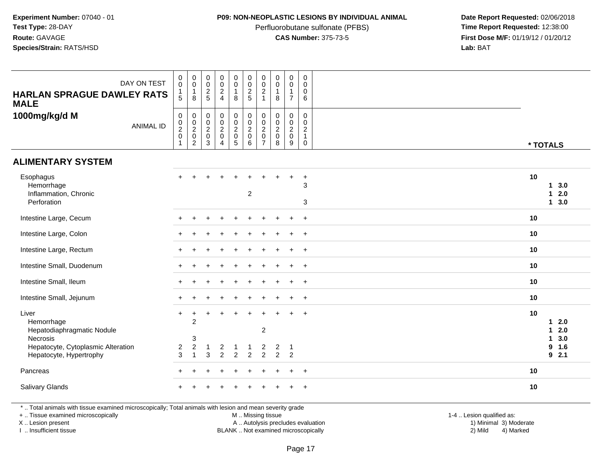### **P09: NON-NEOPLASTIC LESIONS BY INDIVIDUAL ANIMAL**

Perfluorobutane sulfonate (PFBS)<br>**CAS Number:** 375-73-5

 **Date Report Requested:** 02/06/2018 **First Dose M/F:** 01/19/12 / 01/20/12<br>**Lab:** BAT **Lab:** BAT

| DAY ON TEST<br><b>HARLAN SPRAGUE DAWLEY RATS</b><br><b>MALE</b>                                                                | $\pmb{0}$<br>$\overline{0}$<br>$\begin{array}{c} 1 \\ 5 \end{array}$ | $\pmb{0}$<br>$\overline{0}$<br>$\mathbf{1}$<br>8              | $\begin{array}{c} 0 \\ 0 \\ 2 \\ 5 \end{array}$     | $\begin{matrix} 0 \\ 0 \\ 2 \\ 4 \end{matrix}$                   | $\begin{smallmatrix}0\0\0\end{smallmatrix}$<br>$\mathbf{1}$<br>8   | $\begin{array}{c}\n0 \\ 0 \\ 2 \\ 5\n\end{array}$         | $\pmb{0}$<br>$\mathbf 0$<br>$\overline{2}$<br>$\overline{1}$                | $\pmb{0}$<br>$\mathbf 0$<br>1<br>8                           | $\begin{smallmatrix}0\0\0\end{smallmatrix}$<br>$\mathbf{1}$<br>$\overline{7}$ | $\mathbf 0$<br>$\mathbf 0$<br>$\mathbf 0$<br>6                              |                                                                       |
|--------------------------------------------------------------------------------------------------------------------------------|----------------------------------------------------------------------|---------------------------------------------------------------|-----------------------------------------------------|------------------------------------------------------------------|--------------------------------------------------------------------|-----------------------------------------------------------|-----------------------------------------------------------------------------|--------------------------------------------------------------|-------------------------------------------------------------------------------|-----------------------------------------------------------------------------|-----------------------------------------------------------------------|
| 1000mg/kg/d M<br><b>ANIMAL ID</b>                                                                                              | $\pmb{0}$<br>$\frac{0}{2}$<br>$\mathbf{1}$                           | $\mathbf 0$<br>$\frac{0}{2}$<br>$\mathsf 0$<br>$\overline{c}$ | $\begin{matrix} 0 \\ 0 \\ 2 \\ 0 \end{matrix}$<br>3 | $\begin{matrix} 0 \\ 0 \\ 2 \\ 0 \end{matrix}$<br>$\overline{4}$ | $\begin{array}{c} 0 \\ 0 \\ 2 \\ 0 \end{array}$<br>$5\phantom{.0}$ | $\begin{matrix} 0 \\ 0 \\ 2 \\ 0 \end{matrix}$<br>$\,6\,$ | $\pmb{0}$<br>$\mathbf 0$<br>$\overline{2}$<br>$\mathbf 0$<br>$\overline{7}$ | $\pmb{0}$<br>$\pmb{0}$<br>$\overline{2}$<br>$\mathbf 0$<br>8 | $\mathbf 0$<br>$\frac{0}{2}$<br>$\mathbf 0$<br>9                              | $\mathbf 0$<br>$\mathbf 0$<br>$\overline{2}$<br>$\mathbf{1}$<br>$\mathbf 0$ | * TOTALS                                                              |
| <b>ALIMENTARY SYSTEM</b>                                                                                                       |                                                                      |                                                               |                                                     |                                                                  |                                                                    |                                                           |                                                                             |                                                              |                                                                               |                                                                             |                                                                       |
| Esophagus<br>Hemorrhage<br>Inflammation, Chronic<br>Perforation                                                                |                                                                      |                                                               |                                                     |                                                                  |                                                                    | $\overline{2}$                                            |                                                                             |                                                              |                                                                               | $\ddot{}$<br>3<br>3                                                         | 10<br>13.0<br>2.0<br>1<br>3.0<br>$\mathbf{1}$                         |
| Intestine Large, Cecum                                                                                                         |                                                                      |                                                               |                                                     |                                                                  |                                                                    |                                                           |                                                                             |                                                              |                                                                               | $+$                                                                         | 10                                                                    |
| Intestine Large, Colon                                                                                                         |                                                                      |                                                               |                                                     |                                                                  |                                                                    |                                                           |                                                                             |                                                              |                                                                               | $\ddot{}$                                                                   | 10                                                                    |
| Intestine Large, Rectum                                                                                                        |                                                                      |                                                               |                                                     |                                                                  |                                                                    |                                                           |                                                                             |                                                              |                                                                               | $\ddot{}$                                                                   | 10                                                                    |
| Intestine Small, Duodenum                                                                                                      |                                                                      |                                                               |                                                     |                                                                  |                                                                    |                                                           |                                                                             |                                                              | $\ddot{}$                                                                     | $+$                                                                         | 10                                                                    |
| Intestine Small, Ileum                                                                                                         |                                                                      |                                                               |                                                     |                                                                  |                                                                    |                                                           |                                                                             |                                                              |                                                                               | $+$                                                                         | 10                                                                    |
| Intestine Small, Jejunum                                                                                                       |                                                                      |                                                               |                                                     |                                                                  |                                                                    |                                                           |                                                                             |                                                              | $\ddot{}$                                                                     | $+$                                                                         | 10                                                                    |
| Liver<br>Hemorrhage<br>Hepatodiaphragmatic Nodule<br>Necrosis<br>Hepatocyte, Cytoplasmic Alteration<br>Hepatocyte, Hypertrophy | $\ddot{}$<br>$\overline{c}$<br>3                                     | +<br>$\overline{2}$<br>3<br>$\boldsymbol{2}$<br>1             | -1<br>3                                             | $\overline{c}$<br>$\overline{2}$                                 | $\overline{2}$                                                     | -1<br>$\overline{2}$                                      | $\boldsymbol{2}$<br>2<br>$\overline{2}$                                     | $\overline{c}$<br>$\overline{2}$                             | $\mathbf{1}$<br>$\overline{2}$                                                | $\ddot{}$                                                                   | 10<br>2.0<br>1<br>2.0<br>1<br>3.0<br>$\mathbf{1}$<br>9<br>1.6<br>92.1 |
| Pancreas                                                                                                                       |                                                                      |                                                               |                                                     |                                                                  |                                                                    |                                                           |                                                                             |                                                              | $\ddot{}$                                                                     | $+$                                                                         | 10                                                                    |
| <b>Salivary Glands</b>                                                                                                         |                                                                      |                                                               |                                                     |                                                                  |                                                                    |                                                           |                                                                             |                                                              |                                                                               |                                                                             | 10                                                                    |

\* .. Total animals with tissue examined microscopically; Total animals with lesion and mean severity grade

+ .. Tissue examined microscopically

X .. Lesion present

I .. Insufficient tissue

M .. Missing tissue

Lesion present A .. Autolysis precludes evaluation 1) Minimal 3) Moderate

1-4 .. Lesion qualified as:<br>1) Minimal 3) Moderate BLANK .. Not examined microscopically 2) Mild 4) Marked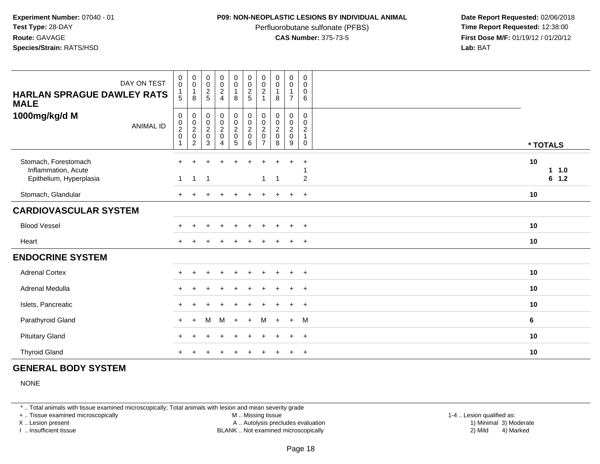### **P09: NON-NEOPLASTIC LESIONS BY INDIVIDUAL ANIMAL**

Perfluorobutane sulfonate (PFBS)<br>**CAS Number:** 375-73-5

 **Date Report Requested:** 02/06/2018 **First Dose M/F:** 01/19/12 / 01/20/12<br>**Lab:** BAT **Lab:** BAT

| DAY ON TEST<br><b>HARLAN SPRAGUE DAWLEY RATS</b><br><b>MALE</b>        | $\mathbf 0$<br>$\pmb{0}$<br>$\mathbf{1}$<br>5                  | $\pmb{0}$<br>$\pmb{0}$<br>$\mathbf{1}$<br>8                    | $\pmb{0}$<br>$\pmb{0}$<br>$\boldsymbol{2}$<br>5                                    | 0<br>$\pmb{0}$<br>$\frac{2}{4}$ | $\mathsf 0$<br>$\pmb{0}$<br>$\mathbf{1}$<br>8                                        | $\begin{smallmatrix} 0\\0 \end{smallmatrix}$<br>$\frac{2}{5}$           | $\pmb{0}$<br>$\frac{0}{2}$<br>$\overline{1}$                                                       | $\pmb{0}$<br>$\pmb{0}$<br>$\mathbf{1}$<br>8                                 | 0<br>$\pmb{0}$<br>1<br>$\overline{7}$                               | 0<br>$\pmb{0}$<br>$\mathbf 0$<br>6                              |                      |
|------------------------------------------------------------------------|----------------------------------------------------------------|----------------------------------------------------------------|------------------------------------------------------------------------------------|---------------------------------|--------------------------------------------------------------------------------------|-------------------------------------------------------------------------|----------------------------------------------------------------------------------------------------|-----------------------------------------------------------------------------|---------------------------------------------------------------------|-----------------------------------------------------------------|----------------------|
| 1000mg/kg/d M<br><b>ANIMAL ID</b>                                      | 0<br>$\begin{smallmatrix} 0\\2 \end{smallmatrix}$<br>$\pmb{0}$ | $\mathbf 0$<br>$_{2}^{\rm 0}$<br>$\pmb{0}$<br>$\boldsymbol{2}$ | $\boldsymbol{0}$<br>$\begin{smallmatrix} 0\\2 \end{smallmatrix}$<br>$\pmb{0}$<br>3 | 0<br>$\frac{0}{2}$<br>4         | $\pmb{0}$<br>$\begin{smallmatrix} 0\\2 \end{smallmatrix}$<br>$\pmb{0}$<br>$\sqrt{5}$ | $\begin{smallmatrix} 0\\0\\2 \end{smallmatrix}$<br>$\pmb{0}$<br>$\,6\,$ | $\pmb{0}$<br>$\begin{smallmatrix} 0\\2 \end{smallmatrix}$<br>$\mathsf{O}\xspace$<br>$\overline{7}$ | $\pmb{0}$<br>$\begin{smallmatrix} 0\\2 \end{smallmatrix}$<br>$\pmb{0}$<br>8 | 0<br>$\begin{smallmatrix} 0\\2 \end{smallmatrix}$<br>$\pmb{0}$<br>9 | 0<br>$\mathbf 0$<br>$\overline{c}$<br>$\mathbf{1}$<br>$\pmb{0}$ | * TOTALS             |
| Stomach, Forestomach<br>Inflammation, Acute<br>Epithelium, Hyperplasia | $+$<br>$\mathbf{1}$                                            | $\mathbf{1}$                                                   | $\overline{1}$                                                                     | $\ddot{}$                       | $\ddot{}$                                                                            | $\ddot{}$                                                               | $\ddot{}$<br>1                                                                                     | $\ddot{}$<br>$\overline{1}$                                                 | $\ddot{}$                                                           | $\ddot{}$<br>$\overline{2}$                                     | 10<br>1 1.0<br>6 1.2 |
| Stomach, Glandular                                                     | $+$                                                            |                                                                |                                                                                    | $\pm$                           | $\ddot{}$                                                                            | $\ddot{}$                                                               | $+$                                                                                                | $+$                                                                         | $+$                                                                 | $+$                                                             | 10                   |
| <b>CARDIOVASCULAR SYSTEM</b>                                           |                                                                |                                                                |                                                                                    |                                 |                                                                                      |                                                                         |                                                                                                    |                                                                             |                                                                     |                                                                 |                      |
| <b>Blood Vessel</b>                                                    |                                                                |                                                                |                                                                                    |                                 | $\ddot{}$                                                                            | $\ddot{}$                                                               |                                                                                                    | $\div$                                                                      | $\pm$                                                               | $+$                                                             | 10                   |
| Heart                                                                  |                                                                |                                                                |                                                                                    |                                 |                                                                                      |                                                                         |                                                                                                    |                                                                             | $\ddot{}$                                                           | $+$                                                             | 10                   |
| <b>ENDOCRINE SYSTEM</b>                                                |                                                                |                                                                |                                                                                    |                                 |                                                                                      |                                                                         |                                                                                                    |                                                                             |                                                                     |                                                                 |                      |
| <b>Adrenal Cortex</b>                                                  |                                                                |                                                                |                                                                                    | $\div$                          | $\ddot{}$                                                                            | $\ddot{}$                                                               | $\pm$                                                                                              | $\ddot{}$                                                                   | $+$                                                                 | $+$                                                             | 10                   |
| Adrenal Medulla                                                        |                                                                |                                                                |                                                                                    |                                 |                                                                                      |                                                                         |                                                                                                    |                                                                             | $\ddot{}$                                                           | $^{+}$                                                          | 10                   |
| Islets, Pancreatic                                                     |                                                                |                                                                |                                                                                    |                                 |                                                                                      |                                                                         |                                                                                                    |                                                                             | ÷                                                                   | $\overline{+}$                                                  | 10                   |
| Parathyroid Gland                                                      | $\ddot{}$                                                      | $\ddot{}$                                                      | M                                                                                  | M                               | $\pm$                                                                                | $\ddot{}$                                                               | М                                                                                                  | $\ddot{}$                                                                   | $+$                                                                 | M                                                               | 6                    |
| <b>Pituitary Gland</b>                                                 |                                                                |                                                                |                                                                                    |                                 |                                                                                      |                                                                         |                                                                                                    |                                                                             | $\ddot{}$                                                           | $\ddot{}$                                                       | 10                   |
| <b>Thyroid Gland</b>                                                   |                                                                |                                                                |                                                                                    |                                 |                                                                                      |                                                                         |                                                                                                    |                                                                             | ÷                                                                   | $^{+}$                                                          | 10                   |

# **GENERAL BODY SYSTEM**

NONE

\* .. Total animals with tissue examined microscopically; Total animals with lesion and mean severity grade

+ .. Tissue examined microscopically

X .. Lesion present

I .. Insufficient tissue

 M .. Missing tissueLesion present A .. Autolysis precludes evaluation 1) Minimal 3) Moderate

BLANK .. Not examined microscopically 2) Mild 4) Marked

1-4 .. Lesion qualified as: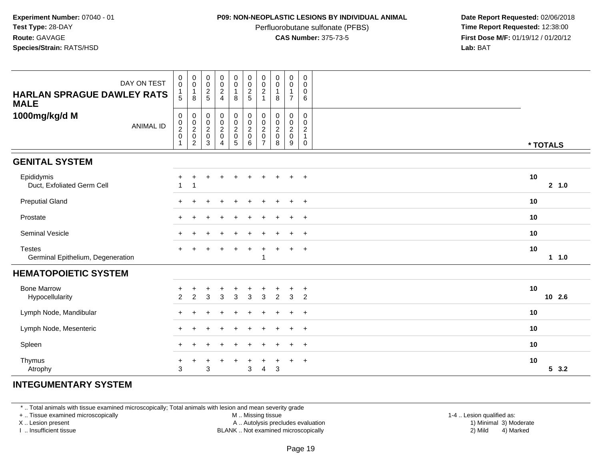### **P09: NON-NEOPLASTIC LESIONS BY INDIVIDUAL ANIMAL**

Perfluorobutane sulfonate (PFBS)<br>**CAS Number:** 375-73-5

 **Date Report Requested:** 02/06/2018 **First Dose M/F:** 01/19/12 / 01/20/12<br>**Lab:** BAT **Lab:** BAT

| DAY ON TEST<br><b>HARLAN SPRAGUE DAWLEY RATS</b><br><b>MALE</b> | $\pmb{0}$<br>$\mathsf{O}\xspace$<br>$\begin{array}{c} 1 \\ 5 \end{array}$            | $\pmb{0}$<br>$\pmb{0}$<br>$\mathbf{1}$<br>8           | 0<br>$\frac{0}{2}$                                                          | $\begin{matrix} 0 \\ 0 \\ 2 \\ 4 \end{matrix}$                   | $\mathbf 0$<br>$\pmb{0}$<br>$\mathbf{1}$<br>8                               | $\pmb{0}$<br>$\frac{0}{2}$                                   | $\pmb{0}$<br>$\pmb{0}$<br>$\overline{c}$<br>$\mathbf{1}$ | $\pmb{0}$<br>$\pmb{0}$<br>$\mathbf{1}$<br>8                        | $\begin{smallmatrix}0\0\0\end{smallmatrix}$<br>$\mathbf{1}$<br>$\overline{7}$ | $\pmb{0}$<br>0<br>0<br>6                                            |               |
|-----------------------------------------------------------------|--------------------------------------------------------------------------------------|-------------------------------------------------------|-----------------------------------------------------------------------------|------------------------------------------------------------------|-----------------------------------------------------------------------------|--------------------------------------------------------------|----------------------------------------------------------|--------------------------------------------------------------------|-------------------------------------------------------------------------------|---------------------------------------------------------------------|---------------|
| 1000mg/kg/d M<br><b>ANIMAL ID</b>                               | $\pmb{0}$<br>$\begin{smallmatrix} 0\\2 \end{smallmatrix}$<br>$\,0\,$<br>$\mathbf{1}$ | $_{\rm 0}^{\rm 0}$<br>$\frac{2}{0}$<br>$\overline{c}$ | $\begin{smallmatrix}0\\0\end{smallmatrix}$<br>$\frac{2}{0}$<br>$\mathbf{3}$ | $\begin{matrix} 0 \\ 0 \\ 2 \\ 0 \end{matrix}$<br>$\overline{4}$ | $\begin{smallmatrix} 0\\0 \end{smallmatrix}$<br>$\frac{2}{0}$<br>$\sqrt{5}$ | $_{\rm 0}^{\rm 0}$<br>$\overline{2}$<br>$\pmb{0}$<br>$\,6\,$ | 0<br>$\pmb{0}$<br>$\overline{2}$<br>$\mathsf 0$<br>7     | $\begin{smallmatrix} 0\\0 \end{smallmatrix}$<br>$\frac{2}{0}$<br>8 | $\begin{smallmatrix}0\0\0\end{smallmatrix}$<br>$\frac{2}{0}$<br>9             | 0<br>$\mathsf{O}$<br>$\overline{c}$<br>$\mathbf{1}$<br>$\mathsf{O}$ | * TOTALS      |
| <b>GENITAL SYSTEM</b>                                           |                                                                                      |                                                       |                                                                             |                                                                  |                                                                             |                                                              |                                                          |                                                                    |                                                                               |                                                                     |               |
| Epididymis<br>Duct, Exfoliated Germ Cell                        | 1                                                                                    | 1                                                     | $\pm$                                                                       | $\div$                                                           | $\div$                                                                      |                                                              |                                                          |                                                                    |                                                                               | $\ddot{}$                                                           | 10<br>2, 1.0  |
| <b>Preputial Gland</b>                                          |                                                                                      |                                                       |                                                                             |                                                                  |                                                                             |                                                              |                                                          |                                                                    | $\ddot{}$                                                                     | $\overline{+}$                                                      | 10            |
| Prostate                                                        | $\pm$                                                                                |                                                       |                                                                             |                                                                  |                                                                             |                                                              |                                                          |                                                                    | $\ddot{}$                                                                     | $\overline{+}$                                                      | 10            |
| Seminal Vesicle                                                 | $+$                                                                                  |                                                       |                                                                             |                                                                  |                                                                             |                                                              |                                                          |                                                                    | $\ddot{}$                                                                     | $+$                                                                 | 10            |
| <b>Testes</b><br>Germinal Epithelium, Degeneration              | $+$                                                                                  |                                                       |                                                                             |                                                                  | $\ddot{}$                                                                   | $+$                                                          | $\ddot{}$<br>$\mathbf{1}$                                |                                                                    | $+$                                                                           | $+$                                                                 | 10<br>$1 1.0$ |
| <b>HEMATOPOIETIC SYSTEM</b>                                     |                                                                                      |                                                       |                                                                             |                                                                  |                                                                             |                                                              |                                                          |                                                                    |                                                                               |                                                                     |               |
| <b>Bone Marrow</b><br>Hypocellularity                           | $\overline{2}$                                                                       | $\overline{2}$                                        | 3                                                                           | 3                                                                | $\mathbf{3}$                                                                | 3                                                            | 3                                                        | $\overline{c}$                                                     | $\ddot{}$<br>3                                                                | $+$<br>2                                                            | 10<br>10 2.6  |
| Lymph Node, Mandibular                                          |                                                                                      |                                                       |                                                                             |                                                                  |                                                                             |                                                              |                                                          |                                                                    |                                                                               | $\overline{+}$                                                      | 10            |
| Lymph Node, Mesenteric                                          |                                                                                      |                                                       |                                                                             |                                                                  |                                                                             |                                                              |                                                          |                                                                    | $\ddot{}$                                                                     | $\overline{+}$                                                      | 10            |
| Spleen                                                          | +                                                                                    | ÷                                                     |                                                                             |                                                                  |                                                                             |                                                              |                                                          |                                                                    | $\ddot{}$                                                                     | $+$                                                                 | 10            |
| Thymus<br>Atrophy                                               | $\ddot{}$<br>3                                                                       | ÷                                                     | 3                                                                           | $\div$                                                           | +                                                                           | $\ddot{}$<br>3                                               | $\overline{4}$                                           | 3                                                                  | $\ddot{}$                                                                     | $+$                                                                 | 10<br>53.2    |

# **INTEGUMENTARY SYSTEM**

\* .. Total animals with tissue examined microscopically; Total animals with lesion and mean severity grade

+ .. Tissue examined microscopically

X .. Lesion present

I .. Insufficient tissue

M .. Missing tissue

Lesion present A .. Autolysis precludes evaluation 1) Minimal 3) Moderate

 1-4 .. Lesion qualified as: BLANK .. Not examined microscopically 2) Mild 4) Marked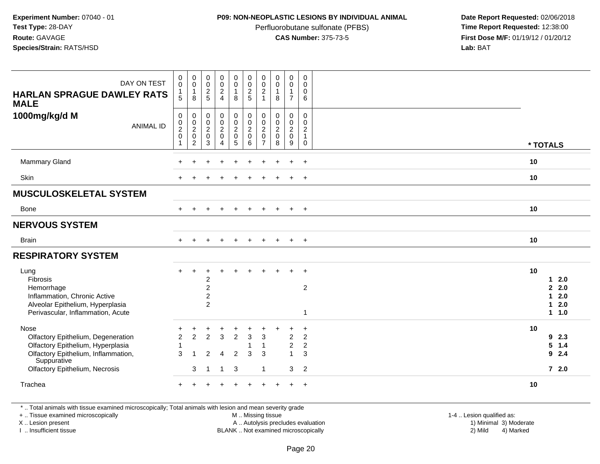### **P09: NON-NEOPLASTIC LESIONS BY INDIVIDUAL ANIMAL**

Perfluorobutane sulfonate (PFBS)<br>**CAS Number:** 375-73-5

 **Date Report Requested:** 02/06/2018 **First Dose M/F:** 01/19/12 / 01/20/12<br>**Lab:** BAT **Lab:** BAT

| DAY ON TEST<br><b>HARLAN SPRAGUE DAWLEY RATS</b><br><b>MALE</b><br>1000mg/kg/d M<br><b>ANIMAL ID</b>                                  | 0<br>$\mathsf{O}\xspace$<br>$\mathbf{1}$<br>5<br>$\pmb{0}$<br>$\pmb{0}$ | $\pmb{0}$<br>$\mathsf{O}\xspace$<br>$\mathbf{1}$<br>8<br>$\pmb{0}$ | $_{\rm 0}^{\rm 0}$<br>$\frac{2}{5}$<br>$\mathsf{O}\xspace$<br>$\frac{0}{2}$ | 0<br>$\mathsf{O}\xspace$<br>$\overline{c}$<br>$\overline{4}$<br>0<br>$\overline{0}$ | $\pmb{0}$<br>$\mathsf 0$<br>$\mathbf{1}$<br>8<br>$\pmb{0}$<br>$\overline{0}$ | $\begin{smallmatrix} 0\\0 \end{smallmatrix}$<br>$\frac{2}{5}$<br>0<br>$\overline{0}$ | $\pmb{0}$<br>$\pmb{0}$<br>$\boldsymbol{2}$<br>$\overline{1}$<br>0<br>0 | $\begin{smallmatrix} 0\\0 \end{smallmatrix}$<br>$\mathbf{1}$<br>8<br>$\mathbf 0$<br>$\frac{0}{2}$ | 0<br>$\pmb{0}$<br>$\mathbf{1}$<br>$\overline{7}$<br>0<br>$\frac{0}{2}$ | $\mathbf 0$<br>$\Omega$<br>$\mathbf 0$<br>6<br>$\Omega$<br>$\mathbf 0$ |          |                                               |
|---------------------------------------------------------------------------------------------------------------------------------------|-------------------------------------------------------------------------|--------------------------------------------------------------------|-----------------------------------------------------------------------------|-------------------------------------------------------------------------------------|------------------------------------------------------------------------------|--------------------------------------------------------------------------------------|------------------------------------------------------------------------|---------------------------------------------------------------------------------------------------|------------------------------------------------------------------------|------------------------------------------------------------------------|----------|-----------------------------------------------|
|                                                                                                                                       | $\boldsymbol{2}$<br>$\mathbf 0$<br>1                                    | $\frac{0}{2}$<br>$\overline{c}$                                    | $\mathbf 0$<br>$\mathbf{3}$                                                 | $\overline{c}$<br>$\mathsf 0$<br>4                                                  | $\overline{c}$<br>$\pmb{0}$<br>5                                             | $\overline{a}$<br>$\mathbf 0$<br>6                                                   | $\overline{2}$<br>$\mathbf 0$<br>$\overline{7}$                        | $\pmb{0}$<br>8                                                                                    | $\pmb{0}$<br>9                                                         | $\boldsymbol{2}$<br>$\mathbf{1}$<br>$\mathbf 0$                        | * TOTALS |                                               |
| <b>Mammary Gland</b>                                                                                                                  |                                                                         |                                                                    |                                                                             |                                                                                     |                                                                              |                                                                                      |                                                                        |                                                                                                   |                                                                        | $\ddot{}$                                                              | 10       |                                               |
| Skin                                                                                                                                  |                                                                         |                                                                    |                                                                             |                                                                                     |                                                                              |                                                                                      |                                                                        |                                                                                                   | $\ddot{}$                                                              | $+$                                                                    | 10       |                                               |
| <b>MUSCULOSKELETAL SYSTEM</b>                                                                                                         |                                                                         |                                                                    |                                                                             |                                                                                     |                                                                              |                                                                                      |                                                                        |                                                                                                   |                                                                        |                                                                        |          |                                               |
| Bone                                                                                                                                  | $+$                                                                     | $+$                                                                | <b>+</b>                                                                    | $\ddot{}$                                                                           | $\pm$                                                                        | $\ddot{}$                                                                            | $+$                                                                    | $\ddot{}$                                                                                         | $+$                                                                    | $+$                                                                    | 10       |                                               |
| <b>NERVOUS SYSTEM</b>                                                                                                                 |                                                                         |                                                                    |                                                                             |                                                                                     |                                                                              |                                                                                      |                                                                        |                                                                                                   |                                                                        |                                                                        |          |                                               |
| <b>Brain</b>                                                                                                                          | $\ddot{}$                                                               |                                                                    |                                                                             |                                                                                     |                                                                              |                                                                                      |                                                                        | $\overline{ }$                                                                                    | $+$                                                                    | $+$                                                                    | 10       |                                               |
| <b>RESPIRATORY SYSTEM</b>                                                                                                             |                                                                         |                                                                    |                                                                             |                                                                                     |                                                                              |                                                                                      |                                                                        |                                                                                                   |                                                                        |                                                                        |          |                                               |
| Lung<br>Fibrosis                                                                                                                      | $\div$                                                                  |                                                                    | $\overline{c}$                                                              |                                                                                     |                                                                              |                                                                                      |                                                                        |                                                                                                   | $\ddot{}$                                                              | $+$                                                                    | 10       | $\mathbf 1$<br>2.0                            |
| Hemorrhage<br>Inflammation, Chronic Active<br>Alveolar Epithelium, Hyperplasia                                                        |                                                                         |                                                                    | $\overline{c}$<br>$\overline{c}$<br>$\overline{2}$                          |                                                                                     |                                                                              |                                                                                      |                                                                        |                                                                                                   |                                                                        | $\boldsymbol{2}$                                                       |          | $\overline{2}$<br>2.0<br>2.0<br>1<br>2.0<br>1 |
| Perivascular, Inflammation, Acute                                                                                                     |                                                                         |                                                                    |                                                                             |                                                                                     |                                                                              |                                                                                      |                                                                        |                                                                                                   |                                                                        | 1                                                                      |          | 11.0                                          |
| Nose<br>Olfactory Epithelium, Degeneration<br>Olfactory Epithelium, Hyperplasia<br>Olfactory Epithelium, Inflammation,<br>Suppurative | $\ddot{}$<br>$\overline{c}$<br>$\mathbf{1}$<br>3                        | $\overline{2}$                                                     | $\overline{2}$<br>$\overline{2}$                                            | $\mathbf{3}$<br>$\overline{4}$                                                      | $\overline{2}$<br>$\overline{2}$                                             | $\mathbf{3}$<br>1<br>3                                                               | $\mathbf{3}$<br>$\mathbf{1}$<br>3                                      |                                                                                                   | $\ddot{}$<br>$\overline{c}$<br>$\overline{c}$<br>$\mathbf{1}$          | $\ddot{}$<br>$\overline{c}$<br>$\overline{c}$<br>3                     | 10       | 92.3<br>$5 \t1.4$<br>2.4<br>9                 |
| <b>Olfactory Epithelium, Necrosis</b>                                                                                                 |                                                                         | 3                                                                  | $\overline{1}$                                                              | $\overline{1}$                                                                      | 3                                                                            |                                                                                      | $\mathbf{1}$                                                           |                                                                                                   | 3                                                                      | 2                                                                      |          | $72.0$                                        |
| Trachea                                                                                                                               | $\pm$                                                                   |                                                                    |                                                                             |                                                                                     |                                                                              |                                                                                      |                                                                        |                                                                                                   | +                                                                      | $\overline{+}$                                                         | 10       |                                               |

\* .. Total animals with tissue examined microscopically; Total animals with lesion and mean severity grade

+ .. Tissue examined microscopically

X .. Lesion present

I .. Insufficient tissue

 M .. Missing tissueA .. Autolysis precludes evaluation

BLANK .. Not examined microscopically 2) Mild 4) Marked

1-4 .. Lesion qualified as:<br>1) Minimal 3) Moderate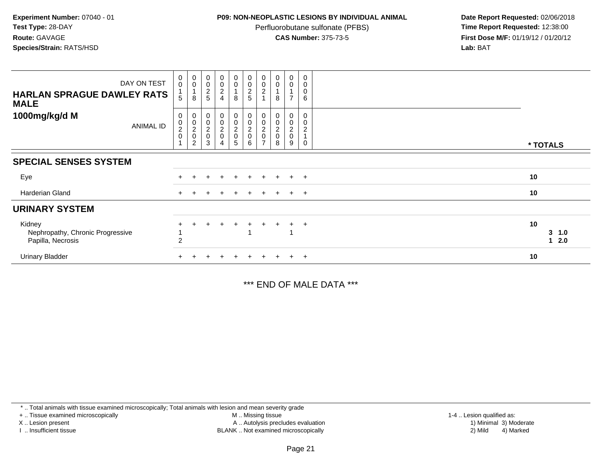## **P09: NON-NEOPLASTIC LESIONS BY INDIVIDUAL ANIMAL**

Perfluorobutane sulfonate (PFBS)<br>**CAS Number:** 375-73-5

 **Date Report Requested:** 02/06/2018 **First Dose M/F:** 01/19/12 / 01/20/12<br>**Lab:** BAT **Lab:** BAT

| DAY ON TEST<br><b>HARLAN SPRAGUE DAWLEY RATS</b><br><b>MALE</b> | $_{\rm 0}^{\rm 0}$<br>5                | $_{\rm 0}^{\rm 0}$<br>$\mathbf 1$<br>8                    | $\pmb{0}$<br>$\frac{0}{2}$                                     | $\begin{array}{c} 0 \\ 0 \\ 2 \\ 4 \end{array}$ | $\begin{smallmatrix} 0\\0 \end{smallmatrix}$<br>8 | $\begin{array}{c}\n0 \\ 0 \\ 2 \\ 5\n\end{array}$        | $_{\rm 0}^{\rm 0}$<br>$\overline{2}$ | $\begin{smallmatrix} 0\\0 \end{smallmatrix}$<br>8          | 0<br>0<br>$\overline{ }$           | 0<br>0<br>$\mathbf 0$<br>6 |                             |
|-----------------------------------------------------------------|----------------------------------------|-----------------------------------------------------------|----------------------------------------------------------------|-------------------------------------------------|---------------------------------------------------|----------------------------------------------------------|--------------------------------------|------------------------------------------------------------|------------------------------------|----------------------------|-----------------------------|
| 1000mg/kg/d M<br><b>ANIMAL ID</b>                               | 0<br>$^{\rm 0}_{\rm 2}$<br>$\mathbf 0$ | $_{\rm 0}^{\rm 0}$<br>$\sqrt{2}$<br>$\boldsymbol{0}$<br>2 | $\pmb{0}$<br>$\mathbf 0$<br>$\boldsymbol{2}$<br>$\pmb{0}$<br>3 | $_0^0$<br>$\frac{2}{0}$<br>4                    | 0<br>0<br>$\frac{2}{0}$<br>5                      | $_{\rm 0}^{\rm 0}$<br>$\boldsymbol{2}$<br>$\pmb{0}$<br>6 | 0<br>$\boldsymbol{2}$<br>0           | $\begin{smallmatrix}0\0\0\end{smallmatrix}$<br>$\sim$<br>8 | 0<br>0<br>$\overline{c}$<br>0<br>9 | 0<br>$\sqrt{2}$            | * TOTALS                    |
| <b>SPECIAL SENSES SYSTEM</b>                                    |                                        |                                                           |                                                                |                                                 |                                                   |                                                          |                                      |                                                            |                                    |                            |                             |
| Eye                                                             |                                        |                                                           |                                                                |                                                 |                                                   |                                                          |                                      |                                                            | $\div$                             | $+$                        | 10                          |
| Harderian Gland                                                 | $\ddot{}$                              |                                                           |                                                                |                                                 | $\pm$                                             | $\pm$                                                    | $\pm$                                | $+$                                                        | $\pm$                              | $+$                        | 10                          |
| <b>URINARY SYSTEM</b>                                           |                                        |                                                           |                                                                |                                                 |                                                   |                                                          |                                      |                                                            |                                    |                            |                             |
| Kidney<br>Nephropathy, Chronic Progressive<br>Papilla, Necrosis | 2                                      |                                                           |                                                                |                                                 | $+$                                               |                                                          | $\ddot{}$                            |                                                            |                                    | $+$                        | 10<br>$3 \t1.0$<br>2.0<br>1 |
| <b>Urinary Bladder</b>                                          |                                        |                                                           |                                                                |                                                 | ÷                                                 |                                                          |                                      |                                                            | $\ddot{}$                          | $+$                        | 10                          |

\*\*\* END OF MALE DATA \*\*\*

\* .. Total animals with tissue examined microscopically; Total animals with lesion and mean severity grade

+ .. Tissue examined microscopically

X .. Lesion present

I .. Insufficient tissue

 M .. Missing tissueA .. Autolysis precludes evaluation

BLANK .. Not examined microscopically 2) Mild 4) Marked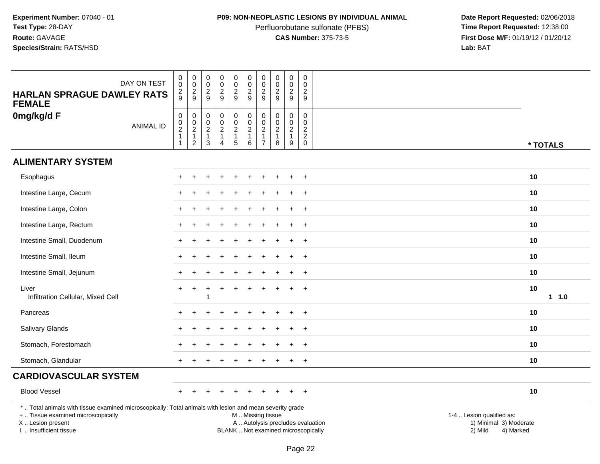# **P09: NON-NEOPLASTIC LESIONS BY INDIVIDUAL ANIMAL**

Perfluorobutane sulfonate (PFBS)<br>**CAS Number:** 375-73-5

| DAY ON TEST<br><b>HARLAN SPRAGUE DAWLEY RATS</b>                                                                                                                                              | $\mathbf 0$<br>$\mathbf 0$<br>$\overline{\mathbf{c}}$         | $\,0\,$<br>$\overline{0}$<br>$\frac{2}{9}$                                           | 0<br>$\mathbf 0$<br>$\sqrt{2}$                           | $\begin{smallmatrix}0\\0\end{smallmatrix}$<br>$\frac{2}{9}$                | $\pmb{0}$<br>$\mathbf 0$<br>$\frac{2}{9}$                                    | $\pmb{0}$<br>$\mathbf 0$<br>$\overline{c}$                            | $\mathbf 0$<br>$\mathbf 0$<br>$\overline{2}$                                   | 0<br>$\pmb{0}$<br>$\overline{c}$                                  | $\pmb{0}$<br>$\mathbf 0$<br>$\overline{c}$              | 0<br>$\mathbf 0$<br>$\overline{2}$                              |                                                                                                                  |          |
|-----------------------------------------------------------------------------------------------------------------------------------------------------------------------------------------------|---------------------------------------------------------------|--------------------------------------------------------------------------------------|----------------------------------------------------------|----------------------------------------------------------------------------|------------------------------------------------------------------------------|-----------------------------------------------------------------------|--------------------------------------------------------------------------------|-------------------------------------------------------------------|---------------------------------------------------------|-----------------------------------------------------------------|------------------------------------------------------------------------------------------------------------------|----------|
| <b>FEMALE</b>                                                                                                                                                                                 | 9                                                             |                                                                                      | 9                                                        |                                                                            |                                                                              | 9                                                                     | 9                                                                              | $\boldsymbol{9}$                                                  | 9                                                       | 9                                                               |                                                                                                                  |          |
| 0mg/kg/d F<br><b>ANIMAL ID</b>                                                                                                                                                                | $\pmb{0}$<br>$\pmb{0}$<br>$\overline{2}$<br>$\mathbf{1}$<br>1 | $\pmb{0}$<br>$\mathsf{O}\xspace$<br>$\overline{c}$<br>$\mathbf{1}$<br>$\overline{2}$ | 0<br>0<br>$\overline{c}$<br>$\mathbf{1}$<br>$\mathbf{3}$ | $\pmb{0}$<br>$\pmb{0}$<br>$\overline{c}$<br>$\mathbf{1}$<br>$\overline{4}$ | $\mathbf 0$<br>$\mathbf 0$<br>$\overline{c}$<br>$\overline{1}$<br>$\sqrt{5}$ | $\pmb{0}$<br>$\mathbf 0$<br>$\overline{c}$<br>$\mathbf{1}$<br>$\,6\,$ | $\mathbf 0$<br>$\mathbf 0$<br>$\overline{2}$<br>$\mathbf{1}$<br>$\overline{7}$ | $\mathbf 0$<br>$\mathbf 0$<br>$\overline{c}$<br>$\mathbf{1}$<br>8 | 0<br>$\mathbf 0$<br>$\overline{2}$<br>$\mathbf{1}$<br>9 | 0<br>$\mathbf 0$<br>$\overline{2}$<br>$\sqrt{2}$<br>$\mathbf 0$ |                                                                                                                  | * TOTALS |
| <b>ALIMENTARY SYSTEM</b>                                                                                                                                                                      |                                                               |                                                                                      |                                                          |                                                                            |                                                                              |                                                                       |                                                                                |                                                                   |                                                         |                                                                 |                                                                                                                  |          |
| Esophagus                                                                                                                                                                                     |                                                               |                                                                                      |                                                          |                                                                            |                                                                              |                                                                       |                                                                                |                                                                   |                                                         | $\overline{+}$                                                  | 10                                                                                                               |          |
| Intestine Large, Cecum                                                                                                                                                                        |                                                               |                                                                                      |                                                          |                                                                            |                                                                              |                                                                       |                                                                                |                                                                   |                                                         | $\ddot{}$                                                       | 10                                                                                                               |          |
| Intestine Large, Colon                                                                                                                                                                        |                                                               |                                                                                      |                                                          |                                                                            |                                                                              |                                                                       |                                                                                |                                                                   |                                                         |                                                                 | 10                                                                                                               |          |
| Intestine Large, Rectum                                                                                                                                                                       |                                                               |                                                                                      |                                                          |                                                                            |                                                                              |                                                                       |                                                                                |                                                                   |                                                         | $\overline{ }$                                                  | 10                                                                                                               |          |
| Intestine Small, Duodenum                                                                                                                                                                     |                                                               |                                                                                      |                                                          |                                                                            |                                                                              |                                                                       |                                                                                |                                                                   |                                                         | $\overline{+}$                                                  | 10                                                                                                               |          |
| Intestine Small, Ileum                                                                                                                                                                        |                                                               |                                                                                      |                                                          |                                                                            |                                                                              |                                                                       |                                                                                |                                                                   |                                                         | $\ddot{}$                                                       | 10                                                                                                               |          |
| Intestine Small, Jejunum                                                                                                                                                                      |                                                               |                                                                                      |                                                          |                                                                            |                                                                              |                                                                       |                                                                                |                                                                   |                                                         | $\ddot{}$                                                       | 10                                                                                                               |          |
| Liver<br>Infiltration Cellular, Mixed Cell                                                                                                                                                    |                                                               |                                                                                      |                                                          |                                                                            |                                                                              |                                                                       |                                                                                |                                                                   |                                                         | $\ddot{}$                                                       | 10                                                                                                               | 1 1.0    |
| Pancreas                                                                                                                                                                                      |                                                               |                                                                                      |                                                          |                                                                            |                                                                              |                                                                       |                                                                                |                                                                   |                                                         | $\ddot{}$                                                       | 10                                                                                                               |          |
| Salivary Glands                                                                                                                                                                               |                                                               |                                                                                      |                                                          |                                                                            |                                                                              |                                                                       |                                                                                |                                                                   |                                                         | $\ddot{}$                                                       | 10                                                                                                               |          |
| Stomach, Forestomach                                                                                                                                                                          |                                                               |                                                                                      |                                                          |                                                                            |                                                                              |                                                                       |                                                                                |                                                                   |                                                         |                                                                 | 10                                                                                                               |          |
| Stomach, Glandular                                                                                                                                                                            |                                                               |                                                                                      |                                                          |                                                                            |                                                                              |                                                                       |                                                                                |                                                                   |                                                         | $\overline{+}$                                                  | 10                                                                                                               |          |
| <b>CARDIOVASCULAR SYSTEM</b>                                                                                                                                                                  |                                                               |                                                                                      |                                                          |                                                                            |                                                                              |                                                                       |                                                                                |                                                                   |                                                         |                                                                 |                                                                                                                  |          |
| <b>Blood Vessel</b>                                                                                                                                                                           |                                                               |                                                                                      |                                                          |                                                                            |                                                                              |                                                                       |                                                                                |                                                                   | $\div$                                                  | $+$                                                             | 10                                                                                                               |          |
| *  Total animals with tissue examined microscopically; Total animals with lesion and mean severity grade<br>+  Tissue examined microscopically<br>X  Lesion present<br>I  Insufficient tissue |                                                               |                                                                                      |                                                          |                                                                            |                                                                              | M  Missing tissue<br>BLANK  Not examined microscopically              |                                                                                |                                                                   |                                                         |                                                                 | 1-4  Lesion qualified as:<br>A  Autolysis precludes evaluation<br>1) Minimal 3) Moderate<br>2) Mild<br>4) Marked |          |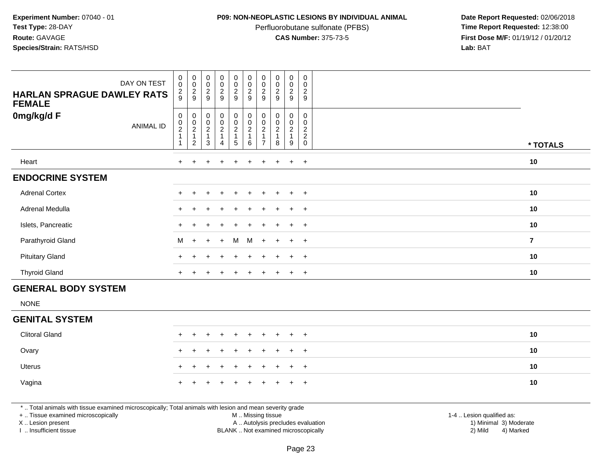### **P09: NON-NEOPLASTIC LESIONS BY INDIVIDUAL ANIMAL**

Perfluorobutane sulfonate (PFBS)<br>**CAS Number:** 375-73-5

 **Date Report Requested:** 02/06/2018 **First Dose M/F:** 01/19/12 / 01/20/12<br>**Lab:** BAT **Lab:** BAT

| DAY ON TEST<br><b>HARLAN SPRAGUE DAWLEY RATS</b><br><b>FEMALE</b> | $_{\rm 0}^{\rm 0}$<br>$\frac{2}{9}$               | $\begin{array}{c} 0 \\ 0 \\ 2 \\ 9 \end{array}$               | 00029                                                           | $\begin{array}{c} 0 \\ 0 \\ 2 \\ 9 \end{array}$ | $\begin{array}{c} 0 \\ 0 \\ 2 \\ 9 \end{array}$ | $\begin{array}{c} 0 \\ 0 \\ 2 \\ 9 \end{array}$      | $_{\rm 0}^{\rm 0}$<br>$\frac{2}{9}$ | $\begin{smallmatrix} 0\\0 \end{smallmatrix}$<br>$\frac{2}{9}$  | 0<br>$\pmb{0}$<br>$\frac{2}{9}$ | 0<br>$\mathbf 0$<br>$\overline{c}$<br>9                       |                |
|-------------------------------------------------------------------|---------------------------------------------------|---------------------------------------------------------------|-----------------------------------------------------------------|-------------------------------------------------|-------------------------------------------------|------------------------------------------------------|-------------------------------------|----------------------------------------------------------------|---------------------------------|---------------------------------------------------------------|----------------|
| 0mg/kg/d F<br><b>ANIMAL ID</b>                                    | 0<br>$\begin{smallmatrix} 0\\2 \end{smallmatrix}$ | $\begin{array}{c} 0 \\ 0 \\ 2 \\ 1 \end{array}$<br>$\sqrt{2}$ | $\begin{array}{c} 0 \\ 0 \\ 2 \\ 1 \end{array}$<br>$\mathbf{3}$ | 0<br>$\frac{0}{2}$<br>1<br>4                    | 00021<br>5                                      | $\begin{array}{c} 0 \\ 0 \\ 2 \\ 1 \end{array}$<br>6 | 0<br>0<br>$\boldsymbol{2}$          | $\pmb{0}$<br>$\begin{smallmatrix} 0\\2 \end{smallmatrix}$<br>8 | 0<br>$\frac{0}{2}$<br>1<br>9    | 0<br>0<br>$\boldsymbol{2}$<br>$\boldsymbol{2}$<br>$\mathbf 0$ | * TOTALS       |
| Heart                                                             | $+$                                               | $+$                                                           | $\pm$                                                           | $\ddot{}$                                       | $\pm$                                           | $+$                                                  | $\pm$                               | $+$                                                            | $+$                             | $+$                                                           | 10             |
| <b>ENDOCRINE SYSTEM</b>                                           |                                                   |                                                               |                                                                 |                                                 |                                                 |                                                      |                                     |                                                                |                                 |                                                               |                |
| <b>Adrenal Cortex</b>                                             |                                                   |                                                               |                                                                 | $\ddot{}$                                       | $+$                                             | $+$                                                  | $+$                                 | $+$                                                            | $+$                             | $+$                                                           | 10             |
| Adrenal Medulla                                                   | $+$                                               |                                                               |                                                                 | $\pm$                                           | $\pm$                                           | $+$                                                  | $+$                                 |                                                                | $+$                             | $+$                                                           | 10             |
| Islets, Pancreatic                                                |                                                   |                                                               |                                                                 |                                                 |                                                 |                                                      |                                     |                                                                | $\pm$                           | $+$                                                           | 10             |
| Parathyroid Gland                                                 | M                                                 | $+$                                                           | $+$                                                             | $+$                                             | M                                               | M                                                    | $+$                                 | $+$                                                            | $+$                             | $+$                                                           | $\overline{7}$ |
| <b>Pituitary Gland</b>                                            |                                                   |                                                               |                                                                 | $\ddot{}$                                       |                                                 | $+$                                                  | $+$                                 |                                                                | $\pm$                           | $+$                                                           | 10             |
| <b>Thyroid Gland</b>                                              | $+$                                               |                                                               |                                                                 | $\div$                                          |                                                 | $\pm$                                                | $\pm$                               |                                                                | $+$                             | $+$                                                           | 10             |
| CENEDAL BODY CVCTEM                                               |                                                   |                                                               |                                                                 |                                                 |                                                 |                                                      |                                     |                                                                |                                 |                                                               |                |

# **GENERAL BODY SYSTEM**

NONE

# **GENITAL SYSTEM**

| <b>Clitoral Gland</b> |  |  | + + + + + + + + + + |  |  | 10 |  |
|-----------------------|--|--|---------------------|--|--|----|--|
| Ovary                 |  |  | + + + + + + + + + + |  |  | 10 |  |
| Uterus                |  |  | + + + + + + + + + + |  |  | 10 |  |
| Vagina                |  |  | + + + + + + + + + + |  |  | 10 |  |

\* .. Total animals with tissue examined microscopically; Total animals with lesion and mean severity grade

+ .. Tissue examined microscopically

X .. Lesion present

I .. Insufficient tissue

 M .. Missing tissueA .. Autolysis precludes evaluation

 1-4 .. Lesion qualified as: BLANK .. Not examined microscopically 2) Mild 4) Marked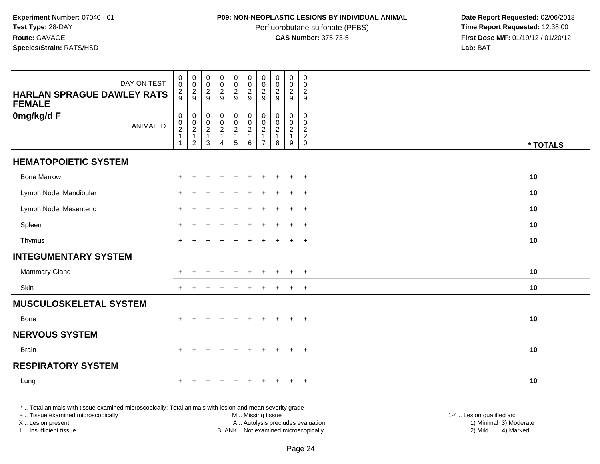# **P09: NON-NEOPLASTIC LESIONS BY INDIVIDUAL ANIMAL**

Perfluorobutane sulfonate (PFBS)<br>**CAS Number:** 375-73-5

 **Date Report Requested:** 02/06/2018 **First Dose M/F:** 01/19/12 / 01/20/12<br>**Lab:** BAT **Lab:** BAT

| DAY ON TEST                                                                                                                                    | 0<br>0                                                                   | $\pmb{0}$<br>$\mathbf 0$                                                       | $\pmb{0}$<br>$\pmb{0}$                                           | $\begin{smallmatrix}0\0\0\end{smallmatrix}$                                  | $\begin{array}{c} 0 \\ 0 \\ 2 \\ 9 \end{array}$      | $\begin{smallmatrix} 0\\0 \end{smallmatrix}$                    | $\pmb{0}$<br>$\boldsymbol{0}$                                                    | $\pmb{0}$<br>$\pmb{0}$                           | $\pmb{0}$<br>$\pmb{0}$                                  | $\,0\,$<br>$\Omega$                                        |                           |
|------------------------------------------------------------------------------------------------------------------------------------------------|--------------------------------------------------------------------------|--------------------------------------------------------------------------------|------------------------------------------------------------------|------------------------------------------------------------------------------|------------------------------------------------------|-----------------------------------------------------------------|----------------------------------------------------------------------------------|--------------------------------------------------|---------------------------------------------------------|------------------------------------------------------------|---------------------------|
| <b>HARLAN SPRAGUE DAWLEY RATS</b><br><b>FEMALE</b>                                                                                             | $\overline{\mathbf{c}}$<br>9                                             | $\frac{2}{9}$                                                                  | $\frac{2}{9}$                                                    | $\frac{2}{9}$                                                                |                                                      | $\frac{2}{9}$                                                   | $\frac{2}{9}$                                                                    | $\sqrt{2}$<br>9                                  | $\overline{c}$<br>9                                     | $\boldsymbol{2}$<br>9                                      |                           |
| 0mg/kg/d F<br><b>ANIMAL ID</b>                                                                                                                 | $\mathsf 0$<br>0<br>$\boldsymbol{2}$<br>$\overline{1}$<br>$\overline{1}$ | $\pmb{0}$<br>$\mathbf 0$<br>$\overline{2}$<br>$\mathbf{1}$<br>$\boldsymbol{2}$ | 0<br>$\pmb{0}$<br>$\overline{2}$<br>$\mathbf{1}$<br>$\mathbf{3}$ | 0<br>$\mathsf{O}\xspace$<br>$\overline{2}$<br>$\mathbf{1}$<br>$\overline{4}$ | $\begin{array}{c} 0 \\ 0 \\ 2 \\ 1 \end{array}$<br>5 | $_{\rm 0}^{\rm 0}$<br>$\overline{2}$<br>$\mathbf{1}$<br>$\,6\,$ | $\mathbf 0$<br>$\mathbf 0$<br>$\overline{2}$<br>$\overline{1}$<br>$\overline{7}$ | $\mathbf 0$<br>$\mathbf 0$<br>$\frac{2}{1}$<br>8 | 0<br>$\mathbf 0$<br>$\overline{2}$<br>$\mathbf{1}$<br>9 | $\mathbf 0$<br>$\mathbf 0$<br>$\frac{2}{2}$<br>$\mathbf 0$ |                           |
|                                                                                                                                                |                                                                          |                                                                                |                                                                  |                                                                              |                                                      |                                                                 |                                                                                  |                                                  |                                                         |                                                            | * TOTALS                  |
| <b>HEMATOPOIETIC SYSTEM</b>                                                                                                                    |                                                                          |                                                                                |                                                                  |                                                                              |                                                      |                                                                 |                                                                                  |                                                  |                                                         |                                                            |                           |
| <b>Bone Marrow</b>                                                                                                                             |                                                                          |                                                                                |                                                                  |                                                                              |                                                      |                                                                 |                                                                                  |                                                  |                                                         |                                                            | 10                        |
| Lymph Node, Mandibular                                                                                                                         |                                                                          |                                                                                |                                                                  |                                                                              |                                                      |                                                                 |                                                                                  |                                                  |                                                         | $+$                                                        | 10                        |
| Lymph Node, Mesenteric                                                                                                                         |                                                                          |                                                                                |                                                                  |                                                                              |                                                      |                                                                 |                                                                                  |                                                  | $\ddot{}$                                               | $+$                                                        | 10                        |
| Spleen                                                                                                                                         |                                                                          |                                                                                |                                                                  |                                                                              |                                                      |                                                                 |                                                                                  |                                                  |                                                         | $\ddot{}$                                                  | 10                        |
| Thymus                                                                                                                                         | $+$                                                                      |                                                                                |                                                                  |                                                                              | $\ddot{}$                                            | $\div$                                                          |                                                                                  |                                                  | $+$                                                     | $+$                                                        | 10                        |
| <b>INTEGUMENTARY SYSTEM</b>                                                                                                                    |                                                                          |                                                                                |                                                                  |                                                                              |                                                      |                                                                 |                                                                                  |                                                  |                                                         |                                                            |                           |
| <b>Mammary Gland</b>                                                                                                                           |                                                                          |                                                                                |                                                                  |                                                                              |                                                      |                                                                 |                                                                                  |                                                  |                                                         |                                                            | 10                        |
| Skin                                                                                                                                           |                                                                          |                                                                                |                                                                  |                                                                              |                                                      |                                                                 |                                                                                  |                                                  | $\div$                                                  | $+$                                                        | 10                        |
| <b>MUSCULOSKELETAL SYSTEM</b>                                                                                                                  |                                                                          |                                                                                |                                                                  |                                                                              |                                                      |                                                                 |                                                                                  |                                                  |                                                         |                                                            |                           |
| Bone                                                                                                                                           |                                                                          |                                                                                |                                                                  |                                                                              |                                                      |                                                                 |                                                                                  |                                                  | $\overline{+}$                                          | $+$                                                        | 10                        |
| <b>NERVOUS SYSTEM</b>                                                                                                                          |                                                                          |                                                                                |                                                                  |                                                                              |                                                      |                                                                 |                                                                                  |                                                  |                                                         |                                                            |                           |
| <b>Brain</b>                                                                                                                                   | $+$                                                                      | $\ddot{}$                                                                      |                                                                  | $+$                                                                          | $\ddot{}$                                            | $\ddot{}$                                                       | $\pm$                                                                            | $\ddot{}$                                        | $+$                                                     | $+$                                                        | 10                        |
| <b>RESPIRATORY SYSTEM</b>                                                                                                                      |                                                                          |                                                                                |                                                                  |                                                                              |                                                      |                                                                 |                                                                                  |                                                  |                                                         |                                                            |                           |
| Lung                                                                                                                                           |                                                                          |                                                                                |                                                                  |                                                                              |                                                      |                                                                 |                                                                                  |                                                  |                                                         | $\overline{+}$                                             | 10                        |
| *  Total animals with tissue examined microscopically; Total animals with lesion and mean severity grade<br>+  Tissue examined microscopically |                                                                          |                                                                                |                                                                  |                                                                              |                                                      | M  Missing tissue                                               |                                                                                  |                                                  |                                                         |                                                            | 1-4  Lesion qualified as: |
| X  Lesion present                                                                                                                              |                                                                          |                                                                                |                                                                  |                                                                              |                                                      | A  Autolysis precludes evaluation                               |                                                                                  |                                                  |                                                         |                                                            | 1) Minimal 3) Moderate    |

I .. Insufficient tissue

BLANK .. Not examined microscopically 2) Mild 4) Marked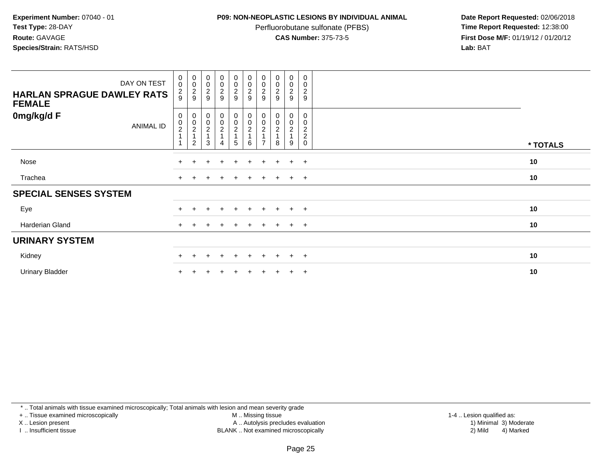### **P09: NON-NEOPLASTIC LESIONS BY INDIVIDUAL ANIMAL**

Perfluorobutane sulfonate (PFBS)<br>**CAS Number:** 375-73-5

 **Date Report Requested:** 02/06/2018 **First Dose M/F:** 01/19/12 / 01/20/12<br>**Lab:** BAT **Lab:** BAT

| DAY ON TEST<br><b>HARLAN SPRAGUE DAWLEY RATS</b><br><b>FEMALE</b> | 0<br>$\mathbf 0$<br>$\frac{2}{9}$  | $\begin{smallmatrix}0\0\0\end{smallmatrix}$<br>$\frac{2}{9}$ | $\begin{array}{c} 0 \\ 0 \\ 2 \\ 9 \end{array}$ | $\begin{array}{c} 0 \\ 0 \\ 2 \\ 9 \end{array}$                  | 00029            | 00029                   | $_{\rm 0}^{\rm 0}$<br>$\frac{2}{9}$                                                   | $_{\rm 0}^{\rm 0}$<br>$\frac{2}{9}$                   | $_0^0$<br>$\overline{c}$<br>9           | $\pmb{0}$<br>0<br>$\overline{c}$<br>$\boldsymbol{9}$ |          |
|-------------------------------------------------------------------|------------------------------------|--------------------------------------------------------------|-------------------------------------------------|------------------------------------------------------------------|------------------|-------------------------|---------------------------------------------------------------------------------------|-------------------------------------------------------|-----------------------------------------|------------------------------------------------------|----------|
| 0mg/kg/d F<br><b>ANIMAL ID</b>                                    | 0<br>$\frac{0}{2}$<br>$\mathbf{1}$ | 0<br>$\pmb{0}$<br>$\overline{c}$<br>$\overline{c}$           | 00021<br>3                                      | $\begin{matrix} 0 \\ 0 \\ 2 \\ 1 \end{matrix}$<br>$\overline{4}$ | 0<br>$_2^0$<br>5 | 0002<br>$6\phantom{1}6$ | 0<br>$\begin{smallmatrix} 0\\2 \end{smallmatrix}$<br>$\overline{1}$<br>$\overline{ }$ | 0<br>$\begin{smallmatrix}0\0\2\end{smallmatrix}$<br>8 | 0<br>$\mathbf 0$<br>$\overline{c}$<br>9 | 0<br>0<br>$\frac{2}{2}$<br>$\mathsf{O}\xspace$       | * TOTALS |
| Nose                                                              |                                    |                                                              | $+$                                             | $\pm$                                                            | $+$              | $+$                     | $\pm$                                                                                 | $+$                                                   | $+$                                     | $+$                                                  | 10       |
| Trachea                                                           | $+$                                |                                                              |                                                 | $\div$                                                           | $+$              | $+$                     | $\pm$                                                                                 | $+$                                                   | $+$                                     | $+$                                                  | 10       |
| <b>SPECIAL SENSES SYSTEM</b>                                      |                                    |                                                              |                                                 |                                                                  |                  |                         |                                                                                       |                                                       |                                         |                                                      |          |
| Eye                                                               |                                    |                                                              |                                                 |                                                                  | ÷                |                         |                                                                                       |                                                       | $\div$                                  | $+$                                                  | 10       |
| Harderian Gland                                                   | $+$                                | $\div$                                                       |                                                 | $\pm$                                                            | $\pm$            | $\pm$                   | $\pm$                                                                                 | $+$                                                   | $+$                                     | $+$                                                  | 10       |
| <b>URINARY SYSTEM</b>                                             |                                    |                                                              |                                                 |                                                                  |                  |                         |                                                                                       |                                                       |                                         |                                                      |          |
| Kidney                                                            |                                    |                                                              |                                                 |                                                                  | ÷                |                         |                                                                                       |                                                       | $\pm$                                   | $\overline{+}$                                       | 10       |
| <b>Urinary Bladder</b>                                            |                                    |                                                              |                                                 |                                                                  |                  |                         |                                                                                       |                                                       | $\ddot{}$                               | $+$                                                  | 10       |

\* .. Total animals with tissue examined microscopically; Total animals with lesion and mean severity grade

+ .. Tissue examined microscopically

X .. Lesion present

I .. Insufficient tissue

M .. Missing tissue

 Lesion present A .. Autolysis precludes evaluation 1) Minimal 3) ModerateBLANK .. Not examined microscopically 2) Mild 4) Marked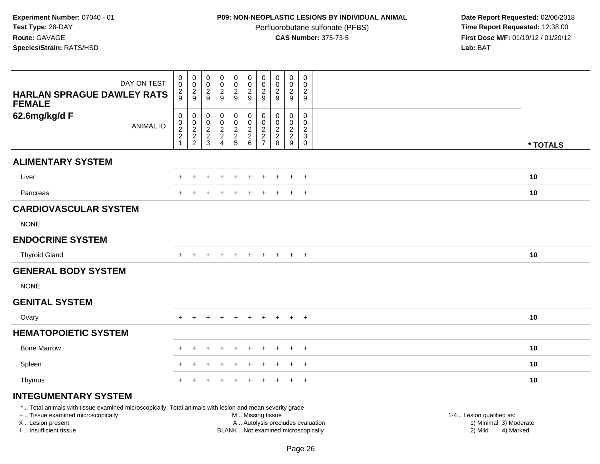# **P09: NON-NEOPLASTIC LESIONS BY INDIVIDUAL ANIMAL**

Perfluorobutane sulfonate (PFBS)<br>**CAS Number:** 375-73-5

|                                                                                                                                                                                               | DAY ON TEST      | $\mathbf 0$<br>$\mathbf 0$                                                      | $\pmb{0}$<br>$\mathsf 0$                          | 0<br>$\pmb{0}$                                    | $\pmb{0}$<br>$^{\rm 0}_{\rm 2}$                                      | $\boldsymbol{0}$<br>$\mathsf{O}\xspace$                   | $\pmb{0}$<br>$\mathbf 0$                                              | 0<br>0                                                                    | $\pmb{0}$<br>$\pmb{0}$                                          | $\pmb{0}$<br>$\mathbf 0$                                  | $\,0\,$<br>$\mathbf 0$                                                              |                                                                                                                                                         |
|-----------------------------------------------------------------------------------------------------------------------------------------------------------------------------------------------|------------------|---------------------------------------------------------------------------------|---------------------------------------------------|---------------------------------------------------|----------------------------------------------------------------------|-----------------------------------------------------------|-----------------------------------------------------------------------|---------------------------------------------------------------------------|-----------------------------------------------------------------|-----------------------------------------------------------|-------------------------------------------------------------------------------------|---------------------------------------------------------------------------------------------------------------------------------------------------------|
| <b>HARLAN SPRAGUE DAWLEY RATS</b><br><b>FEMALE</b>                                                                                                                                            |                  | $\overline{c}$<br>9                                                             | $\frac{2}{9}$                                     | $\frac{2}{9}$                                     | 9                                                                    | $\frac{2}{9}$                                             | $\frac{2}{9}$                                                         | $\overline{2}$<br>9                                                       | $\boldsymbol{2}$<br>$9\,$                                       | $\overline{\mathbf{c}}$<br>9                              | $\boldsymbol{2}$<br>9                                                               |                                                                                                                                                         |
| 62.6mg/kg/d F                                                                                                                                                                                 | <b>ANIMAL ID</b> | $\mathbf 0$<br>$\boldsymbol{0}$<br>$\sqrt{2}$<br>$\overline{2}$<br>$\mathbf{1}$ | 0<br>$\pmb{0}$<br>$\frac{2}{2}$<br>$\overline{2}$ | 0<br>$\mathbf 0$<br>$\sqrt{2}$<br>$\sqrt{2}$<br>3 | 0<br>$\pmb{0}$<br>$\overline{c}$<br>$\overline{a}$<br>$\overline{4}$ | 0<br>$\mathbf 0$<br>$\overline{2}$<br>$\overline{2}$<br>5 | $\pmb{0}$<br>$\ddot{\mathbf{0}}$<br>$\sqrt{2}$<br>$\overline{2}$<br>6 | $\mathbf 0$<br>$\Omega$<br>$\overline{2}$<br>$\sqrt{2}$<br>$\overline{7}$ | $\mathbf 0$<br>$\mathbf 0$<br>$\sqrt{2}$<br>$\overline{c}$<br>8 | 0<br>$\mathbf 0$<br>$\overline{c}$<br>$\overline{c}$<br>9 | $\mathbf 0$<br>$\mathsf{O}\xspace$<br>$\overline{2}$<br>$\mathbf{3}$<br>$\mathbf 0$ | * TOTALS                                                                                                                                                |
| <b>ALIMENTARY SYSTEM</b>                                                                                                                                                                      |                  |                                                                                 |                                                   |                                                   |                                                                      |                                                           |                                                                       |                                                                           |                                                                 |                                                           |                                                                                     |                                                                                                                                                         |
| Liver                                                                                                                                                                                         |                  |                                                                                 |                                                   |                                                   |                                                                      |                                                           |                                                                       |                                                                           |                                                                 | $\ddot{}$                                                 | $+$                                                                                 | 10                                                                                                                                                      |
| Pancreas                                                                                                                                                                                      |                  |                                                                                 |                                                   |                                                   |                                                                      |                                                           |                                                                       |                                                                           |                                                                 | $\ddot{}$                                                 | $+$                                                                                 | 10                                                                                                                                                      |
| <b>CARDIOVASCULAR SYSTEM</b>                                                                                                                                                                  |                  |                                                                                 |                                                   |                                                   |                                                                      |                                                           |                                                                       |                                                                           |                                                                 |                                                           |                                                                                     |                                                                                                                                                         |
| <b>NONE</b>                                                                                                                                                                                   |                  |                                                                                 |                                                   |                                                   |                                                                      |                                                           |                                                                       |                                                                           |                                                                 |                                                           |                                                                                     |                                                                                                                                                         |
| <b>ENDOCRINE SYSTEM</b>                                                                                                                                                                       |                  |                                                                                 |                                                   |                                                   |                                                                      |                                                           |                                                                       |                                                                           |                                                                 |                                                           |                                                                                     |                                                                                                                                                         |
| <b>Thyroid Gland</b>                                                                                                                                                                          |                  | $+$                                                                             | $\ddot{}$                                         | $\ddot{}$                                         | $\overline{+}$                                                       | $\ddot{}$                                                 | $+$                                                                   | $+$                                                                       | $+$                                                             | $+$                                                       | $+$                                                                                 | 10                                                                                                                                                      |
| <b>GENERAL BODY SYSTEM</b>                                                                                                                                                                    |                  |                                                                                 |                                                   |                                                   |                                                                      |                                                           |                                                                       |                                                                           |                                                                 |                                                           |                                                                                     |                                                                                                                                                         |
| <b>NONE</b>                                                                                                                                                                                   |                  |                                                                                 |                                                   |                                                   |                                                                      |                                                           |                                                                       |                                                                           |                                                                 |                                                           |                                                                                     |                                                                                                                                                         |
| <b>GENITAL SYSTEM</b>                                                                                                                                                                         |                  |                                                                                 |                                                   |                                                   |                                                                      |                                                           |                                                                       |                                                                           |                                                                 |                                                           |                                                                                     |                                                                                                                                                         |
| Ovary                                                                                                                                                                                         |                  | $+$                                                                             | $\ddot{}$                                         |                                                   | $\pm$                                                                | $\ddot{}$                                                 | $\pm$                                                                 | $+$                                                                       | $\pm$                                                           | $\overline{+}$                                            | $+$                                                                                 | 10                                                                                                                                                      |
| <b>HEMATOPOIETIC SYSTEM</b>                                                                                                                                                                   |                  |                                                                                 |                                                   |                                                   |                                                                      |                                                           |                                                                       |                                                                           |                                                                 |                                                           |                                                                                     |                                                                                                                                                         |
| <b>Bone Marrow</b>                                                                                                                                                                            |                  |                                                                                 |                                                   |                                                   |                                                                      | $\ddot{}$                                                 |                                                                       |                                                                           |                                                                 | $\ddot{}$                                                 | $+$                                                                                 | 10                                                                                                                                                      |
| Spleen                                                                                                                                                                                        |                  |                                                                                 |                                                   |                                                   |                                                                      |                                                           |                                                                       |                                                                           |                                                                 |                                                           |                                                                                     | 10                                                                                                                                                      |
| Thymus                                                                                                                                                                                        |                  | $+$                                                                             |                                                   |                                                   |                                                                      |                                                           |                                                                       |                                                                           |                                                                 | $\ddot{}$                                                 | $+$                                                                                 | 10                                                                                                                                                      |
| <b>INTEGUMENTARY SYSTEM</b>                                                                                                                                                                   |                  |                                                                                 |                                                   |                                                   |                                                                      |                                                           |                                                                       |                                                                           |                                                                 |                                                           |                                                                                     |                                                                                                                                                         |
| *  Total animals with tissue examined microscopically; Total animals with lesion and mean severity grade<br>+  Tissue examined microscopically<br>X  Lesion present<br>I  Insufficient tissue |                  |                                                                                 |                                                   |                                                   |                                                                      |                                                           | M  Missing tissue                                                     |                                                                           |                                                                 |                                                           |                                                                                     | 1-4  Lesion qualified as:<br>1) Minimal 3) Moderate<br>A  Autolysis precludes evaluation<br>2) Mild<br>4) Marked<br>BLANK  Not examined microscopically |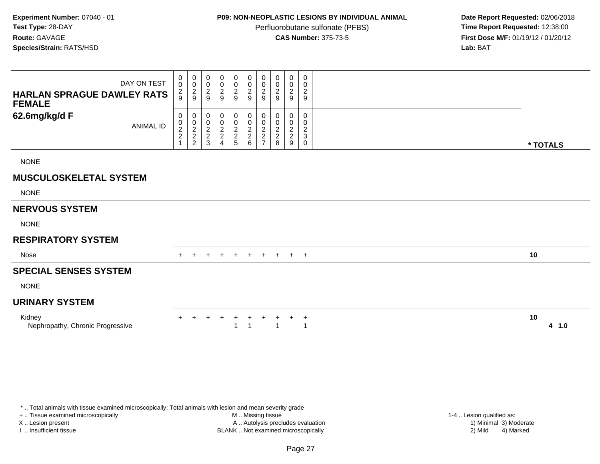## **P09: NON-NEOPLASTIC LESIONS BY INDIVIDUAL ANIMAL**

Perfluorobutane sulfonate (PFBS)<br>**CAS Number:** 375-73-5

 **Date Report Requested:** 02/06/2018 **First Dose M/F:** 01/19/12 / 01/20/12<br>**Lab:** BAT **Lab:** BAT

| DAY ON TEST<br><b>HARLAN SPRAGUE DAWLEY RATS</b><br><b>FEMALE</b> | 0<br>$\mathbf 0$<br>$\frac{2}{9}$               | 0<br>$\pmb{0}$<br>$\frac{2}{9}$ | 0<br>$\pmb{0}$<br>$\overline{c}$<br>9               | 0<br>$\,0\,$<br>$\overline{2}$<br>9 | 0<br>$\frac{0}{2}$                                     | 0<br>$\frac{0}{2}$      | 0<br>$\pmb{0}$<br>$\overline{2}$<br>9             | $\boldsymbol{0}$<br>$\begin{array}{c} 0 \\ 2 \\ 9 \end{array}$ | 0<br>$\pmb{0}$<br>$\overline{2}$<br>9   | 0<br>$\pmb{0}$<br>$\sqrt{2}$<br>$9\,$                                |    |          |
|-------------------------------------------------------------------|-------------------------------------------------|---------------------------------|-----------------------------------------------------|-------------------------------------|--------------------------------------------------------|-------------------------|---------------------------------------------------|----------------------------------------------------------------|-----------------------------------------|----------------------------------------------------------------------|----|----------|
| 62.6mg/kg/d F<br><b>ANIMAL ID</b>                                 | 0<br>$\begin{array}{c} 0 \\ 2 \\ 2 \end{array}$ | 0<br>$\frac{0}{2}$<br>2         | 0<br>$\pmb{0}$<br>$\overline{c}$<br>$\sqrt{2}$<br>3 | 0<br>$\frac{0}{2}$<br>4             | 0<br>$\begin{array}{c}\n0 \\ 2 \\ 2 \\ 5\n\end{array}$ | 0<br>$\frac{0}{2}$<br>6 | 0<br>$\pmb{0}$<br>$\overline{2}$<br>$\frac{2}{7}$ | 0<br>$\pmb{0}$<br>$\frac{2}{8}$                                | 0<br>0<br>$\sqrt{2}$<br>$\sqrt{2}$<br>9 | 0<br>$\mathbf 0$<br>$\overline{c}$<br>$\ensuremath{\mathsf{3}}$<br>0 |    | * TOTALS |
| <b>NONE</b>                                                       |                                                 |                                 |                                                     |                                     |                                                        |                         |                                                   |                                                                |                                         |                                                                      |    |          |
| <b>MUSCULOSKELETAL SYSTEM</b>                                     |                                                 |                                 |                                                     |                                     |                                                        |                         |                                                   |                                                                |                                         |                                                                      |    |          |
| <b>NONE</b>                                                       |                                                 |                                 |                                                     |                                     |                                                        |                         |                                                   |                                                                |                                         |                                                                      |    |          |
| <b>NERVOUS SYSTEM</b>                                             |                                                 |                                 |                                                     |                                     |                                                        |                         |                                                   |                                                                |                                         |                                                                      |    |          |
| <b>NONE</b>                                                       |                                                 |                                 |                                                     |                                     |                                                        |                         |                                                   |                                                                |                                         |                                                                      |    |          |
| <b>RESPIRATORY SYSTEM</b>                                         |                                                 |                                 |                                                     |                                     |                                                        |                         |                                                   |                                                                |                                         |                                                                      |    |          |
| Nose                                                              | $+$                                             | $\ddot{}$                       | $\ddot{}$                                           | $+$                                 | $+$                                                    | $+$                     | $+$                                               | $+$ $+$ $+$                                                    |                                         |                                                                      | 10 |          |
| <b>SPECIAL SENSES SYSTEM</b>                                      |                                                 |                                 |                                                     |                                     |                                                        |                         |                                                   |                                                                |                                         |                                                                      |    |          |
| <b>NONE</b>                                                       |                                                 |                                 |                                                     |                                     |                                                        |                         |                                                   |                                                                |                                         |                                                                      |    |          |
| <b>URINARY SYSTEM</b>                                             |                                                 |                                 |                                                     |                                     |                                                        |                         |                                                   |                                                                |                                         |                                                                      |    |          |
| Kidney<br>Nephropathy, Chronic Progressive                        |                                                 |                                 |                                                     | $\ddot{}$                           | $+$                                                    | $+$                     | $^+$                                              | +                                                              | $+$                                     | $^{+}$<br>1                                                          | 10 | 4 1.0    |

+ .. Tissue examined microscopically

X .. Lesion present

I .. Insufficient tissue

 M .. Missing tissueA .. Autolysis precludes evaluation

1-4 .. Lesion qualified as:<br>1) Minimal 3) Moderate BLANK .. Not examined microscopically 2) Mild 4) Marked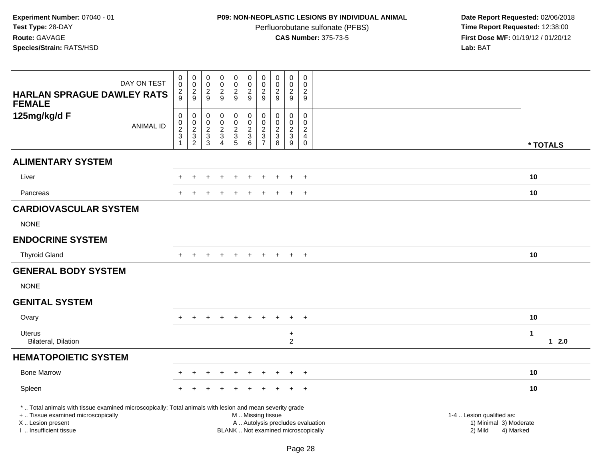# **P09: NON-NEOPLASTIC LESIONS BY INDIVIDUAL ANIMAL**

Perfluorobutane sulfonate (PFBS)<br>**CAS Number:** 375-73-5

Date Report Requested: 02/06/2018<br>Time Report Requested: 12:38:00 **First Dose M/F:** 01/19/12 / 01/20/12<br>Lab: BAT **Lab:** BAT

| DAY ON TEST<br><b>HARLAN SPRAGUE DAWLEY RATS</b>                                                                                                                                             | 0<br>$\mathbf 0$<br>$\overline{\mathbf{c}}$<br>9                   | $\pmb{0}$<br>$\boldsymbol{0}$<br>$\overline{c}$<br>9                                      | $\pmb{0}$<br>$\mathsf{O}\xspace$<br>$\overline{c}$<br>9        | $\mathbf 0$<br>$\mathbf 0$<br>$\overline{2}$<br>$\overline{9}$ | $\pmb{0}$<br>$\mathbf 0$<br>$\overline{2}$<br>9                | $\pmb{0}$<br>$\pmb{0}$<br>$\boldsymbol{2}$<br>9                                               | $\pmb{0}$<br>$\mathbf 0$<br>$\boldsymbol{2}$<br>9              | $\mathbf 0$<br>$\mathbf 0$<br>$\sqrt{2}$<br>9    | $\pmb{0}$<br>$\pmb{0}$<br>$\overline{c}$<br>9                                       | $\mathsf 0$<br>$\mathbf 0$<br>$\overline{c}$<br>9 |                                                                             |          |
|----------------------------------------------------------------------------------------------------------------------------------------------------------------------------------------------|--------------------------------------------------------------------|-------------------------------------------------------------------------------------------|----------------------------------------------------------------|----------------------------------------------------------------|----------------------------------------------------------------|-----------------------------------------------------------------------------------------------|----------------------------------------------------------------|--------------------------------------------------|-------------------------------------------------------------------------------------|---------------------------------------------------|-----------------------------------------------------------------------------|----------|
| <b>FEMALE</b><br>125mg/kg/d F<br><b>ANIMAL ID</b>                                                                                                                                            | $\mathsf 0$<br>0<br>$\overline{2}$<br>$\sqrt{3}$<br>$\overline{1}$ | $\mathbf 0$<br>$\mathbf 0$<br>$\sqrt{2}$<br>$\ensuremath{\mathsf{3}}$<br>$\boldsymbol{2}$ | 0<br>$\mathbf 0$<br>$\overline{c}$<br>$\sqrt{3}$<br>$\sqrt{3}$ | 0<br>0<br>$\frac{2}{3}$<br>4                                   | $\pmb{0}$<br>$\begin{array}{c}\n0 \\ 2 \\ 3 \\ 5\n\end{array}$ | $\pmb{0}$<br>$\pmb{0}$<br>$\frac{2}{3}$<br>$\,6\,$                                            | 0<br>$\mathbf 0$<br>$\sqrt{2}$<br>$\sqrt{3}$<br>$\overline{7}$ | $\mathbf 0$<br>$\mathbf 0$<br>$\frac{2}{3}$<br>8 | $\mathbf 0$<br>0<br>$\overline{2}$<br>$\ensuremath{\mathsf{3}}$<br>$\boldsymbol{9}$ | 0<br>0<br>$\frac{2}{4}$<br>$\mathbf 0$            |                                                                             | * TOTALS |
| <b>ALIMENTARY SYSTEM</b>                                                                                                                                                                     |                                                                    |                                                                                           |                                                                |                                                                |                                                                |                                                                                               |                                                                |                                                  |                                                                                     |                                                   |                                                                             |          |
| Liver                                                                                                                                                                                        |                                                                    | $\ddot{}$                                                                                 |                                                                |                                                                | $\ddot{}$                                                      | $\div$                                                                                        |                                                                | ÷.                                               | $\pm$                                                                               | $+$                                               |                                                                             | 10       |
| Pancreas                                                                                                                                                                                     |                                                                    |                                                                                           |                                                                |                                                                |                                                                |                                                                                               |                                                                |                                                  | $\ddot{}$                                                                           | $+$                                               |                                                                             | 10       |
| <b>CARDIOVASCULAR SYSTEM</b>                                                                                                                                                                 |                                                                    |                                                                                           |                                                                |                                                                |                                                                |                                                                                               |                                                                |                                                  |                                                                                     |                                                   |                                                                             |          |
| <b>NONE</b>                                                                                                                                                                                  |                                                                    |                                                                                           |                                                                |                                                                |                                                                |                                                                                               |                                                                |                                                  |                                                                                     |                                                   |                                                                             |          |
| <b>ENDOCRINE SYSTEM</b>                                                                                                                                                                      |                                                                    |                                                                                           |                                                                |                                                                |                                                                |                                                                                               |                                                                |                                                  |                                                                                     |                                                   |                                                                             |          |
| <b>Thyroid Gland</b>                                                                                                                                                                         |                                                                    | $\div$                                                                                    |                                                                | $\ddot{}$                                                      | $\pm$                                                          | $\ddot{}$                                                                                     | $+$                                                            | $+$                                              | $+$                                                                                 | $+$                                               |                                                                             | 10       |
| <b>GENERAL BODY SYSTEM</b>                                                                                                                                                                   |                                                                    |                                                                                           |                                                                |                                                                |                                                                |                                                                                               |                                                                |                                                  |                                                                                     |                                                   |                                                                             |          |
| <b>NONE</b>                                                                                                                                                                                  |                                                                    |                                                                                           |                                                                |                                                                |                                                                |                                                                                               |                                                                |                                                  |                                                                                     |                                                   |                                                                             |          |
| <b>GENITAL SYSTEM</b>                                                                                                                                                                        |                                                                    |                                                                                           |                                                                |                                                                |                                                                |                                                                                               |                                                                |                                                  |                                                                                     |                                                   |                                                                             |          |
| Ovary                                                                                                                                                                                        | $+$                                                                | $\ddot{}$                                                                                 |                                                                | $\div$                                                         | $\ddot{}$                                                      |                                                                                               |                                                                |                                                  | $+$                                                                                 | $+$                                               |                                                                             | 10       |
| Uterus<br><b>Bilateral, Dilation</b>                                                                                                                                                         |                                                                    |                                                                                           |                                                                |                                                                |                                                                |                                                                                               |                                                                |                                                  | $\ddot{}$<br>$\overline{2}$                                                         |                                                   | $\mathbf 1$                                                                 | $12.0$   |
| <b>HEMATOPOIETIC SYSTEM</b>                                                                                                                                                                  |                                                                    |                                                                                           |                                                                |                                                                |                                                                |                                                                                               |                                                                |                                                  |                                                                                     |                                                   |                                                                             |          |
| <b>Bone Marrow</b>                                                                                                                                                                           |                                                                    |                                                                                           |                                                                |                                                                |                                                                |                                                                                               |                                                                |                                                  |                                                                                     | $\pm$                                             |                                                                             | 10       |
| Spleen                                                                                                                                                                                       |                                                                    |                                                                                           |                                                                |                                                                |                                                                |                                                                                               |                                                                |                                                  |                                                                                     | $\ddot{}$                                         |                                                                             | 10       |
| *  Total animals with tissue examined microscopically; Total animals with lesion and mean severity grade<br>+  Tissue examined microscopically<br>X Lesion present<br>I  Insufficient tissue |                                                                    |                                                                                           |                                                                |                                                                |                                                                | M  Missing tissue<br>A  Autolysis precludes evaluation<br>BLANK  Not examined microscopically |                                                                |                                                  |                                                                                     |                                                   | 1-4  Lesion qualified as:<br>1) Minimal 3) Moderate<br>2) Mild<br>4) Marked |          |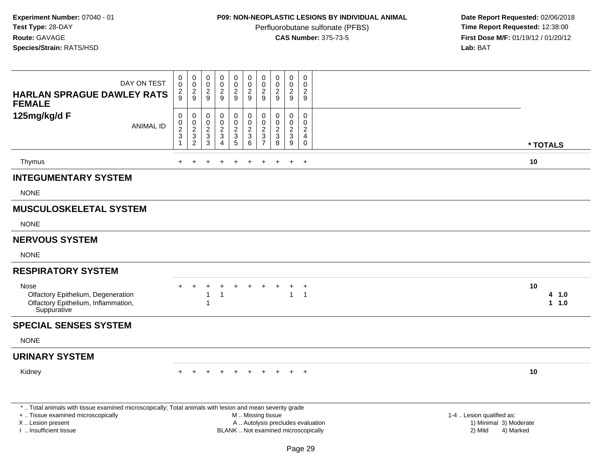# **P09: NON-NEOPLASTIC LESIONS BY INDIVIDUAL ANIMAL**

Perfluorobutane sulfonate (PFBS)<br>**CAS Number:** 375-73-5

| DAY ON TEST<br><b>HARLAN SPRAGUE DAWLEY RATS</b>                                                                                               | 0<br>$\overline{0}$<br>$\frac{2}{9}$                                                  | $\mathbf 0$<br>$\ddot{\mathbf{0}}$<br>$\frac{2}{9}$         | $\pmb{0}$<br>$\ddot{\mathbf{0}}$<br>$\frac{2}{9}$          | $\mathbf 0$<br>$\ddot{\mathbf{0}}$<br>$\frac{2}{9}$                                       | $\mathbf 0$<br>$\ddot{\mathbf{0}}$<br>$\frac{2}{9}$                 | $\pmb{0}$<br>$\mathbf 0$<br>$\boldsymbol{2}$<br>$\overline{9}$               | $\mathbf 0$<br>$\mathbf 0$<br>$\overline{c}$<br>9               | $\mathbf 0$<br>$\ddot{\mathbf{0}}$<br>$\frac{2}{9}$                            | 0<br>0<br>$\frac{2}{9}$                                 | $\mathbf 0$<br>$\mathbf 0$<br>$\overline{c}$<br>9         |                                                |
|------------------------------------------------------------------------------------------------------------------------------------------------|---------------------------------------------------------------------------------------|-------------------------------------------------------------|------------------------------------------------------------|-------------------------------------------------------------------------------------------|---------------------------------------------------------------------|------------------------------------------------------------------------------|-----------------------------------------------------------------|--------------------------------------------------------------------------------|---------------------------------------------------------|-----------------------------------------------------------|------------------------------------------------|
| <b>FEMALE</b><br>125mg/kg/d F<br><b>ANIMAL ID</b>                                                                                              | $\pmb{0}$<br>$\pmb{0}$<br>$\overline{c}$<br>$\ensuremath{\mathsf{3}}$<br>$\mathbf{1}$ | $\mathbf 0$<br>$\pmb{0}$<br>$\frac{2}{3}$<br>$\overline{c}$ | 0<br>0<br>$\overline{c}$<br>$\ensuremath{\mathsf{3}}$<br>3 | $\pmb{0}$<br>$\pmb{0}$<br>$\boldsymbol{2}$<br>$\ensuremath{\mathsf{3}}$<br>$\overline{4}$ | $\mathbf 0$<br>$\mathbf 0$<br>$\overline{c}$<br>$\overline{3}$<br>5 | 0<br>$\mathbf 0$<br>$\boldsymbol{2}$<br>$\ensuremath{\mathsf{3}}$<br>$\,6\,$ | $\mathbf 0$<br>$\mathbf 0$<br>$\sqrt{2}$<br>3<br>$\overline{7}$ | $\mathbf 0$<br>$\mathbf 0$<br>$\overline{2}$<br>$\ensuremath{\mathsf{3}}$<br>8 | 0<br>$\mathbf 0$<br>$\overline{2}$<br>$\mathbf{3}$<br>9 | $\mathbf 0$<br>$\Omega$<br>$\sqrt{2}$<br>4<br>$\mathbf 0$ | * TOTALS                                       |
| Thymus                                                                                                                                         |                                                                                       |                                                             |                                                            | $\div$                                                                                    |                                                                     |                                                                              |                                                                 |                                                                                | $\ddot{}$                                               | $+$                                                       | 10                                             |
| <b>INTEGUMENTARY SYSTEM</b>                                                                                                                    |                                                                                       |                                                             |                                                            |                                                                                           |                                                                     |                                                                              |                                                                 |                                                                                |                                                         |                                                           |                                                |
| <b>NONE</b>                                                                                                                                    |                                                                                       |                                                             |                                                            |                                                                                           |                                                                     |                                                                              |                                                                 |                                                                                |                                                         |                                                           |                                                |
| <b>MUSCULOSKELETAL SYSTEM</b>                                                                                                                  |                                                                                       |                                                             |                                                            |                                                                                           |                                                                     |                                                                              |                                                                 |                                                                                |                                                         |                                                           |                                                |
| <b>NONE</b>                                                                                                                                    |                                                                                       |                                                             |                                                            |                                                                                           |                                                                     |                                                                              |                                                                 |                                                                                |                                                         |                                                           |                                                |
| <b>NERVOUS SYSTEM</b>                                                                                                                          |                                                                                       |                                                             |                                                            |                                                                                           |                                                                     |                                                                              |                                                                 |                                                                                |                                                         |                                                           |                                                |
| <b>NONE</b>                                                                                                                                    |                                                                                       |                                                             |                                                            |                                                                                           |                                                                     |                                                                              |                                                                 |                                                                                |                                                         |                                                           |                                                |
| <b>RESPIRATORY SYSTEM</b>                                                                                                                      |                                                                                       |                                                             |                                                            |                                                                                           |                                                                     |                                                                              |                                                                 |                                                                                |                                                         |                                                           |                                                |
| Nose<br>Olfactory Epithelium, Degeneration<br>Olfactory Epithelium, Inflammation,<br>Suppurative                                               |                                                                                       |                                                             | 1<br>1                                                     | $\mathbf{1}$                                                                              |                                                                     |                                                                              |                                                                 |                                                                                | +<br>$\mathbf{1}$                                       | $^{+}$<br>$\overline{1}$                                  | 10<br>4 1.0<br>1 1.0                           |
| <b>SPECIAL SENSES SYSTEM</b>                                                                                                                   |                                                                                       |                                                             |                                                            |                                                                                           |                                                                     |                                                                              |                                                                 |                                                                                |                                                         |                                                           |                                                |
| <b>NONE</b>                                                                                                                                    |                                                                                       |                                                             |                                                            |                                                                                           |                                                                     |                                                                              |                                                                 |                                                                                |                                                         |                                                           |                                                |
| <b>URINARY SYSTEM</b>                                                                                                                          |                                                                                       |                                                             |                                                            |                                                                                           |                                                                     |                                                                              |                                                                 |                                                                                |                                                         |                                                           |                                                |
| Kidney                                                                                                                                         |                                                                                       |                                                             |                                                            |                                                                                           |                                                                     |                                                                              |                                                                 |                                                                                |                                                         | $+$                                                       | 10                                             |
| *  Total animals with tissue examined microscopically; Total animals with lesion and mean severity grade<br>+  Tissue examined microscopically |                                                                                       |                                                             |                                                            |                                                                                           |                                                                     | M  Missing tissue                                                            |                                                                 |                                                                                |                                                         |                                                           | 1-4  Lesion qualified as:                      |
| X  Lesion present<br>I  Insufficient tissue                                                                                                    |                                                                                       |                                                             |                                                            |                                                                                           |                                                                     | A  Autolysis precludes evaluation<br>BLANK  Not examined microscopically     |                                                                 |                                                                                |                                                         |                                                           | 1) Minimal 3) Moderate<br>2) Mild<br>4) Marked |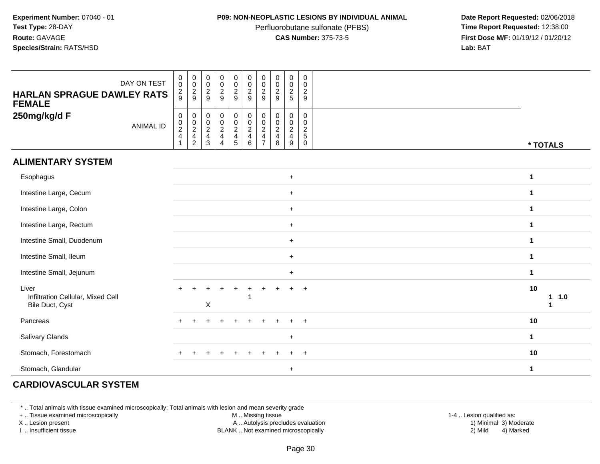### **P09: NON-NEOPLASTIC LESIONS BY INDIVIDUAL ANIMAL**

Perfluorobutane sulfonate (PFBS)<br>**CAS Number:** 375-73-5

 **Date Report Requested:** 02/06/2018 **First Dose M/F:** 01/19/12 / 01/20/12<br>**Lab:** BAT **Lab:** BAT

| <b>HARLAN SPRAGUE DAWLEY RATS</b><br><b>FEMALE</b>            | DAY ON TEST      | $\mathbf 0$<br>$\pmb{0}$<br>$\frac{2}{9}$    | 0<br>$\pmb{0}$<br>$\frac{2}{9}$      | $\pmb{0}$<br>$\mathbf 0$<br>$\frac{2}{9}$ | $\begin{array}{c} 0 \\ 0 \\ 2 \\ 9 \end{array}$                   | $\begin{array}{c} 0 \\ 0 \\ 2 \\ 9 \end{array}$         | $\begin{array}{c} 0 \\ 0 \\ 2 \\ 9 \end{array}$                   | 0<br>$\pmb{0}$<br>$\sqrt{2}$<br>$9\,$                   | $\begin{array}{c} 0 \\ 0 \\ 2 \\ 9 \end{array}$      | $\begin{array}{c} 0 \\ 0 \\ 2 \\ 5 \end{array}$ | 0<br>0<br>$\frac{2}{9}$                          |                     |
|---------------------------------------------------------------|------------------|----------------------------------------------|--------------------------------------|-------------------------------------------|-------------------------------------------------------------------|---------------------------------------------------------|-------------------------------------------------------------------|---------------------------------------------------------|------------------------------------------------------|-------------------------------------------------|--------------------------------------------------|---------------------|
| 250mg/kg/d F                                                  | <b>ANIMAL ID</b> | $\pmb{0}$<br>$\frac{0}{2}$<br>$\overline{1}$ | 0<br>$\frac{0}{2}$<br>$\overline{c}$ | $\pmb{0}$<br>$\frac{0}{2}$<br>3           | $\begin{array}{c} 0 \\ 0 \\ 2 \\ 4 \end{array}$<br>$\overline{4}$ | $\begin{matrix} 0 \\ 0 \\ 2 \\ 4 \end{matrix}$<br>$5\,$ | $\begin{array}{c} 0 \\ 0 \\ 2 \\ 4 \end{array}$<br>$6\phantom{1}$ | 0<br>$\pmb{0}$<br>$\overline{c}$<br>4<br>$\overline{7}$ | $\begin{array}{c} 0 \\ 0 \\ 2 \\ 4 \end{array}$<br>8 | $\mathbf 0$<br>$\frac{0}{2}$<br>9               | 0<br>$\mathbf 0$<br>$\frac{2}{5}$<br>$\mathbf 0$ | * TOTALS            |
| <b>ALIMENTARY SYSTEM</b>                                      |                  |                                              |                                      |                                           |                                                                   |                                                         |                                                                   |                                                         |                                                      |                                                 |                                                  |                     |
| Esophagus                                                     |                  |                                              |                                      |                                           |                                                                   |                                                         |                                                                   |                                                         |                                                      | $\ddot{}$                                       |                                                  | $\mathbf 1$         |
| Intestine Large, Cecum                                        |                  |                                              |                                      |                                           |                                                                   |                                                         |                                                                   |                                                         |                                                      | $\ddot{}$                                       |                                                  | $\mathbf{1}$        |
| Intestine Large, Colon                                        |                  |                                              |                                      |                                           |                                                                   |                                                         |                                                                   |                                                         |                                                      | $+$                                             |                                                  | 1                   |
| Intestine Large, Rectum                                       |                  |                                              |                                      |                                           |                                                                   |                                                         |                                                                   |                                                         |                                                      | $+$                                             |                                                  | 1                   |
| Intestine Small, Duodenum                                     |                  |                                              |                                      |                                           |                                                                   |                                                         |                                                                   |                                                         |                                                      | $\ddot{}$                                       |                                                  | $\mathbf{1}$        |
| Intestine Small, Ileum                                        |                  |                                              |                                      |                                           |                                                                   |                                                         |                                                                   |                                                         |                                                      | $\ddot{}$                                       |                                                  | $\mathbf 1$         |
| Intestine Small, Jejunum                                      |                  |                                              |                                      |                                           |                                                                   |                                                         |                                                                   |                                                         |                                                      | $+$                                             |                                                  | $\mathbf 1$         |
| Liver<br>Infiltration Cellular, Mixed Cell<br>Bile Duct, Cyst |                  |                                              |                                      | X                                         | $\ddot{}$                                                         | $\ddot{}$                                               | $\ddot{}$                                                         | $\ddot{}$                                               |                                                      | $+$                                             | $+$                                              | 10<br>1.0<br>1<br>1 |
| Pancreas                                                      |                  |                                              | $\div$                               |                                           | $\div$                                                            | ÷                                                       | $\pm$                                                             | ÷                                                       |                                                      | $\ddot{}$                                       | $\overline{+}$                                   | 10                  |
| Salivary Glands                                               |                  |                                              |                                      |                                           |                                                                   |                                                         |                                                                   |                                                         |                                                      | $+$                                             |                                                  | $\mathbf 1$         |
| Stomach, Forestomach                                          |                  |                                              |                                      |                                           |                                                                   |                                                         |                                                                   |                                                         |                                                      | $\ddot{}$                                       | $+$                                              | 10                  |
| Stomach, Glandular                                            |                  |                                              |                                      |                                           |                                                                   |                                                         |                                                                   |                                                         |                                                      | $\ddot{}$                                       |                                                  | 1                   |

# **CARDIOVASCULAR SYSTEM**

\* .. Total animals with tissue examined microscopically; Total animals with lesion and mean severity grade

+ .. Tissue examined microscopically

X .. Lesion present

I .. Insufficient tissue

M .. Missing tissue

A .. Autolysis precludes evaluation

1-4 .. Lesion qualified as:<br>1) Minimal 3) Moderate BLANK .. Not examined microscopically 2) Mild 4) Marked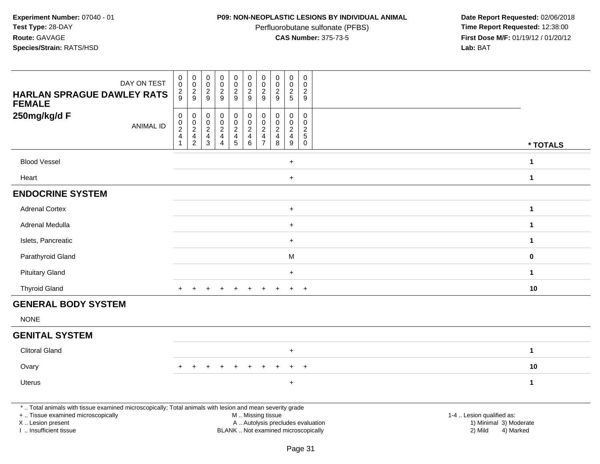## **P09: NON-NEOPLASTIC LESIONS BY INDIVIDUAL ANIMAL**

Perfluorobutane sulfonate (PFBS)<br>**CAS Number:** 375-73-5

| DAY ON TEST<br><b>HARLAN SPRAGUE DAWLEY RATS</b><br><b>FEMALE</b>                                                                                                                             | 0<br>$\mathbf 0$<br>$\frac{2}{9}$                         | $\boldsymbol{0}$<br>$\mathbf 0$<br>$\frac{2}{9}$            | $\pmb{0}$<br>$\ddot{\mathbf{0}}$<br>$\frac{2}{9}$             | $\mathbf 0$<br>$\bar{0}$<br>$\overline{a}$<br>$\boldsymbol{9}$ | $\pmb{0}$<br>$\mathsf{O}\xspace$<br>$\frac{2}{9}$ | $\pmb{0}$<br>$\pmb{0}$<br>$\sqrt{2}$<br>$9\,$                        | $\pmb{0}$<br>$\mathbf 0$<br>$\overline{2}$<br>9                        | $\pmb{0}$<br>$\pmb{0}$<br>$\overline{2}$<br>9  | $\pmb{0}$<br>$\mathbf 0$<br>$\overline{c}$<br>5 | $\pmb{0}$<br>$\Omega$<br>$\overline{2}$<br>9           |                                                                                                     |                      |
|-----------------------------------------------------------------------------------------------------------------------------------------------------------------------------------------------|-----------------------------------------------------------|-------------------------------------------------------------|---------------------------------------------------------------|----------------------------------------------------------------|---------------------------------------------------|----------------------------------------------------------------------|------------------------------------------------------------------------|------------------------------------------------|-------------------------------------------------|--------------------------------------------------------|-----------------------------------------------------------------------------------------------------|----------------------|
| 250mg/kg/d F<br><b>ANIMAL ID</b>                                                                                                                                                              | $\mathsf 0$<br>$\pmb{0}$<br>$\frac{2}{4}$<br>$\mathbf{1}$ | $\pmb{0}$<br>$\mathbf 0$<br>$\frac{2}{4}$<br>$\overline{c}$ | $\boldsymbol{0}$<br>$\pmb{0}$<br>$\frac{2}{4}$<br>$\mathsf 3$ | 0<br>$\boldsymbol{0}$<br>$\frac{2}{4}$<br>$\overline{4}$       | $\pmb{0}$<br>$\pmb{0}$<br>$\frac{2}{4}$           | $\mathbf 0$<br>$\begin{array}{c} 0 \\ 2 \\ 4 \end{array}$<br>$\,6\,$ | 0<br>$\mathbf 0$<br>$\overline{c}$<br>$\overline{4}$<br>$\overline{7}$ | $\pmb{0}$<br>$\mathbf 0$<br>$\frac{2}{4}$<br>8 | 0<br>$\mathbf 0$<br>$\frac{2}{4}$<br>9          | $\pmb{0}$<br>$\mathbf 0$<br>$rac{2}{5}$<br>$\mathbf 0$ |                                                                                                     | * TOTALS             |
| <b>Blood Vessel</b>                                                                                                                                                                           |                                                           |                                                             |                                                               |                                                                |                                                   |                                                                      |                                                                        |                                                | $\ddot{}$                                       |                                                        |                                                                                                     | $\mathbf{1}$         |
| Heart                                                                                                                                                                                         |                                                           |                                                             |                                                               |                                                                |                                                   |                                                                      |                                                                        |                                                | $\ddot{}$                                       |                                                        |                                                                                                     | $\mathbf{1}$         |
| <b>ENDOCRINE SYSTEM</b>                                                                                                                                                                       |                                                           |                                                             |                                                               |                                                                |                                                   |                                                                      |                                                                        |                                                |                                                 |                                                        |                                                                                                     |                      |
| <b>Adrenal Cortex</b>                                                                                                                                                                         |                                                           |                                                             |                                                               |                                                                |                                                   |                                                                      |                                                                        |                                                | $\ddot{}$                                       |                                                        |                                                                                                     | $\mathbf{1}$         |
| Adrenal Medulla                                                                                                                                                                               |                                                           |                                                             |                                                               |                                                                |                                                   |                                                                      |                                                                        |                                                | $+$                                             |                                                        |                                                                                                     | $\mathbf 1$          |
| Islets, Pancreatic                                                                                                                                                                            |                                                           |                                                             |                                                               |                                                                |                                                   |                                                                      |                                                                        |                                                | $\ddot{}$                                       |                                                        |                                                                                                     | $\mathbf 1$          |
| Parathyroid Gland                                                                                                                                                                             |                                                           |                                                             |                                                               |                                                                |                                                   |                                                                      |                                                                        |                                                | ${\sf M}$                                       |                                                        |                                                                                                     | 0                    |
| <b>Pituitary Gland</b>                                                                                                                                                                        |                                                           |                                                             |                                                               |                                                                |                                                   |                                                                      |                                                                        |                                                | $\ddot{}$                                       |                                                        |                                                                                                     | $\blacktriangleleft$ |
| <b>Thyroid Gland</b>                                                                                                                                                                          | $+$                                                       | $\ddot{}$                                                   |                                                               | $\ddot{}$                                                      | $\ddot{}$                                         | $+$                                                                  | $+$                                                                    | $\ddot{}$                                      | $\ddot{}$                                       | $+$                                                    |                                                                                                     | 10                   |
| <b>GENERAL BODY SYSTEM</b>                                                                                                                                                                    |                                                           |                                                             |                                                               |                                                                |                                                   |                                                                      |                                                                        |                                                |                                                 |                                                        |                                                                                                     |                      |
| <b>NONE</b>                                                                                                                                                                                   |                                                           |                                                             |                                                               |                                                                |                                                   |                                                                      |                                                                        |                                                |                                                 |                                                        |                                                                                                     |                      |
| <b>GENITAL SYSTEM</b>                                                                                                                                                                         |                                                           |                                                             |                                                               |                                                                |                                                   |                                                                      |                                                                        |                                                |                                                 |                                                        |                                                                                                     |                      |
| <b>Clitoral Gland</b>                                                                                                                                                                         |                                                           |                                                             |                                                               |                                                                |                                                   |                                                                      |                                                                        |                                                | $\ddot{}$                                       |                                                        |                                                                                                     | $\mathbf 1$          |
| Ovary                                                                                                                                                                                         |                                                           | $\ddot{}$                                                   |                                                               | $\ddot{}$                                                      | $\ddot{}$                                         | $\ddot{}$                                                            |                                                                        |                                                | $\ddot{}$                                       | $\overline{+}$                                         |                                                                                                     | 10                   |
| Uterus                                                                                                                                                                                        |                                                           |                                                             |                                                               |                                                                |                                                   |                                                                      |                                                                        |                                                | $\ddot{}$                                       |                                                        |                                                                                                     | $\mathbf 1$          |
| *  Total animals with tissue examined microscopically; Total animals with lesion and mean severity grade<br>+  Tissue examined microscopically<br>X  Lesion present<br>I  Insufficient tissue |                                                           |                                                             |                                                               |                                                                |                                                   | M  Missing tissue<br>BLANK  Not examined microscopically             |                                                                        |                                                |                                                 |                                                        | 1-4  Lesion qualified as:<br>A  Autolysis precludes evaluation<br>1) Minimal 3) Moderate<br>2) Mild | 4) Marked            |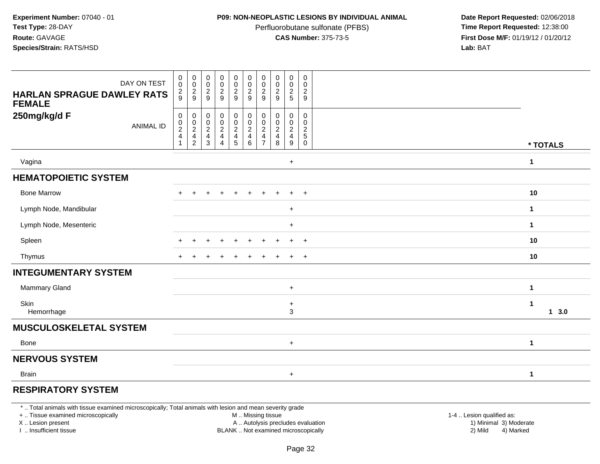### **P09: NON-NEOPLASTIC LESIONS BY INDIVIDUAL ANIMAL**

Perfluorobutane sulfonate (PFBS)<br>**CAS Number:** 375-73-5

 **Date Report Requested:** 02/06/2018 **First Dose M/F:** 01/19/12 / 01/20/12<br>**Lab:** BAT **Lab:** BAT

| <b>HARLAN SPRAGUE DAWLEY RATS</b><br><b>FEMALE</b> | DAY ON TEST      | $\begin{smallmatrix} 0\\0 \end{smallmatrix}$<br>$\frac{2}{9}$     | $\begin{smallmatrix} 0\\0 \end{smallmatrix}$<br>$\frac{2}{9}$ | $_{\rm 0}^{\rm 0}$<br>$\frac{2}{9}$      | $_{\rm 0}^{\rm 0}$<br>$\frac{2}{9}$      | $_{\rm 0}^{\rm 0}$<br>$\frac{2}{9}$                    | $\begin{smallmatrix} 0\\0 \end{smallmatrix}$<br>$\frac{2}{9}$ | $\pmb{0}$<br>$\pmb{0}$<br>$\frac{2}{9}$                                        | $\begin{smallmatrix} 0\\0 \end{smallmatrix}$<br>$\frac{2}{9}$ | $_{\rm 0}^{\rm 0}$<br>$\frac{2}{5}$      | $\pmb{0}$<br>$\pmb{0}$<br>$\boldsymbol{2}$<br>9          |                      |
|----------------------------------------------------|------------------|-------------------------------------------------------------------|---------------------------------------------------------------|------------------------------------------|------------------------------------------|--------------------------------------------------------|---------------------------------------------------------------|--------------------------------------------------------------------------------|---------------------------------------------------------------|------------------------------------------|----------------------------------------------------------|----------------------|
| 250mg/kg/d F                                       | <b>ANIMAL ID</b> | $\pmb{0}$<br>$\pmb{0}$<br>$\boldsymbol{2}$<br>$\overline{4}$<br>1 | $\boldsymbol{0}$<br>$\mathbf 0$<br>$_4^2$<br>$\overline{c}$   | $_{\rm 0}^{\rm 0}$<br>$\frac{2}{4}$<br>3 | $_{\rm 0}^{\rm 0}$<br>$\frac{2}{4}$<br>4 | $\pmb{0}$<br>$\mathsf{O}\xspace$<br>$\frac{2}{4}$<br>5 | 0<br>$\pmb{0}$<br>$\frac{2}{4}$<br>$\,6\,$                    | 0<br>0<br>$\overline{\mathbf{c}}$<br>$\overline{\mathbf{4}}$<br>$\overline{7}$ | $_{\rm 0}^{\rm 0}$<br>$\frac{2}{4}$<br>8                      | 0<br>$\pmb{0}$<br>$\frac{2}{4}$<br>$9\,$ | $\pmb{0}$<br>$\mathbf 0$<br>$\frac{2}{5}$<br>$\mathbf 0$ | * TOTALS             |
| Vagina                                             |                  |                                                                   |                                                               |                                          |                                          |                                                        |                                                               |                                                                                |                                                               | $\ddot{}$                                |                                                          | -1                   |
| <b>HEMATOPOIETIC SYSTEM</b>                        |                  |                                                                   |                                                               |                                          |                                          |                                                        |                                                               |                                                                                |                                                               |                                          |                                                          |                      |
| <b>Bone Marrow</b>                                 |                  |                                                                   |                                                               |                                          |                                          |                                                        |                                                               |                                                                                |                                                               | $\ddot{}$                                | $+$                                                      | 10                   |
| Lymph Node, Mandibular                             |                  |                                                                   |                                                               |                                          |                                          |                                                        |                                                               |                                                                                |                                                               | $\ddot{}$                                |                                                          | $\mathbf{1}$         |
| Lymph Node, Mesenteric                             |                  |                                                                   |                                                               |                                          |                                          |                                                        |                                                               |                                                                                |                                                               | $\ddot{}$                                |                                                          | $\blacktriangleleft$ |
| Spleen                                             |                  | $\pm$                                                             |                                                               |                                          | ÷                                        |                                                        |                                                               |                                                                                |                                                               | $\ddot{}$                                | $+$                                                      | 10                   |
| Thymus                                             |                  |                                                                   |                                                               |                                          |                                          |                                                        |                                                               |                                                                                |                                                               | $+$                                      | $+$                                                      | 10                   |
| <b>INTEGUMENTARY SYSTEM</b>                        |                  |                                                                   |                                                               |                                          |                                          |                                                        |                                                               |                                                                                |                                                               |                                          |                                                          |                      |
| Mammary Gland                                      |                  |                                                                   |                                                               |                                          |                                          |                                                        |                                                               |                                                                                |                                                               | $\ddot{}$                                |                                                          | 1                    |
| Skin<br>Hemorrhage                                 |                  |                                                                   |                                                               |                                          |                                          |                                                        |                                                               |                                                                                |                                                               | $\ddot{}$<br>3                           |                                                          | $1 \quad 3.0$        |
| <b>MUSCULOSKELETAL SYSTEM</b>                      |                  |                                                                   |                                                               |                                          |                                          |                                                        |                                                               |                                                                                |                                                               |                                          |                                                          |                      |
| <b>Bone</b>                                        |                  |                                                                   |                                                               |                                          |                                          |                                                        |                                                               |                                                                                |                                                               | $\ddot{}$                                |                                                          | $\mathbf 1$          |
| <b>NERVOUS SYSTEM</b>                              |                  |                                                                   |                                                               |                                          |                                          |                                                        |                                                               |                                                                                |                                                               |                                          |                                                          |                      |
| <b>Brain</b>                                       |                  |                                                                   |                                                               |                                          |                                          |                                                        |                                                               |                                                                                |                                                               | $\ddot{}$                                |                                                          | $\mathbf{1}$         |
|                                                    |                  |                                                                   |                                                               |                                          |                                          |                                                        |                                                               |                                                                                |                                                               |                                          |                                                          |                      |

# **RESPIRATORY SYSTEM**

\* .. Total animals with tissue examined microscopically; Total animals with lesion and mean severity grade

+ .. Tissue examined microscopically

X .. Lesion present

I .. Insufficient tissue

M .. Missing tissue

A .. Autolysis precludes evaluation

BLANK .. Not examined microscopically 2) Mild 4) Marked

1-4 .. Lesion qualified as:<br>1) Minimal 3) Moderate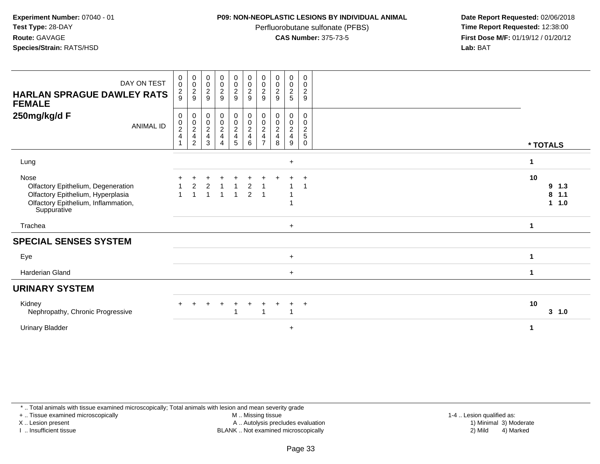### **P09: NON-NEOPLASTIC LESIONS BY INDIVIDUAL ANIMAL**

Perfluorobutane sulfonate (PFBS)<br>**CAS Number:** 375-73-5

 **Date Report Requested:** 02/06/2018 **First Dose M/F:** 01/19/12 / 01/20/12<br>**Lab:** BAT **Lab:** BAT

| DAY ON TEST<br><b>HARLAN SPRAGUE DAWLEY RATS</b><br><b>FEMALE</b>                                                                     | $\pmb{0}$<br>$\mathbf 0$<br>$\frac{2}{9}$            | $\pmb{0}$<br>$\mathbf 0$<br>$\frac{2}{9}$ | 0<br>0<br>$\boldsymbol{2}$<br>9                          | $_{\rm 0}^{\rm 0}$<br>$\boldsymbol{2}$<br>9          | $\begin{smallmatrix} 0\\0 \end{smallmatrix}$<br>$\frac{2}{9}$ | $_{\rm 0}^{\rm 0}$<br>$\overline{c}$<br>$\boldsymbol{9}$ | $\mathbf 0$<br>$\pmb{0}$<br>$\overline{\mathbf{c}}$<br>9 | $\begin{smallmatrix} 0\\0 \end{smallmatrix}$<br>$\overline{c}$<br>9 | $\begin{smallmatrix}0\0\0\end{smallmatrix}$<br>$\overline{c}$<br>5 | $\pmb{0}$<br>0<br>$\overline{c}$<br>9                    |                                        |
|---------------------------------------------------------------------------------------------------------------------------------------|------------------------------------------------------|-------------------------------------------|----------------------------------------------------------|------------------------------------------------------|---------------------------------------------------------------|----------------------------------------------------------|----------------------------------------------------------|---------------------------------------------------------------------|--------------------------------------------------------------------|----------------------------------------------------------|----------------------------------------|
| 250mg/kg/d F<br><b>ANIMAL ID</b>                                                                                                      | 0<br>$\begin{array}{c} 0 \\ 2 \\ 4 \end{array}$<br>1 | 0<br>0<br>$\frac{2}{4}$<br>$\overline{c}$ | 0<br>0<br>$\overline{c}$<br>$\overline{\mathbf{4}}$<br>3 | 0<br>$\begin{array}{c} 0 \\ 2 \\ 4 \end{array}$<br>4 | $\mathbf 0$<br>$\frac{0}{2}$<br>$5\phantom{.0}$               | 0<br>$\frac{0}{2}$<br>6                                  | 0<br>0<br>$\overline{\mathbf{c}}$<br>4<br>$\overline{ }$ | 0<br>$\pmb{0}$<br>$\overline{c}$<br>$\overline{\mathbf{4}}$<br>8    | 0<br>0<br>$\overline{c}$<br>$\overline{\mathbf{4}}$<br>9           | 0<br>0<br>$\boldsymbol{2}$<br>$\,$ 5 $\,$<br>$\mathbf 0$ | * TOTALS                               |
| Lung                                                                                                                                  |                                                      |                                           |                                                          |                                                      |                                                               |                                                          |                                                          |                                                                     | $\ddot{}$                                                          |                                                          | 1                                      |
| Nose<br>Olfactory Epithelium, Degeneration<br>Olfactory Epithelium, Hyperplasia<br>Olfactory Epithelium, Inflammation,<br>Suppurative |                                                      | $\overline{2}$                            | 2                                                        | $\overline{1}$                                       | $\overline{1}$<br>$\overline{1}$                              | $\overline{2}$<br>$\overline{2}$                         | -1<br>$\overline{1}$                                     |                                                                     |                                                                    | $\ddot{}$                                                | 10<br>9<br>1.3<br>8<br>1.1<br>1.0<br>1 |
| Trachea                                                                                                                               |                                                      |                                           |                                                          |                                                      |                                                               |                                                          |                                                          |                                                                     | $+$                                                                |                                                          | $\mathbf 1$                            |
| <b>SPECIAL SENSES SYSTEM</b>                                                                                                          |                                                      |                                           |                                                          |                                                      |                                                               |                                                          |                                                          |                                                                     |                                                                    |                                                          |                                        |
| Eye                                                                                                                                   |                                                      |                                           |                                                          |                                                      |                                                               |                                                          |                                                          |                                                                     | $+$                                                                |                                                          | -1                                     |
| Harderian Gland                                                                                                                       |                                                      |                                           |                                                          |                                                      |                                                               |                                                          |                                                          |                                                                     | $+$                                                                |                                                          | $\blacktriangleleft$                   |
| <b>URINARY SYSTEM</b>                                                                                                                 |                                                      |                                           |                                                          |                                                      |                                                               |                                                          |                                                          |                                                                     |                                                                    |                                                          |                                        |
| Kidney<br>Nephropathy, Chronic Progressive                                                                                            |                                                      |                                           |                                                          |                                                      |                                                               |                                                          | -1                                                       |                                                                     | ÷<br>-1                                                            | $\overline{+}$                                           | 10<br>3, 1.0                           |
| <b>Urinary Bladder</b>                                                                                                                |                                                      |                                           |                                                          |                                                      |                                                               |                                                          |                                                          |                                                                     | $\ddot{}$                                                          |                                                          | 1                                      |

\* .. Total animals with tissue examined microscopically; Total animals with lesion and mean severity grade

+ .. Tissue examined microscopically

X .. Lesion present

I .. Insufficient tissue

M .. Missing tissue

Lesion present A .. Autolysis precludes evaluation 1) Minimal 3) Moderate

1-4 .. Lesion qualified as:<br>1) Minimal 3) Moderate BLANK .. Not examined microscopically 2) Mild 4) Marked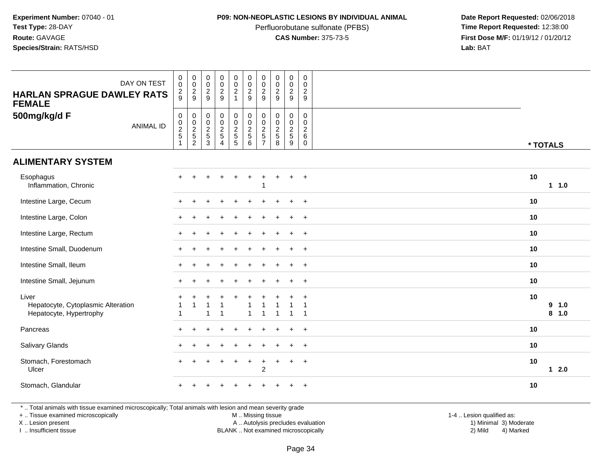### **P09: NON-NEOPLASTIC LESIONS BY INDIVIDUAL ANIMAL**

Perfluorobutane sulfonate (PFBS)<br>**CAS Number:** 375-73-5

 **Date Report Requested:** 02/06/2018 **First Dose M/F:** 01/19/12 / 01/20/12<br>**Lab:** BAT **Lab:** BAT

| DAY ON TEST<br><b>HARLAN SPRAGUE DAWLEY RATS</b><br><b>FEMALE</b>      | $\,0\,$<br>$\overline{0}$<br>$\frac{2}{9}$              | $\begin{array}{c} 0 \\ 0 \\ 2 \\ 9 \end{array}$ | $\pmb{0}$<br>$\overline{0}$<br>$\sqrt{2}$<br>9 | $\mathbf 0$<br>$\frac{0}{2}$                   | $\pmb{0}$<br>$\frac{0}{2}$<br>$\mathbf{1}$           | $\pmb{0}$<br>$\ddot{\mathbf{0}}$<br>$\overline{c}$<br>9 | $\pmb{0}$<br>$\pmb{0}$<br>$\overline{a}$<br>9     | $\pmb{0}$<br>$\frac{0}{2}$<br>9 | $\pmb{0}$<br>$\mathsf{O}\xspace$<br>$\sqrt{2}$<br>9 | $\boldsymbol{0}$<br>$\mathbf 0$<br>$\overline{2}$<br>9       |    |                |
|------------------------------------------------------------------------|---------------------------------------------------------|-------------------------------------------------|------------------------------------------------|------------------------------------------------|------------------------------------------------------|---------------------------------------------------------|---------------------------------------------------|---------------------------------|-----------------------------------------------------|--------------------------------------------------------------|----|----------------|
| 500mg/kg/d F<br><b>ANIMAL ID</b>                                       | $\pmb{0}$<br>$\begin{array}{c} 0 \\ 2 \\ 5 \end{array}$ | 000252                                          | $\pmb{0}$<br>$\frac{0}{2}$<br>$\mathbf{3}$     | $\mathbf 0$<br>$\frac{0}{2}$<br>$\overline{4}$ | $\begin{array}{c} 0 \\ 0 \\ 2 \\ 5 \end{array}$<br>5 | $\mathsf{O}\xspace$<br>$\frac{0}{2}$<br>$\sqrt{5}$<br>6 | 0<br>0<br>$\boldsymbol{2}$<br>5<br>$\overline{7}$ | $\pmb{0}$<br>$\frac{0}{2}$<br>8 | 0<br>$\mathbf 0$<br>$\frac{2}{5}$<br>9              | $\mathbf 0$<br>$\mathbf 0$<br>$\sqrt{2}$<br>6<br>$\mathbf 0$ |    | * TOTALS       |
| <b>ALIMENTARY SYSTEM</b>                                               |                                                         |                                                 |                                                |                                                |                                                      |                                                         |                                                   |                                 |                                                     |                                                              |    |                |
| Esophagus<br>Inflammation, Chronic                                     | $\ddot{}$                                               |                                                 |                                                |                                                |                                                      |                                                         |                                                   |                                 | $\ddot{}$                                           | $+$                                                          | 10 | $1 1.0$        |
| Intestine Large, Cecum                                                 |                                                         |                                                 |                                                |                                                |                                                      |                                                         |                                                   |                                 | $\ddot{}$                                           | $\overline{+}$                                               | 10 |                |
| Intestine Large, Colon                                                 |                                                         |                                                 |                                                |                                                |                                                      |                                                         |                                                   |                                 |                                                     | $\overline{+}$                                               | 10 |                |
| Intestine Large, Rectum                                                |                                                         |                                                 |                                                |                                                |                                                      |                                                         |                                                   |                                 |                                                     | $\ddot{}$                                                    | 10 |                |
| Intestine Small, Duodenum                                              |                                                         |                                                 |                                                |                                                |                                                      |                                                         |                                                   |                                 | $\ddot{}$                                           | $+$                                                          | 10 |                |
| Intestine Small, Ileum                                                 |                                                         |                                                 |                                                |                                                |                                                      |                                                         |                                                   |                                 | $\ddot{}$                                           | $+$                                                          | 10 |                |
| Intestine Small, Jejunum                                               |                                                         |                                                 |                                                |                                                |                                                      |                                                         |                                                   |                                 | $\ddot{}$                                           | $\overline{+}$                                               | 10 |                |
| Liver<br>Hepatocyte, Cytoplasmic Alteration<br>Hepatocyte, Hypertrophy |                                                         |                                                 | 1                                              | 1                                              |                                                      | -1                                                      |                                                   | $\overline{1}$                  | 1                                                   | $\ddot{}$<br>-1<br>-1                                        | 10 | 9 1.0<br>8 1.0 |
| Pancreas                                                               |                                                         |                                                 |                                                |                                                |                                                      |                                                         |                                                   |                                 |                                                     | $\ddot{}$                                                    | 10 |                |
| Salivary Glands                                                        |                                                         |                                                 |                                                |                                                |                                                      |                                                         |                                                   |                                 | ÷.                                                  | $+$                                                          | 10 |                |
| Stomach, Forestomach<br>Ulcer                                          | $\ddot{}$                                               |                                                 |                                                |                                                |                                                      | $\ddot{}$                                               | $\ddot{}$<br>$\overline{2}$                       |                                 | $\ddot{}$                                           | $+$                                                          | 10 | $12.0$         |
| Stomach, Glandular                                                     |                                                         |                                                 |                                                |                                                |                                                      |                                                         |                                                   |                                 |                                                     |                                                              | 10 |                |

\* .. Total animals with tissue examined microscopically; Total animals with lesion and mean severity grade

+ .. Tissue examined microscopically

X .. Lesion present

I .. Insufficient tissue

M .. Missing tissue

Lesion present A .. Autolysis precludes evaluation 1) Minimal 3) Moderate

1-4 .. Lesion qualified as:<br>1) Minimal 3) Moderate BLANK .. Not examined microscopically 2) Mild 4) Marked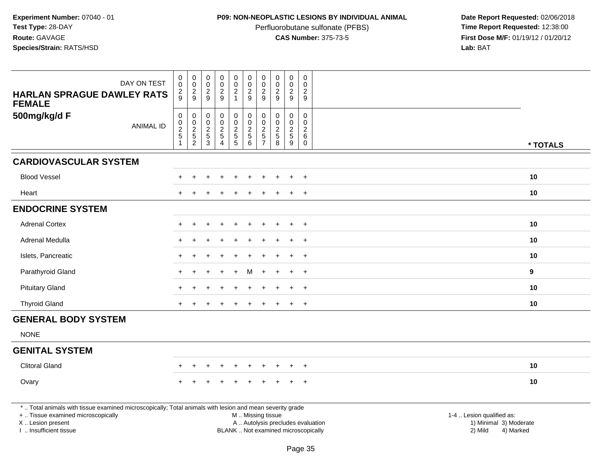# **P09: NON-NEOPLASTIC LESIONS BY INDIVIDUAL ANIMAL**

Perfluorobutane sulfonate (PFBS)<br>**CAS Number:** 375-73-5

| DAY ON TEST                                                                                                                                    | $\pmb{0}$<br>$\mathbf 0$<br>$\overline{c}$                            | $\pmb{0}$<br>$\mathsf 0$<br>$\overline{c}$ | $\pmb{0}$<br>$\pmb{0}$<br>$\boldsymbol{2}$       | $\pmb{0}$<br>$\mathsf 0$<br>$\overline{2}$ | $\mathsf{O}\xspace$<br>$\mathbf 0$<br>$\overline{c}$ | $\pmb{0}$<br>$\pmb{0}$<br>$\boldsymbol{2}$                               | $\mathbf 0$<br>$\mathbf 0$<br>$\overline{2}$ | $\mathbf 0$<br>$\mathbf 0$<br>$\overline{2}$               | $\pmb{0}$<br>$\mathsf{O}\xspace$<br>$\boldsymbol{2}$ | $\boldsymbol{0}$<br>$\mathbf 0$<br>$\overline{c}$       |                                                |
|------------------------------------------------------------------------------------------------------------------------------------------------|-----------------------------------------------------------------------|--------------------------------------------|--------------------------------------------------|--------------------------------------------|------------------------------------------------------|--------------------------------------------------------------------------|----------------------------------------------|------------------------------------------------------------|------------------------------------------------------|---------------------------------------------------------|------------------------------------------------|
| <b>HARLAN SPRAGUE DAWLEY RATS</b><br><b>FEMALE</b>                                                                                             | 9                                                                     | 9                                          | 9                                                | 9                                          | $\mathbf{1}$                                         | $\overline{9}$                                                           | 9                                            | 9                                                          | $9\,$                                                | 9                                                       |                                                |
| 500mg/kg/d F<br><b>ANIMAL ID</b>                                                                                                               | $\boldsymbol{0}$<br>$\mathbf 0$<br>$\boldsymbol{2}$<br>$\overline{5}$ | 0<br>$\mathsf 0$<br>$\frac{2}{5}$          | $\mathbf 0$<br>$\boldsymbol{0}$<br>$\frac{2}{5}$ | 0<br>$\mathsf 0$<br>$\frac{2}{5}$          | $\pmb{0}$<br>$\mathsf{O}\xspace$<br>$\frac{2}{5}$    | $\pmb{0}$<br>$\mathsf 0$<br>$\frac{2}{5}$                                | 0<br>$\mathbf 0$<br>$\frac{2}{5}$            | $\mathbf 0$<br>$\mathbf 0$<br>$\overline{c}$<br>$\sqrt{5}$ | 0<br>$\mathbf 0$<br>$\frac{2}{5}$                    | $\mathbf 0$<br>$\mathbf 0$<br>$\overline{2}$<br>$\,6\,$ |                                                |
|                                                                                                                                                | -1                                                                    | $\overline{c}$                             | 3                                                | 4                                          | $\overline{5}$                                       | $\,6\,$                                                                  | $\overline{7}$                               | 8                                                          | $\boldsymbol{9}$                                     | $\mathbf 0$                                             | * TOTALS                                       |
| <b>CARDIOVASCULAR SYSTEM</b>                                                                                                                   |                                                                       |                                            |                                                  |                                            |                                                      |                                                                          |                                              |                                                            |                                                      |                                                         |                                                |
| <b>Blood Vessel</b>                                                                                                                            |                                                                       |                                            |                                                  |                                            |                                                      |                                                                          |                                              |                                                            |                                                      | $\ddot{}$                                               | 10                                             |
| Heart                                                                                                                                          |                                                                       |                                            |                                                  |                                            |                                                      |                                                                          |                                              |                                                            |                                                      | $\overline{ }$                                          | 10                                             |
| <b>ENDOCRINE SYSTEM</b>                                                                                                                        |                                                                       |                                            |                                                  |                                            |                                                      |                                                                          |                                              |                                                            |                                                      |                                                         |                                                |
| <b>Adrenal Cortex</b>                                                                                                                          |                                                                       |                                            |                                                  |                                            |                                                      |                                                                          |                                              |                                                            |                                                      | $+$                                                     | 10                                             |
| Adrenal Medulla                                                                                                                                |                                                                       |                                            |                                                  |                                            |                                                      |                                                                          |                                              |                                                            | $\ddot{}$                                            | $\overline{+}$                                          | 10                                             |
| Islets, Pancreatic                                                                                                                             |                                                                       |                                            |                                                  |                                            |                                                      |                                                                          |                                              |                                                            |                                                      | $\ddot{}$                                               | 10                                             |
| Parathyroid Gland                                                                                                                              |                                                                       |                                            |                                                  |                                            |                                                      | м                                                                        |                                              |                                                            |                                                      | $\overline{+}$                                          | $\mathbf{9}$                                   |
| <b>Pituitary Gland</b>                                                                                                                         |                                                                       |                                            |                                                  |                                            |                                                      |                                                                          |                                              |                                                            | $\ddot{}$                                            | $+$                                                     | 10                                             |
| <b>Thyroid Gland</b>                                                                                                                           |                                                                       |                                            |                                                  |                                            |                                                      |                                                                          |                                              |                                                            |                                                      | $\overline{+}$                                          | 10                                             |
| <b>GENERAL BODY SYSTEM</b>                                                                                                                     |                                                                       |                                            |                                                  |                                            |                                                      |                                                                          |                                              |                                                            |                                                      |                                                         |                                                |
| <b>NONE</b>                                                                                                                                    |                                                                       |                                            |                                                  |                                            |                                                      |                                                                          |                                              |                                                            |                                                      |                                                         |                                                |
| <b>GENITAL SYSTEM</b>                                                                                                                          |                                                                       |                                            |                                                  |                                            |                                                      |                                                                          |                                              |                                                            |                                                      |                                                         |                                                |
| <b>Clitoral Gland</b>                                                                                                                          |                                                                       |                                            |                                                  |                                            |                                                      |                                                                          |                                              |                                                            |                                                      | $\ddot{}$                                               | 10                                             |
| Ovary                                                                                                                                          |                                                                       |                                            |                                                  |                                            |                                                      |                                                                          |                                              |                                                            |                                                      |                                                         | 10                                             |
| *  Total animals with tissue examined microscopically; Total animals with lesion and mean severity grade<br>+  Tissue examined microscopically |                                                                       |                                            |                                                  |                                            |                                                      | M  Missing tissue                                                        |                                              |                                                            |                                                      |                                                         | 1-4  Lesion qualified as:                      |
| X  Lesion present<br>I. Insufficient tissue                                                                                                    |                                                                       |                                            |                                                  |                                            |                                                      | A  Autolysis precludes evaluation<br>BLANK  Not examined microscopically |                                              |                                                            |                                                      |                                                         | 1) Minimal 3) Moderate<br>2) Mild<br>4) Marked |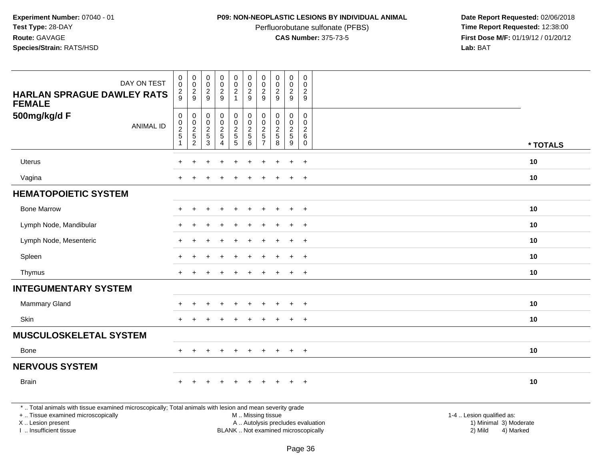## **P09: NON-NEOPLASTIC LESIONS BY INDIVIDUAL ANIMAL**

Perfluorobutane sulfonate (PFBS)<br>**CAS Number:** 375-73-5

 **Date Report Requested:** 02/06/2018 **First Dose M/F:** 01/19/12 / 01/20/12<br>**Lab:** BAT **Lab:** BAT

| DAY ON TEST<br><b>HARLAN SPRAGUE DAWLEY RATS</b>                                                                                                                    | $\mathbf 0$<br>0<br>$\overline{\mathbf{c}}$<br>9                   | $\mathbf 0$<br>$\mathbf 0$<br>$\frac{2}{9}$                   | $\pmb{0}$<br>0<br>$\overline{c}$<br>$9\,$                                                | $\mathsf{O}\xspace$<br>$\mathsf{O}\xspace$<br>$\frac{2}{9}$ | $\pmb{0}$<br>$\mathbf 0$<br>$\overline{2}$<br>$\mathbf{1}$ | $\mathbf 0$<br>$\ddot{\mathbf{0}}$<br>$\boldsymbol{2}$<br>$\boldsymbol{9}$ | $\pmb{0}$<br>$\mathbf 0$<br>$\overline{c}$<br>9                    | $\pmb{0}$<br>$\pmb{0}$<br>$\boldsymbol{2}$<br>9 | $\mathbf 0$<br>$\mathbf 0$<br>$\overline{c}$<br>9       | $\pmb{0}$<br>$\mathbf 0$<br>$\overline{c}$<br>9                      |          |
|---------------------------------------------------------------------------------------------------------------------------------------------------------------------|--------------------------------------------------------------------|---------------------------------------------------------------|------------------------------------------------------------------------------------------|-------------------------------------------------------------|------------------------------------------------------------|----------------------------------------------------------------------------|--------------------------------------------------------------------|-------------------------------------------------|---------------------------------------------------------|----------------------------------------------------------------------|----------|
| <b>FEMALE</b><br>500mg/kg/d F<br><b>ANIMAL ID</b>                                                                                                                   | $\mathsf 0$<br>0<br>$\overline{c}$<br>$\sqrt{5}$<br>$\overline{1}$ | $\mathbf 0$<br>$\mathbf 0$<br>$\frac{2}{5}$<br>$\overline{c}$ | 0<br>$\mathbf 0$<br>$\frac{2}{5}$<br>$\mathbf{3}$                                        | 0<br>0<br>$\frac{2}{5}$<br>$\overline{4}$                   | $\pmb{0}$<br>$\mathbf 0$<br>$rac{2}{5}$                    | $\mathbf 0$<br>$\ddot{\mathbf{0}}$<br>$\frac{2}{5}$<br>$\,6\,$             | 0<br>$\mathbf 0$<br>$\overline{2}$<br>$\sqrt{5}$<br>$\overline{7}$ | $\mathbf 0$<br>$\mathbf 0$<br>$rac{2}{5}$<br>8  | 0<br>$\mathbf{0}$<br>$\overline{c}$<br>$\,$ 5 $\,$<br>9 | 0<br>$\mathbf 0$<br>$\overline{c}$<br>$\,6\,$<br>$\mathsf{O}\xspace$ | * TOTALS |
| Uterus                                                                                                                                                              |                                                                    |                                                               |                                                                                          |                                                             |                                                            |                                                                            |                                                                    |                                                 |                                                         | $\ddot{}$                                                            | 10       |
| Vagina                                                                                                                                                              | ÷.                                                                 |                                                               |                                                                                          | $\div$                                                      | $\ddot{}$                                                  | $\div$                                                                     |                                                                    | $\div$                                          | $+$                                                     | $+$                                                                  | 10       |
| <b>HEMATOPOIETIC SYSTEM</b>                                                                                                                                         |                                                                    |                                                               |                                                                                          |                                                             |                                                            |                                                                            |                                                                    |                                                 |                                                         |                                                                      |          |
| <b>Bone Marrow</b>                                                                                                                                                  |                                                                    |                                                               |                                                                                          |                                                             |                                                            |                                                                            |                                                                    |                                                 |                                                         | $\ddot{}$                                                            | 10       |
| Lymph Node, Mandibular                                                                                                                                              |                                                                    |                                                               |                                                                                          |                                                             |                                                            |                                                                            |                                                                    |                                                 | $\ddot{}$                                               | $\overline{+}$                                                       | 10       |
| Lymph Node, Mesenteric                                                                                                                                              |                                                                    |                                                               |                                                                                          |                                                             |                                                            |                                                                            |                                                                    |                                                 | ÷                                                       | $\overline{+}$                                                       | 10       |
| Spleen                                                                                                                                                              |                                                                    |                                                               |                                                                                          |                                                             |                                                            |                                                                            |                                                                    |                                                 |                                                         | $\ddot{}$                                                            | 10       |
| Thymus                                                                                                                                                              | $+$                                                                |                                                               |                                                                                          | $\overline{ }$                                              | $\pm$                                                      | $\pm$                                                                      |                                                                    | $\pm$                                           | $+$                                                     | $+$                                                                  | 10       |
| <b>INTEGUMENTARY SYSTEM</b>                                                                                                                                         |                                                                    |                                                               |                                                                                          |                                                             |                                                            |                                                                            |                                                                    |                                                 |                                                         |                                                                      |          |
| <b>Mammary Gland</b>                                                                                                                                                |                                                                    |                                                               |                                                                                          |                                                             |                                                            |                                                                            |                                                                    |                                                 |                                                         |                                                                      | 10       |
| Skin                                                                                                                                                                |                                                                    |                                                               |                                                                                          |                                                             |                                                            |                                                                            |                                                                    |                                                 | $\ddot{}$                                               | $+$                                                                  | 10       |
| <b>MUSCULOSKELETAL SYSTEM</b>                                                                                                                                       |                                                                    |                                                               |                                                                                          |                                                             |                                                            |                                                                            |                                                                    |                                                 |                                                         |                                                                      |          |
| Bone                                                                                                                                                                |                                                                    |                                                               |                                                                                          | $\div$                                                      | $\div$                                                     | $\overline{ }$                                                             |                                                                    | $\pm$                                           | $\pm$                                                   | $+$                                                                  | 10       |
| <b>NERVOUS SYSTEM</b>                                                                                                                                               |                                                                    |                                                               |                                                                                          |                                                             |                                                            |                                                                            |                                                                    |                                                 |                                                         |                                                                      |          |
| <b>Brain</b>                                                                                                                                                        |                                                                    |                                                               |                                                                                          |                                                             |                                                            |                                                                            |                                                                    |                                                 | $\ddot{}$                                               | $+$                                                                  | 10       |
| *  Total animals with tissue examined microscopically; Total animals with lesion and mean severity grade<br>+  Tissue examined microscopically<br>X  Lesion present |                                                                    |                                                               | 1-4  Lesion qualified as:<br>A  Autolysis precludes evaluation<br>1) Minimal 3) Moderate |                                                             |                                                            |                                                                            |                                                                    |                                                 |                                                         |                                                                      |          |

I .. Insufficient tissue

BLANK .. Not examined microscopically and the contract of the contract of the contract of Modellin 2) Mild 4) Marked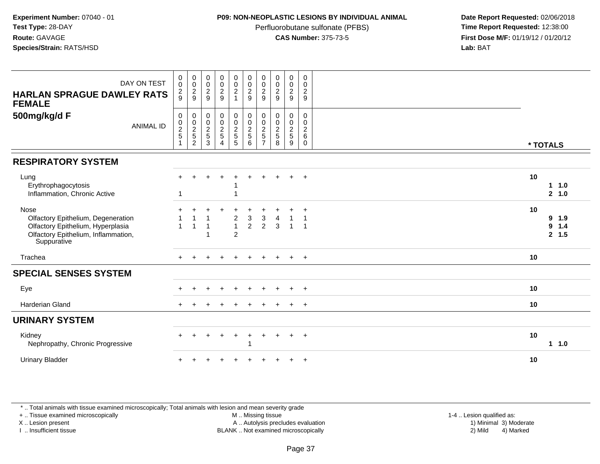### **P09: NON-NEOPLASTIC LESIONS BY INDIVIDUAL ANIMAL**

Perfluorobutane sulfonate (PFBS)<br>**CAS Number:** 375-73-5

 **Date Report Requested:** 02/06/2018 **First Dose M/F:** 01/19/12 / 01/20/12<br>**Lab:** BAT **Lab:** BAT

| DAY ON TEST<br><b>HARLAN SPRAGUE DAWLEY RATS</b><br><b>FEMALE</b>                                                                            | $\pmb{0}$<br>$\pmb{0}$<br>$\frac{2}{9}$                        | $_{\rm 0}^{\rm 0}$<br>$\frac{2}{9}$                               | $\begin{smallmatrix} 0\\0\\2 \end{smallmatrix}$<br>$9\,$ | 00029                                                                       | $\begin{array}{c} 0 \\ 0 \\ 2 \\ 1 \end{array}$  | 00029                                          | $\begin{smallmatrix} 0\\0 \end{smallmatrix}$<br>$\sqrt{2}$<br>9 | $\begin{smallmatrix} 0\\0\\2 \end{smallmatrix}$<br>$9\,$ | $\begin{smallmatrix} 0\\0\\2 \end{smallmatrix}$<br>9 | $\mathsf{O}$<br>0<br>$\overline{c}$<br>9 |                                     |
|----------------------------------------------------------------------------------------------------------------------------------------------|----------------------------------------------------------------|-------------------------------------------------------------------|----------------------------------------------------------|-----------------------------------------------------------------------------|--------------------------------------------------|------------------------------------------------|-----------------------------------------------------------------|----------------------------------------------------------|------------------------------------------------------|------------------------------------------|-------------------------------------|
| 500mg/kg/d F<br><b>ANIMAL ID</b>                                                                                                             | $\mathbf 0$<br>$\begin{array}{c} 0 \\ 2 \\ 5 \end{array}$<br>1 | 0<br>$\begin{array}{c} 0 \\ 2 \\ 5 \end{array}$<br>$\overline{c}$ | 0<br>$\frac{0}{2}$<br>3                                  | $\begin{array}{c} 0 \\ 0 \\ 2 \\ 5 \end{array}$<br>$\boldsymbol{\varDelta}$ | 000255                                           | $\mathbf 0$<br>$\frac{0}{2}$<br>$6\phantom{1}$ | 0<br>$\boldsymbol{0}$<br>$\overline{2}$<br>5<br>$\overline{ }$  | 0<br>$\frac{0}{2}$<br>8                                  | $\begin{array}{c} 0 \\ 0 \\ 2 \\ 5 \end{array}$<br>9 | 0<br>0<br>$\frac{2}{6}$<br>0             | * TOTALS                            |
| <b>RESPIRATORY SYSTEM</b>                                                                                                                    |                                                                |                                                                   |                                                          |                                                                             |                                                  |                                                |                                                                 |                                                          |                                                      |                                          |                                     |
| Lung<br>Erythrophagocytosis<br>Inflammation, Chronic Active                                                                                  | $\overline{1}$                                                 |                                                                   |                                                          |                                                                             |                                                  |                                                |                                                                 |                                                          |                                                      | $+$                                      | 10<br>11.0<br>2, 1.0                |
| <b>Nose</b><br>Olfactory Epithelium, Degeneration<br>Olfactory Epithelium, Hyperplasia<br>Olfactory Epithelium, Inflammation,<br>Suppurative | $\overline{1}$                                                 | $\overline{1}$                                                    | $\overline{1}$                                           |                                                                             | $\overline{a}$<br>$\mathbf{1}$<br>$\overline{c}$ | 3<br>$\overline{2}$                            | 3<br>$\overline{2}$                                             | 3                                                        | $\mathbf{1}$                                         | $\ddot{}$<br>$\overline{1}$              | 10<br>9 1.9<br>9<br>$1.4$<br>2, 1.5 |
| Trachea                                                                                                                                      | $\ddot{}$                                                      |                                                                   |                                                          |                                                                             |                                                  |                                                |                                                                 |                                                          | $\overline{+}$                                       | $+$                                      | 10                                  |
| <b>SPECIAL SENSES SYSTEM</b>                                                                                                                 |                                                                |                                                                   |                                                          |                                                                             |                                                  |                                                |                                                                 |                                                          |                                                      |                                          |                                     |
| Eye                                                                                                                                          |                                                                |                                                                   |                                                          |                                                                             |                                                  |                                                |                                                                 |                                                          |                                                      | $\ddot{}$                                | 10                                  |
| <b>Harderian Gland</b>                                                                                                                       |                                                                |                                                                   |                                                          |                                                                             |                                                  |                                                |                                                                 |                                                          |                                                      | $\pm$                                    | 10                                  |
| <b>URINARY SYSTEM</b>                                                                                                                        |                                                                |                                                                   |                                                          |                                                                             |                                                  |                                                |                                                                 |                                                          |                                                      |                                          |                                     |
| Kidney<br>Nephropathy, Chronic Progressive                                                                                                   |                                                                |                                                                   |                                                          |                                                                             | +                                                |                                                |                                                                 |                                                          | $\ddot{}$                                            | $+$                                      | 10<br>1.0                           |
| <b>Urinary Bladder</b>                                                                                                                       |                                                                |                                                                   |                                                          |                                                                             |                                                  |                                                |                                                                 |                                                          |                                                      | $+$                                      | 10                                  |

\* .. Total animals with tissue examined microscopically; Total animals with lesion and mean severity grade

+ .. Tissue examined microscopically

X .. Lesion present

I .. Insufficient tissue

M .. Missing tissue

 Lesion present A .. Autolysis precludes evaluation 1) Minimal 3) ModerateBLANK .. Not examined microscopically 2) Mild 4) Marked

1-4 .. Lesion qualified as:<br>1) Minimal 3) Moderate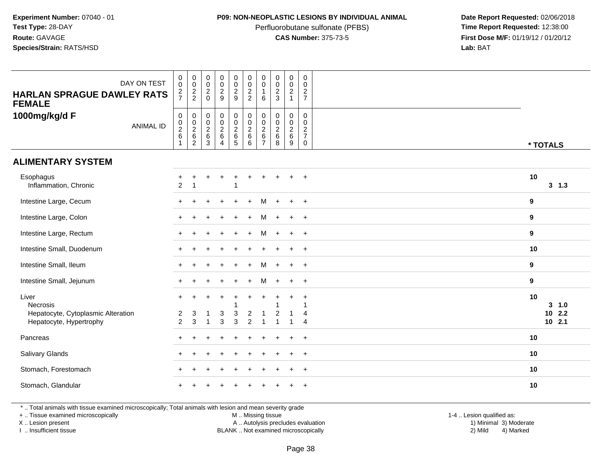### **P09: NON-NEOPLASTIC LESIONS BY INDIVIDUAL ANIMAL**

Perfluorobutane sulfonate (PFBS)<br>**CAS Number:** 375-73-5

 **Date Report Requested:** 02/06/2018 **First Dose M/F:** 01/19/12 / 01/20/12<br>**Lab:** BAT **Lab:** BAT

| DAY ON TEST<br><b>HARLAN SPRAGUE DAWLEY RATS</b><br><b>FEMALE</b>                         | $\pmb{0}$<br>$\pmb{0}$<br>$\frac{2}{7}$ | $\begin{smallmatrix} 0\\0 \end{smallmatrix}$<br>$\frac{2}{2}$ | $_{\rm 0}^{\rm 0}$<br>$\sqrt{2}$<br>$\Omega$       | $_{\rm 0}^{\rm 0}$<br>$\frac{2}{9}$                                          | $\begin{array}{c} 0 \\ 0 \\ 2 \\ 9 \end{array}$           | $\begin{smallmatrix} 0\\0 \end{smallmatrix}$<br>$\overline{c}$<br>$\overline{2}$ | 0<br>0<br>6                   | $\begin{array}{c} 0 \\ 0 \\ 2 \\ 3 \end{array}$ | $\begin{smallmatrix} 0\\0 \end{smallmatrix}$<br>$\mathbf{2}$<br>$\overline{1}$ | $\boldsymbol{0}$<br>$\mathbf 0$<br>$\boldsymbol{2}$<br>$\overline{7}$           |                                     |
|-------------------------------------------------------------------------------------------|-----------------------------------------|---------------------------------------------------------------|----------------------------------------------------|------------------------------------------------------------------------------|-----------------------------------------------------------|----------------------------------------------------------------------------------|-------------------------------|-------------------------------------------------|--------------------------------------------------------------------------------|---------------------------------------------------------------------------------|-------------------------------------|
| 1000mg/kg/d F<br><b>ANIMAL ID</b>                                                         | $\pmb{0}$<br>$\frac{0}{2}$<br>$\,6\,$   | 00026                                                         | $\mathsf{O}\xspace$<br>$\frac{0}{2}$<br>$\,6$<br>3 | $\mathbf 0$<br>$\overline{0}$<br>$\overline{2}$<br>$\,6\,$<br>$\overline{4}$ | $\begin{smallmatrix} 0\\0\\2 \end{smallmatrix}$<br>6<br>5 | $\mathsf{O}\xspace$<br>$\ddot{\mathbf{0}}$<br>$\overline{2}$<br>$\,6\,$<br>6     | 0<br>0<br>$\overline{2}$<br>6 | $\pmb{0}$<br>$\frac{0}{2}$<br>$\,6\,$<br>8      | 0<br>$\mathbf 0$<br>$\overline{2}$<br>6<br>9                                   | $\mathbf 0$<br>$\mathbf 0$<br>$\boldsymbol{2}$<br>$\overline{7}$<br>$\mathbf 0$ | * TOTALS                            |
| <b>ALIMENTARY SYSTEM</b>                                                                  |                                         |                                                               |                                                    |                                                                              |                                                           |                                                                                  |                               |                                                 |                                                                                |                                                                                 |                                     |
| Esophagus<br>Inflammation, Chronic                                                        | $\boldsymbol{2}$                        | 1                                                             |                                                    |                                                                              |                                                           |                                                                                  |                               |                                                 | ÷                                                                              | $\overline{+}$                                                                  | 10<br>$3 \t1.3$                     |
| Intestine Large, Cecum                                                                    | $+$                                     |                                                               |                                                    |                                                                              |                                                           | $+$                                                                              | м                             |                                                 | $+$                                                                            | $+$                                                                             | 9                                   |
| Intestine Large, Colon                                                                    | $\ddot{}$                               |                                                               |                                                    |                                                                              |                                                           | ÷.                                                                               | м                             |                                                 | $\ddot{}$                                                                      | $+$                                                                             | 9                                   |
| Intestine Large, Rectum                                                                   |                                         |                                                               |                                                    |                                                                              |                                                           |                                                                                  | м                             |                                                 | $\ddot{}$                                                                      | $+$                                                                             | 9                                   |
| Intestine Small, Duodenum                                                                 |                                         |                                                               |                                                    |                                                                              |                                                           |                                                                                  |                               |                                                 | $\ddot{}$                                                                      | $\overline{+}$                                                                  | 10                                  |
| Intestine Small, Ileum                                                                    |                                         |                                                               |                                                    |                                                                              |                                                           | $\ddot{}$                                                                        | м                             |                                                 | $\ddot{}$                                                                      | $+$                                                                             | $\boldsymbol{9}$                    |
| Intestine Small, Jejunum                                                                  |                                         |                                                               |                                                    |                                                                              |                                                           |                                                                                  | м                             |                                                 | $\ddot{}$                                                                      | $+$                                                                             | 9                                   |
| Liver<br><b>Necrosis</b><br>Hepatocyte, Cytoplasmic Alteration<br>Hepatocyte, Hypertrophy | $\ddot{}$<br>2<br>$\overline{2}$        | $\ddot{}$<br>3<br>3                                           | $\div$<br>-1<br>1                                  | $\ddot{}$<br>3<br>3                                                          | 3<br>3                                                    | $\ddot{}$<br>$\overline{c}$<br>$\overline{2}$                                    |                               | $\overline{2}$                                  | $\ddot{}$<br>1                                                                 | $\ddot{}$<br>1<br>4<br>4                                                        | 10<br>3 1.0<br>$10$ 2.2<br>$10$ 2.1 |
| Pancreas                                                                                  |                                         |                                                               |                                                    |                                                                              |                                                           |                                                                                  |                               |                                                 |                                                                                | $\ddot{}$                                                                       | 10                                  |
| Salivary Glands                                                                           |                                         |                                                               |                                                    |                                                                              |                                                           |                                                                                  |                               |                                                 | $\ddot{}$                                                                      | $\overline{+}$                                                                  | 10                                  |
| Stomach, Forestomach                                                                      |                                         |                                                               |                                                    |                                                                              |                                                           |                                                                                  |                               |                                                 | $\ddot{}$                                                                      | $+$                                                                             | 10                                  |
| Stomach, Glandular                                                                        |                                         |                                                               |                                                    |                                                                              |                                                           |                                                                                  |                               |                                                 |                                                                                |                                                                                 | 10                                  |

\* .. Total animals with tissue examined microscopically; Total animals with lesion and mean severity grade

+ .. Tissue examined microscopically

X .. Lesion present

I .. Insufficient tissue

M .. Missing tissue

Lesion present A .. Autolysis precludes evaluation 1) Minimal 3) Moderate

1-4 .. Lesion qualified as:<br>1) Minimal 3) Moderate BLANK .. Not examined microscopically 2) Mild 4) Marked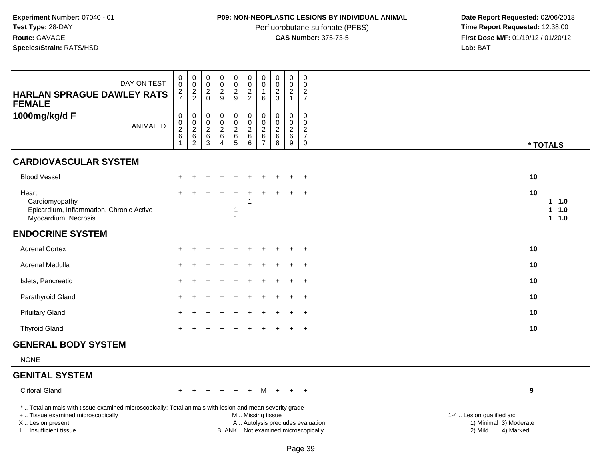# **P09: NON-NEOPLASTIC LESIONS BY INDIVIDUAL ANIMAL**

Perfluorobutane sulfonate (PFBS)<br>**CAS Number:** 375-73-5

| DAY ON TEST<br><b>HARLAN SPRAGUE DAWLEY RATS</b><br><b>FEMALE</b>                                                                                                                             | 0<br>$\bar{0}$<br>$\frac{2}{7}$                 | $\begin{matrix} 0 \\ 0 \\ 2 \\ 2 \end{matrix}$ | $\boldsymbol{0}$<br>$\mathbf 0$<br>$\sqrt{2}$<br>$\Omega$                                                                                               | $_{\rm 0}^{\rm 0}$<br>$\overline{2}$<br>9                               | 0<br>$\mathbf 0$<br>$\frac{2}{9}$                | $\mathbf 0$<br>$\mathbf 0$<br>$\sqrt{2}$<br>$\overline{2}$   | 0<br>$\mathbf 0$<br>6                                                   | $_{\rm 0}^{\rm 0}$<br>$\overline{2}$<br>3                            | $\mathbf 0$<br>$\mathbf 0$<br>$\overline{2}$<br>$\mathbf{1}$ | $\pmb{0}$<br>$\Omega$<br>$\overline{c}$<br>$\overline{7}$                   |                                 |
|-----------------------------------------------------------------------------------------------------------------------------------------------------------------------------------------------|-------------------------------------------------|------------------------------------------------|---------------------------------------------------------------------------------------------------------------------------------------------------------|-------------------------------------------------------------------------|--------------------------------------------------|--------------------------------------------------------------|-------------------------------------------------------------------------|----------------------------------------------------------------------|--------------------------------------------------------------|-----------------------------------------------------------------------------|---------------------------------|
| 1000mg/kg/d F<br><b>ANIMAL ID</b>                                                                                                                                                             | 0<br>0<br>$\overline{2}$<br>6<br>$\overline{1}$ | 0<br>$\mathbf 0$<br>$\overline{2}$<br>$^6_2$   | $\mathbf 0$<br>$\mathbf 0$<br>$\overline{c}$<br>$\,6\,$<br>$\mathbf{3}$                                                                                 | $\mathbf 0$<br>$\pmb{0}$<br>$\overline{2}$<br>$\,6\,$<br>$\overline{4}$ | 0<br>$\mathbf 0$<br>$\overline{2}$<br>$6\over 5$ | $\mathbf 0$<br>$\mathbf 0$<br>$\overline{2}$<br>$\,6\,$<br>6 | $\mathbf 0$<br>$\mathbf 0$<br>$\overline{c}$<br>$\,6$<br>$\overline{7}$ | $\mathbf 0$<br>$\mathsf{O}\xspace$<br>$\overline{c}$<br>$\,6\,$<br>8 | $\mathbf 0$<br>$\mathsf{O}$<br>$\overline{a}$<br>6<br>9      | $\mathbf 0$<br>0<br>$\overline{2}$<br>$\overline{7}$<br>$\mathsf{O}\xspace$ | * TOTALS                        |
| <b>CARDIOVASCULAR SYSTEM</b>                                                                                                                                                                  |                                                 |                                                |                                                                                                                                                         |                                                                         |                                                  |                                                              |                                                                         |                                                                      |                                                              |                                                                             |                                 |
| <b>Blood Vessel</b>                                                                                                                                                                           |                                                 |                                                |                                                                                                                                                         |                                                                         |                                                  |                                                              |                                                                         |                                                                      |                                                              | $\ddot{}$                                                                   | 10                              |
| Heart<br>Cardiomyopathy<br>Epicardium, Inflammation, Chronic Active<br>Myocardium, Necrosis                                                                                                   |                                                 |                                                |                                                                                                                                                         |                                                                         | 1<br>1                                           |                                                              |                                                                         |                                                                      |                                                              | $\ddot{}$                                                                   | 10<br>$1 1.0$<br>1 1.0<br>1 1.0 |
| <b>ENDOCRINE SYSTEM</b>                                                                                                                                                                       |                                                 |                                                |                                                                                                                                                         |                                                                         |                                                  |                                                              |                                                                         |                                                                      |                                                              |                                                                             |                                 |
| <b>Adrenal Cortex</b>                                                                                                                                                                         |                                                 |                                                |                                                                                                                                                         |                                                                         |                                                  |                                                              |                                                                         |                                                                      |                                                              | $+$                                                                         | 10                              |
| Adrenal Medulla                                                                                                                                                                               |                                                 |                                                |                                                                                                                                                         |                                                                         |                                                  |                                                              |                                                                         |                                                                      |                                                              |                                                                             | 10                              |
| Islets, Pancreatic                                                                                                                                                                            |                                                 |                                                |                                                                                                                                                         |                                                                         |                                                  |                                                              |                                                                         |                                                                      |                                                              | $\ddot{}$                                                                   | 10                              |
| Parathyroid Gland                                                                                                                                                                             |                                                 |                                                |                                                                                                                                                         |                                                                         |                                                  |                                                              |                                                                         |                                                                      | $\div$                                                       | $\overline{+}$                                                              | 10                              |
| <b>Pituitary Gland</b>                                                                                                                                                                        |                                                 |                                                |                                                                                                                                                         |                                                                         |                                                  |                                                              |                                                                         |                                                                      |                                                              | $\ddot{}$                                                                   | 10                              |
| <b>Thyroid Gland</b>                                                                                                                                                                          |                                                 |                                                |                                                                                                                                                         |                                                                         |                                                  |                                                              |                                                                         |                                                                      | $\pm$                                                        | $+$                                                                         | 10                              |
| <b>GENERAL BODY SYSTEM</b>                                                                                                                                                                    |                                                 |                                                |                                                                                                                                                         |                                                                         |                                                  |                                                              |                                                                         |                                                                      |                                                              |                                                                             |                                 |
| <b>NONE</b>                                                                                                                                                                                   |                                                 |                                                |                                                                                                                                                         |                                                                         |                                                  |                                                              |                                                                         |                                                                      |                                                              |                                                                             |                                 |
| <b>GENITAL SYSTEM</b>                                                                                                                                                                         |                                                 |                                                |                                                                                                                                                         |                                                                         |                                                  |                                                              |                                                                         |                                                                      |                                                              |                                                                             |                                 |
| <b>Clitoral Gland</b>                                                                                                                                                                         |                                                 |                                                |                                                                                                                                                         |                                                                         |                                                  |                                                              | м                                                                       |                                                                      | $\ddot{}$                                                    | $+$                                                                         | 9                               |
| *  Total animals with tissue examined microscopically; Total animals with lesion and mean severity grade<br>+  Tissue examined microscopically<br>X  Lesion present<br>I  Insufficient tissue |                                                 |                                                | 1-4  Lesion qualified as:<br>A  Autolysis precludes evaluation<br>1) Minimal 3) Moderate<br>BLANK  Not examined microscopically<br>2) Mild<br>4) Marked |                                                                         |                                                  |                                                              |                                                                         |                                                                      |                                                              |                                                                             |                                 |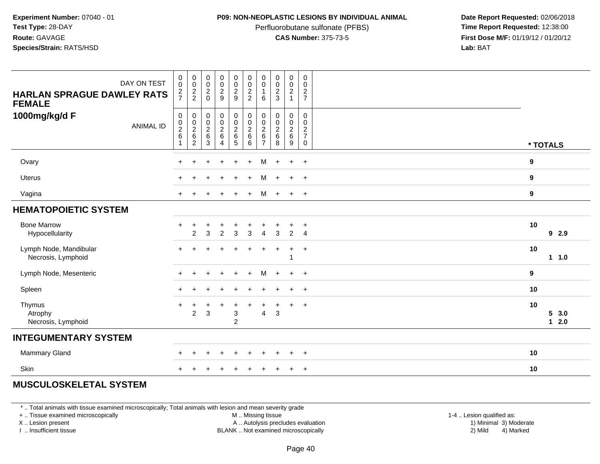### **P09: NON-NEOPLASTIC LESIONS BY INDIVIDUAL ANIMAL**

Perfluorobutane sulfonate (PFBS)<br>**CAS Number:** 375-73-5

 **Date Report Requested:** 02/06/2018 **First Dose M/F:** 01/19/12 / 01/20/12<br>**Lab:** BAT **Lab:** BAT

| DAY ON TEST<br><b>HARLAN SPRAGUE DAWLEY RATS</b><br><b>FEMALE</b> | $_{\rm 0}^{\rm 0}$<br>$\frac{2}{7}$ | $_{\rm 0}^{\rm 0}$<br>$\frac{2}{2}$                                       | $_{\rm 0}^{\rm 0}$<br>$\sqrt{2}$<br>$\Omega$                | $_{\rm 0}^{\rm 0}$<br>$\frac{2}{9}$          | $_{\rm 0}^{\rm 0}$<br>$\overline{2}$<br>9                  | $\begin{smallmatrix} 0\\0\\2 \end{smallmatrix}$<br>$\overline{c}$     | $\begin{smallmatrix} 0\\0 \end{smallmatrix}$<br>$\overline{1}$<br>6 | $\begin{smallmatrix} 0\\0 \end{smallmatrix}$<br>$\frac{2}{3}$             | $\begin{smallmatrix}0\\0\end{smallmatrix}$<br>$\overline{c}$<br>$\mathbf{1}$ | $\begin{smallmatrix} 0\\0 \end{smallmatrix}$<br>$\sqrt{2}$<br>$\overline{7}$ |                                         |
|-------------------------------------------------------------------|-------------------------------------|---------------------------------------------------------------------------|-------------------------------------------------------------|----------------------------------------------|------------------------------------------------------------|-----------------------------------------------------------------------|---------------------------------------------------------------------|---------------------------------------------------------------------------|------------------------------------------------------------------------------|------------------------------------------------------------------------------|-----------------------------------------|
| 1000mg/kg/d F<br><b>ANIMAL ID</b>                                 | $\pmb{0}$<br>$\frac{0}{2}$<br>1     | $\pmb{0}$<br>$\begin{array}{c} 0 \\ 2 \\ 6 \end{array}$<br>$\overline{c}$ | $\pmb{0}$<br>$\mathop{2}\limits^{\mathbb{O}}$<br>$\,6$<br>3 | $\pmb{0}$<br>$\frac{0}{2}$<br>$\overline{4}$ | 00026<br>$5\phantom{.0}$                                   | $\begin{smallmatrix} 0\\0\\2 \end{smallmatrix}$<br>$\,6\,$<br>$\,6\,$ | $\pmb{0}$<br>$\frac{0}{2}$<br>$\overline{7}$                        | $\pmb{0}$<br>$\begin{smallmatrix} 0\\2 \end{smallmatrix}$<br>$\,6\,$<br>8 | 0<br>$\mathbf 0$<br>$\overline{2}$<br>$\,6\,$<br>9                           | 0<br>$\mathbf 0$<br>$\overline{c}$<br>$\overline{7}$<br>$\mathbf 0$          | * TOTALS                                |
| Ovary                                                             |                                     | $\div$                                                                    |                                                             |                                              | $\ddot{}$                                                  | $+$                                                                   | M                                                                   | $+$                                                                       | $+$                                                                          | $+$                                                                          | 9                                       |
| Uterus                                                            |                                     |                                                                           |                                                             |                                              | $\ddot{}$                                                  | $\ddot{}$                                                             | М                                                                   | $\ddot{}$                                                                 | $\ddot{}$                                                                    | $+$                                                                          | 9                                       |
| Vagina                                                            |                                     |                                                                           |                                                             |                                              |                                                            | $+$                                                                   | м                                                                   | $+$                                                                       | $+$                                                                          | $+$                                                                          | 9                                       |
| <b>HEMATOPOIETIC SYSTEM</b>                                       |                                     |                                                                           |                                                             |                                              |                                                            |                                                                       |                                                                     |                                                                           |                                                                              |                                                                              |                                         |
| <b>Bone Marrow</b><br>Hypocellularity                             | $\ddot{}$                           | +<br>2                                                                    | 3                                                           | $\overline{2}$                               | +<br>$\mathbf{3}$                                          | $\ddot{}$<br>$\mathbf{3}$                                             | $\overline{4}$                                                      | $\ddot{}$<br>3                                                            | $\ddot{}$<br>$\overline{2}$                                                  | $\overline{+}$<br>$\overline{4}$                                             | 10<br>92.9                              |
| Lymph Node, Mandibular<br>Necrosis, Lymphoid                      | $+$                                 | $\ddot{}$                                                                 |                                                             | $\ddot{}$                                    | $\ddot{}$                                                  | $\ddot{}$                                                             | $\ddot{}$                                                           | $\ddot{}$                                                                 | $\ddot{}$<br>1                                                               | $+$                                                                          | 10<br>$1 1.0$                           |
| Lymph Node, Mesenteric                                            | $\pm$                               | $\ddot{}$                                                                 |                                                             | $\ddot{}$                                    | $\ddot{}$                                                  | $\ddot{}$                                                             | м                                                                   | $+$                                                                       | $\ddot{}$                                                                    | $+$                                                                          | 9                                       |
| Spleen                                                            | $+$                                 | ÷.                                                                        |                                                             |                                              |                                                            |                                                                       |                                                                     |                                                                           | $\ddot{}$                                                                    | $+$                                                                          | 10                                      |
| Thymus<br>Atrophy<br>Necrosis, Lymphoid                           | $\overline{+}$                      | $\ddot{}$<br>$\overline{c}$                                               | $\ddot{}$<br>3                                              | $\ddot{}$                                    | $\ddot{}$<br>$\ensuremath{\mathsf{3}}$<br>$\boldsymbol{2}$ | $\ddot{}$                                                             | +<br>4                                                              | $\ddot{}$<br>$\ensuremath{\mathsf{3}}$                                    | $\ddot{}$                                                                    | $+$                                                                          | 10<br>5 <sup>5</sup><br>3.0<br>2.0<br>1 |
| <b>INTEGUMENTARY SYSTEM</b>                                       |                                     |                                                                           |                                                             |                                              |                                                            |                                                                       |                                                                     |                                                                           |                                                                              |                                                                              |                                         |
| Mammary Gland                                                     |                                     |                                                                           |                                                             |                                              |                                                            |                                                                       |                                                                     |                                                                           | ÷                                                                            | $\ddot{}$                                                                    | 10                                      |
| Skin                                                              |                                     |                                                                           |                                                             |                                              |                                                            |                                                                       |                                                                     |                                                                           |                                                                              | $\ddot{}$                                                                    | 10                                      |

# **MUSCULOSKELETAL SYSTEM**

\* .. Total animals with tissue examined microscopically; Total animals with lesion and mean severity grade

+ .. Tissue examined microscopically

X .. Lesion present

I .. Insufficient tissue

M .. Missing tissue

A .. Autolysis precludes evaluation

1-4 .. Lesion qualified as:<br>1) Minimal 3) Moderate BLANK .. Not examined microscopically 2) Mild 4) Marked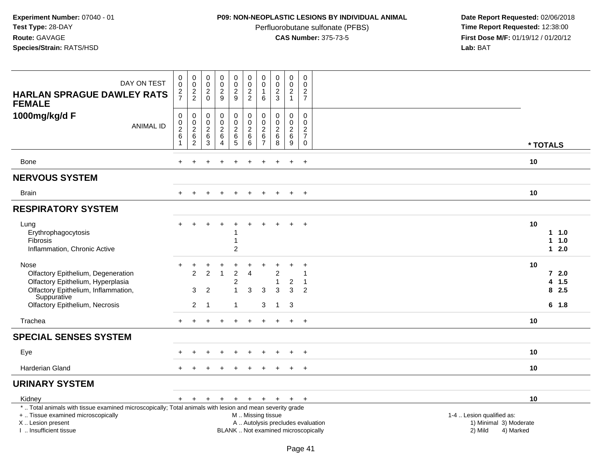## **P09: NON-NEOPLASTIC LESIONS BY INDIVIDUAL ANIMAL**

Perfluorobutane sulfonate (PFBS)<br>**CAS Number:** 375-73-5

| DAY ON TEST<br><b>HARLAN SPRAGUE DAWLEY RATS</b><br><b>FEMALE</b>                                                                                                                             | 0<br>0<br>$\frac{2}{7}$                                                 | $\pmb{0}$<br>$\mathbf 0$<br>$\frac{2}{2}$                             | $\begin{smallmatrix} 0\\0 \end{smallmatrix}$<br>$\overline{2}$<br>$\mathbf 0$ | 0<br>$\mathsf{O}\xspace$<br>$\overline{2}$<br>9               | $_{\rm 0}^{\rm 0}$<br>$\overline{2}$<br>9                        | $\pmb{0}$<br>$\pmb{0}$<br>$\overline{2}$<br>$\overline{2}$     | $\pmb{0}$<br>$\pmb{0}$<br>$\mathbf{1}$<br>$\,6$                     | $\pmb{0}$<br>$\mathbf 0$<br>$\sqrt{2}$<br>$\mathbf{3}$  | 0<br>$\pmb{0}$<br>$\boldsymbol{2}$<br>$\mathbf{1}$ | $\mathsf{O}\xspace$<br>$\mathbf 0$<br>$\overline{c}$<br>$\overline{7}$                |                                                                                                                                                         |
|-----------------------------------------------------------------------------------------------------------------------------------------------------------------------------------------------|-------------------------------------------------------------------------|-----------------------------------------------------------------------|-------------------------------------------------------------------------------|---------------------------------------------------------------|------------------------------------------------------------------|----------------------------------------------------------------|---------------------------------------------------------------------|---------------------------------------------------------|----------------------------------------------------|---------------------------------------------------------------------------------------|---------------------------------------------------------------------------------------------------------------------------------------------------------|
| 1000mg/kg/d F<br><b>ANIMAL ID</b>                                                                                                                                                             | $\mathbf 0$<br>$\mathbf 0$<br>$\overline{c}$<br>$\,6\,$<br>$\mathbf{1}$ | $\pmb{0}$<br>$\mathbf 0$<br>$\overline{2}$<br>$\,6$<br>$\overline{c}$ | $\pmb{0}$<br>0<br>$\overline{c}$<br>6<br>$\sqrt{3}$                           | $\mathbf 0$<br>$\mathsf{O}$<br>$\overline{2}$<br>$\,6\,$<br>4 | $\pmb{0}$<br>$\mathbf 0$<br>$\overline{2}$<br>$^6$ 5             | $\pmb{0}$<br>$\pmb{0}$<br>$\overline{2}$<br>$\,6\,$<br>$\,6\,$ | $\mathbf 0$<br>$\mathbf 0$<br>$\sqrt{2}$<br>$\,6$<br>$\overline{7}$ | $\mathbf 0$<br>$\mathbf 0$<br>$\overline{2}$<br>6<br>8  | $\mathbf 0$<br>0<br>$\overline{c}$<br>$\,6\,$<br>9 | $\mathbf 0$<br>$\mathbf 0$<br>$\overline{c}$<br>$\overline{7}$<br>$\mathsf{O}\xspace$ | * TOTALS                                                                                                                                                |
| Bone                                                                                                                                                                                          | $\div$                                                                  | ÷                                                                     |                                                                               |                                                               | $\div$                                                           | $\overline{1}$                                                 | ÷                                                                   | ÷                                                       | $\ddot{}$                                          | $+$                                                                                   | 10                                                                                                                                                      |
| <b>NERVOUS SYSTEM</b>                                                                                                                                                                         |                                                                         |                                                                       |                                                                               |                                                               |                                                                  |                                                                |                                                                     |                                                         |                                                    |                                                                                       |                                                                                                                                                         |
| <b>Brain</b>                                                                                                                                                                                  |                                                                         |                                                                       |                                                                               |                                                               |                                                                  |                                                                |                                                                     |                                                         | $\ddot{}$                                          | $+$                                                                                   | 10                                                                                                                                                      |
| <b>RESPIRATORY SYSTEM</b>                                                                                                                                                                     |                                                                         |                                                                       |                                                                               |                                                               |                                                                  |                                                                |                                                                     |                                                         |                                                    |                                                                                       |                                                                                                                                                         |
| Lung<br>Erythrophagocytosis<br>Fibrosis<br>Inflammation, Chronic Active                                                                                                                       |                                                                         |                                                                       |                                                                               | $\div$                                                        | $\ddot{}$<br>$\mathbf{1}$<br>$\overline{c}$                      |                                                                |                                                                     |                                                         | $+$                                                | $+$                                                                                   | 10<br>1.0<br>$1 1.0$<br>$12.0$                                                                                                                          |
| Nose<br>Olfactory Epithelium, Degeneration<br>Olfactory Epithelium, Hyperplasia<br>Olfactory Epithelium, Inflammation,<br>Suppurative<br>Olfactory Epithelium, Necrosis                       |                                                                         | 2<br>3<br>$\overline{c}$                                              | $\overline{2}$<br>2<br>$\overline{1}$                                         | $\overline{1}$                                                | $\overline{2}$<br>$\overline{c}$<br>$\mathbf{1}$<br>$\mathbf{1}$ | $\overline{4}$<br>3                                            | 3<br>3                                                              | $\overline{2}$<br>$\overline{1}$<br>3<br>$\overline{1}$ | $\overline{\mathbf{c}}$<br>3<br>$\mathbf{3}$       | $\mathbf 1$<br>-1<br>2                                                                | 10<br>$72.0$<br>4 1.5<br>82.5<br>$6 \t1.8$                                                                                                              |
| Trachea                                                                                                                                                                                       | $+$                                                                     | $\ddot{}$                                                             |                                                                               | $\ddot{}$                                                     | $\ddot{}$                                                        | $\ddot{}$                                                      | $+$                                                                 | $+$                                                     | $+$                                                | $+$                                                                                   | 10                                                                                                                                                      |
| <b>SPECIAL SENSES SYSTEM</b>                                                                                                                                                                  |                                                                         |                                                                       |                                                                               |                                                               |                                                                  |                                                                |                                                                     |                                                         |                                                    |                                                                                       |                                                                                                                                                         |
| Eye                                                                                                                                                                                           |                                                                         |                                                                       |                                                                               |                                                               |                                                                  |                                                                |                                                                     |                                                         |                                                    |                                                                                       | 10                                                                                                                                                      |
| Harderian Gland                                                                                                                                                                               |                                                                         |                                                                       |                                                                               |                                                               |                                                                  |                                                                |                                                                     |                                                         | $\ddot{}$                                          | $^{+}$                                                                                | 10                                                                                                                                                      |
| <b>URINARY SYSTEM</b>                                                                                                                                                                         |                                                                         |                                                                       |                                                                               |                                                               |                                                                  |                                                                |                                                                     |                                                         |                                                    |                                                                                       |                                                                                                                                                         |
| Kidney                                                                                                                                                                                        | $+$                                                                     | $+$                                                                   | $+$                                                                           | $+$                                                           |                                                                  | + + + + +                                                      |                                                                     |                                                         |                                                    | $+$                                                                                   | 10                                                                                                                                                      |
| *  Total animals with tissue examined microscopically; Total animals with lesion and mean severity grade<br>+  Tissue examined microscopically<br>X  Lesion present<br>I  Insufficient tissue |                                                                         |                                                                       |                                                                               |                                                               |                                                                  | M  Missing tissue                                              |                                                                     |                                                         |                                                    |                                                                                       | 1-4  Lesion qualified as:<br>A  Autolysis precludes evaluation<br>1) Minimal 3) Moderate<br>BLANK  Not examined microscopically<br>2) Mild<br>4) Marked |